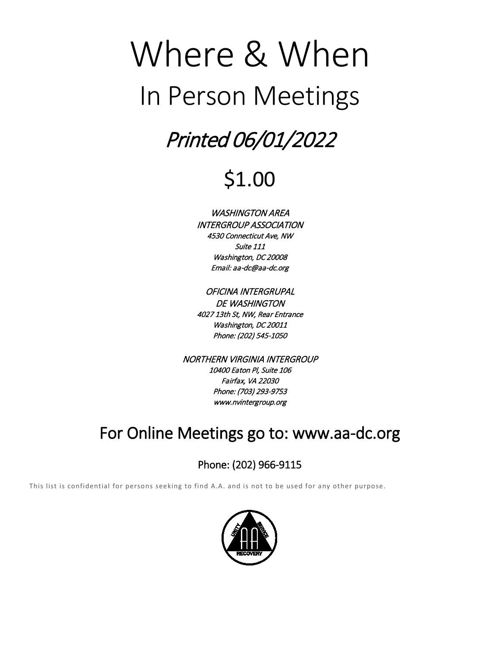# Where & When In Person Meetings

# Printed 06/01/2022

# \$1.00

WASHINGTON AREA INTERGROUP ASSOCIATION 4530 Connecticut Ave, NW Suite 111 Washington, DC 20008 Email: aa-dc@aa-dc.org

OFICINA INTERGRUPAL DE WASHINGTON 4027 13th St, NW, Rear Entrance Washington, DC 20011 Phone: (202) 545-1050

NORTHERN VIRGINIA INTERGROUP 10400 Eaton Pl, Suite 106 Fairfax, VA 22030 Phone: (703) 293-9753 www.nvintergroup.org

# For Online Meetings go to: www.aa-dc.org

# Phone: (202) 966-9115

This list is confidential for persons seeking to find A.A. and is not to be used for any other purpose.

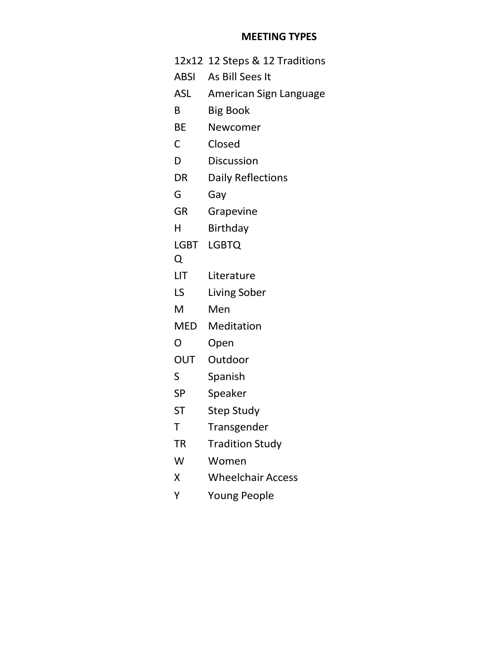# **MEETING TYPES**

|              | 12x12 12 Steps & 12 Traditions |
|--------------|--------------------------------|
| <b>ABSI</b>  | As Bill Sees It                |
| ASL          | American Sign Language         |
| B            | <b>Big Book</b>                |
| BE           | Newcomer                       |
| $\mathsf{C}$ | Closed                         |
| D            | <b>Discussion</b>              |
| DR           | Daily Reflections              |
| G            | Gay                            |
| GR           | Grapevine                      |
| н            | Birthday                       |
| LGBT         | <b>LGBTQ</b>                   |
| Q            |                                |
| LIT          | Literature                     |
| LS I         | Living Sober                   |
| M            | Men                            |
| MED          | Meditation                     |
| O            | Open                           |
| OUT          | Outdoor                        |
| S            | Spanish                        |
| SP           | Speaker                        |
| <b>ST</b>    | <b>Step Study</b>              |
| Т            | Transgender                    |
| TR           | <b>Tradition Study</b>         |
| W            | Women                          |
| Χ            | <b>Wheelchair Access</b>       |
| Y            | <b>Young People</b>            |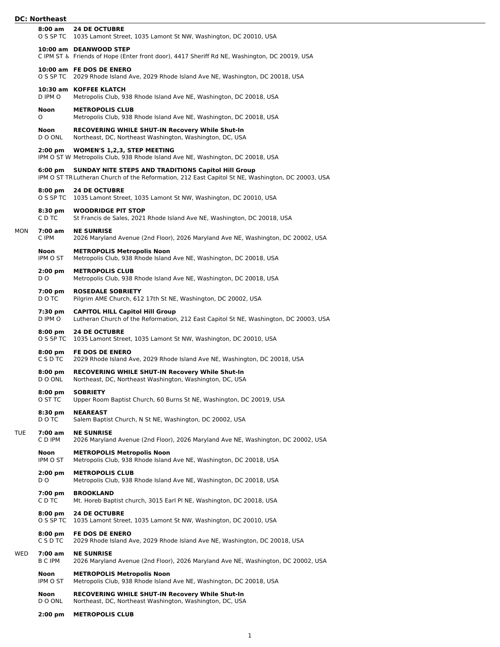# **DC: Northeast**

|     | PT. ITVI 111495                |                                                                                                                                                                 |
|-----|--------------------------------|-----------------------------------------------------------------------------------------------------------------------------------------------------------------|
|     | 8:00 am                        | <b>24 DE OCTUBRE</b><br>O S SP TC 1035 Lamont Street, 1035 Lamont St NW, Washington, DC 20010, USA                                                              |
|     |                                | 10:00 am DEANWOOD STEP<br>C IPM ST & Friends of Hope (Enter front door), 4417 Sheriff Rd NE, Washington, DC 20019, USA                                          |
|     |                                | 10:00 am FE DOS DE ENERO<br>O S SP TC 2029 Rhode Island Ave, 2029 Rhode Island Ave NE, Washington, DC 20018, USA                                                |
|     | D IPM O                        | 10:30 am KOFFEE KLATCH<br>Metropolis Club, 938 Rhode Island Ave NE, Washington, DC 20018, USA                                                                   |
|     | Noon<br>O                      | <b>METROPOLIS CLUB</b><br>Metropolis Club, 938 Rhode Island Ave NE, Washington, DC 20018, USA                                                                   |
|     | <b>Noon</b><br>D O ONL         | <b>RECOVERING WHILE SHUT-IN Recovery While Shut-In</b><br>Northeast, DC, Northeast Washington, Washington, DC, USA                                              |
|     | $2:00$ pm                      | <b>WOMEN'S 1,2,3, STEP MEETING</b><br>IPM O ST W Metropolis Club, 938 Rhode Island Ave NE, Washington, DC 20018, USA                                            |
|     | $6:00 \text{ pm}$              | <b>SUNDAY NITE STEPS AND TRADITIONS Capitol Hill Group</b><br>IPM O ST TR Lutheran Church of the Reformation, 212 East Capitol St NE, Washington, DC 20003, USA |
|     | $8:00$ pm                      | <b>24 DE OCTUBRE</b><br>O S SP TC 1035 Lamont Street, 1035 Lamont St NW, Washington, DC 20010, USA                                                              |
|     | 8:30 pm<br>C D TC              | <b>WOODRIDGE PIT STOP</b><br>St Francis de Sales, 2021 Rhode Island Ave NE, Washington, DC 20018, USA                                                           |
| MON | $7:00$ am<br>C IPM             | <b>NE SUNRISE</b><br>2026 Maryland Avenue (2nd Floor), 2026 Maryland Ave NE, Washington, DC 20002, USA                                                          |
|     | Noon<br>IPM O ST               | <b>METROPOLIS Metropolis Noon</b><br>Metropolis Club, 938 Rhode Island Ave NE, Washington, DC 20018, USA                                                        |
|     | $2:00$ pm<br>D O               | <b>METROPOLIS CLUB</b><br>Metropolis Club, 938 Rhode Island Ave NE, Washington, DC 20018, USA                                                                   |
|     | 7:00 pm<br>D O TC              | <b>ROSEDALE SOBRIETY</b><br>Pilgrim AME Church, 612 17th St NE, Washington, DC 20002, USA                                                                       |
|     | 7:30 pm<br>D IPM O             | <b>CAPITOL HILL Capitol Hill Group</b><br>Lutheran Church of the Reformation, 212 East Capitol St NE, Washington, DC 20003, USA                                 |
|     | $8:00 \text{ pm}$<br>O S SP TC | <b>24 DE OCTUBRE</b><br>1035 Lamont Street, 1035 Lamont St NW, Washington, DC 20010, USA                                                                        |
|     | $8:00 \text{ pm}$<br>C S D TC  | <b>FE DOS DE ENERO</b><br>2029 Rhode Island Ave, 2029 Rhode Island Ave NE, Washington, DC 20018, USA                                                            |
|     | $8:00 \text{ pm}$<br>D O ONL   | <b>RECOVERING WHILE SHUT-IN Recovery While Shut-In</b><br>Northeast, DC, Northeast Washington, Washington, DC, USA                                              |
|     | $8:00 \text{ pm}$<br>O ST TC   | <b>SOBRIETY</b><br>Upper Room Baptist Church, 60 Burns St NE, Washington, DC 20019, USA                                                                         |
|     | $8:30$ pm<br>D O TC            | <b>NEAREAST</b><br>Salem Baptist Church, N St NE, Washington, DC 20002, USA                                                                                     |
| TUE | 7:00 am<br>C D IPM             | <b>NE SUNRISE</b><br>2026 Maryland Avenue (2nd Floor), 2026 Maryland Ave NE, Washington, DC 20002, USA                                                          |
|     | Noon<br>IPM O ST               | <b>METROPOLIS Metropolis Noon</b><br>Metropolis Club, 938 Rhode Island Ave NE, Washington, DC 20018, USA                                                        |
|     | $2:00$ pm<br>D O               | <b>METROPOLIS CLUB</b><br>Metropolis Club, 938 Rhode Island Ave NE, Washington, DC 20018, USA                                                                   |
|     | 7:00 pm<br>C D TC              | <b>BROOKLAND</b><br>Mt. Horeb Baptist church, 3015 Earl PI NE, Washington, DC 20018, USA                                                                        |
|     | $8:00 \text{ pm}$<br>O S SP TC | <b>24 DE OCTUBRE</b><br>1035 Lamont Street, 1035 Lamont St NW, Washington, DC 20010, USA                                                                        |
|     | $8:00 \text{ pm}$<br>C S D TC  | <b>FE DOS DE ENERO</b><br>2029 Rhode Island Ave, 2029 Rhode Island Ave NE, Washington, DC 20018, USA                                                            |
| WED | 7:00 am<br>B C IPM             | <b>NE SUNRISE</b><br>2026 Maryland Avenue (2nd Floor), 2026 Maryland Ave NE, Washington, DC 20002, USA                                                          |
|     | Noon<br>IPM O ST               | <b>METROPOLIS Metropolis Noon</b><br>Metropolis Club, 938 Rhode Island Ave NE, Washington, DC 20018, USA                                                        |
|     | Noon<br>D O ONL                | <b>RECOVERING WHILE SHUT-IN Recovery While Shut-In</b><br>Northeast, DC, Northeast Washington, Washington, DC, USA                                              |
|     | $2:00$ pm                      | <b>METROPOLIS CLUB</b>                                                                                                                                          |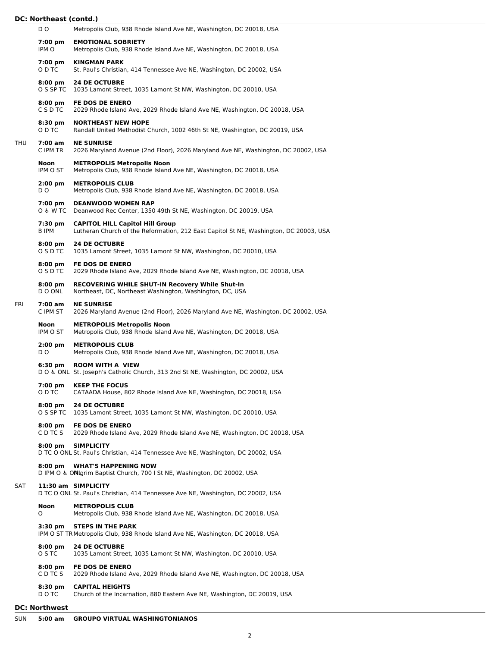|     | D O                    | Metropolis Club, 938 Rhode Island Ave NE, Washington, DC 20018, USA                                                             |
|-----|------------------------|---------------------------------------------------------------------------------------------------------------------------------|
|     | 7:00 pm<br>IPM O       | <b>EMOTIONAL SOBRIETY</b><br>Metropolis Club, 938 Rhode Island Ave NE, Washington, DC 20018, USA                                |
|     | 7:00 pm<br>O D TC      | <b>KINGMAN PARK</b><br>St. Paul's Christian, 414 Tennessee Ave NE, Washington, DC 20002, USA                                    |
|     | $8:00$ pm<br>O S SP TC | <b>24 DE OCTUBRE</b><br>1035 Lamont Street, 1035 Lamont St NW, Washington, DC 20010, USA                                        |
|     | $8:00$ pm<br>C S D TC  | <b>FE DOS DE ENERO</b><br>2029 Rhode Island Ave, 2029 Rhode Island Ave NE, Washington, DC 20018, USA                            |
|     | $8:30$ pm<br>O D TC    | <b>NORTHEAST NEW HOPE</b><br>Randall United Methodist Church, 1002 46th St NE, Washington, DC 20019, USA                        |
| THU | 7:00 am<br>C IPM TR    | <b>NE SUNRISE</b><br>2026 Maryland Avenue (2nd Floor), 2026 Maryland Ave NE, Washington, DC 20002, USA                          |
|     | Noon<br>IPM O ST       | <b>METROPOLIS Metropolis Noon</b><br>Metropolis Club, 938 Rhode Island Ave NE, Washington, DC 20018, USA                        |
|     | $2:00$ pm<br>D O       | <b>METROPOLIS CLUB</b><br>Metropolis Club, 938 Rhode Island Ave NE, Washington, DC 20018, USA                                   |
|     | 7:00 pm<br>O & W TC    | <b>DEANWOOD WOMEN RAP</b><br>Deanwood Rec Center, 1350 49th St NE, Washington, DC 20019, USA                                    |
|     | 7:30 pm<br>B IPM       | <b>CAPITOL HILL Capitol Hill Group</b><br>Lutheran Church of the Reformation, 212 East Capitol St NE, Washington, DC 20003, USA |
|     | $8:00$ pm<br>O S D TC  | <b>24 DE OCTUBRE</b><br>1035 Lamont Street, 1035 Lamont St NW, Washington, DC 20010, USA                                        |
|     | $8:00$ pm<br>O S D TC  | <b>FE DOS DE ENERO</b><br>2029 Rhode Island Ave, 2029 Rhode Island Ave NE, Washington, DC 20018, USA                            |
|     | 8:00 pm<br>D O ONL     | <b>RECOVERING WHILE SHUT-IN Recovery While Shut-In</b><br>Northeast, DC, Northeast Washington, Washington, DC, USA              |
| FRI | 7:00 am<br>C IPM ST    | <b>NE SUNRISE</b><br>2026 Maryland Avenue (2nd Floor), 2026 Maryland Ave NE, Washington, DC 20002, USA                          |
|     | Noon<br>IPM O ST       | <b>METROPOLIS Metropolis Noon</b><br>Metropolis Club, 938 Rhode Island Ave NE, Washington, DC 20018, USA                        |
|     | $2:00$ pm<br>D O       | <b>METROPOLIS CLUB</b><br>Metropolis Club, 938 Rhode Island Ave NE, Washington, DC 20018, USA                                   |
|     | 6:30 pm                | <b>ROOM WITH A VIEW</b><br>DO & ONL St. Joseph's Catholic Church, 313 2nd St NE, Washington, DC 20002, USA                      |
|     | 7:00 pm<br>O D TC      | <b>KEEP THE FOCUS</b><br>CATAADA House, 802 Rhode Island Ave NE, Washington, DC 20018, USA                                      |
|     | $8:00$ pm<br>O S SP TC | <b>24 DE OCTUBRE</b><br>1035 Lamont Street, 1035 Lamont St NW, Washington, DC 20010, USA                                        |
|     | $8:00$ pm<br>C D TC S  | <b>FE DOS DE ENERO</b><br>2029 Rhode Island Ave, 2029 Rhode Island Ave NE, Washington, DC 20018, USA                            |
|     | $8:00$ pm              | <b>SIMPLICITY</b><br>D TC O ONL St. Paul's Christian, 414 Tennessee Ave NE, Washington, DC 20002, USA                           |
|     | $8:00$ pm              | <b>WHAT'S HAPPENING NOW</b><br>D IPM O & ONIgrim Baptist Church, 700 I St NE, Washington, DC 20002, USA                         |
| SAT |                        | 11:30 am SIMPLICITY<br>D TC O ONL St. Paul's Christian, 414 Tennessee Ave NE, Washington, DC 20002, USA                         |
|     | Noon<br>0              | <b>METROPOLIS CLUB</b><br>Metropolis Club, 938 Rhode Island Ave NE, Washington, DC 20018, USA                                   |
|     | 3:30 pm                | <b>STEPS IN THE PARK</b><br>IPM O ST TR Metropolis Club, 938 Rhode Island Ave NE, Washington, DC 20018, USA                     |
|     | $8:00$ pm<br>O S TC    | <b>24 DE OCTUBRE</b><br>1035 Lamont Street, 1035 Lamont St NW, Washington, DC 20010, USA                                        |
|     | $8:00$ pm<br>C D TC S  | <b>FE DOS DE ENERO</b><br>2029 Rhode Island Ave, 2029 Rhode Island Ave NE, Washington, DC 20018, USA                            |
|     | $8:30$ pm<br>D O TC    | <b>CAPITAL HEIGHTS</b><br>Church of the Incarnation, 880 Eastern Ave NE, Washington, DC 20019, USA                              |
|     | <b>DC: Northwest</b>   |                                                                                                                                 |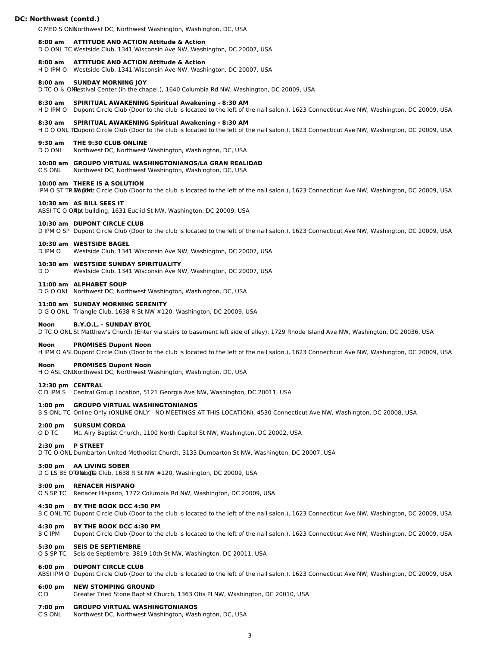C MED S ONNorthwest DC, Northwest Washington, Washington, DC, USA

#### **8:00 am ATTITUDE AND ACTION Attitude & Action**

D O ONL TC Westside Club, 1341 Wisconsin Ave NW, Washington, DC 20007, USA

#### **8:00 am ATTITUDE AND ACTION Attitude & Action**

H D IPM O Westside Club, 1341 Wisconsin Ave NW, Washington, DC 20007, USA

#### **8:00 am SUNDAY MORNING JOY**

D TC O & ON Estival Center (in the chapel.), 1640 Columbia Rd NW, Washington, DC 20009, USA

#### **8:30 am SPIRITUAL AWAKENING Spiritual Awakening - 8:30 AM**

H D IPM O Dupont Circle Club (Door to the club is located to the left of the nail salon.), 1623 Connecticut Ave NW, Washington, DC 20009, USA

#### **8:30 am SPIRITUAL AWAKENING Spiritual Awakening - 8:30 AM**

H D O ONL TDupont Circle Club (Door to the club is located to the left of the nail salon.), 1623 Connecticut Ave NW, Washington, DC 20009, USA

#### **9:30 am THE 9:30 CLUB ONLINE**

D O ONL Northwest DC, Northwest Washington, Washington, DC, USA

#### **10:00 am GROUPO VIRTUAL WASHINGTONIANOS/LA GRAN REALIDAD**

C S ONL Northwest DC, Northwest Washington, Washington, DC, USA

# **10:00 am THERE IS A SOLUTION**

IPM O ST TR DU DUM Circle Club (Door to the club is located to the left of the nail salon.), 1623 Connecticut Ave NW, Washington, DC 20009, USA

#### **10:30 am AS BILL SEES IT**

ABSI TC O ONpt building, 1631 Euclid St NW, Washington, DC 20009, USA

# **10:30 am DUPONT CIRCLE CLUB**

D IPM O SP Dupont Circle Club (Door to the club is located to the left of the nail salon.), 1623 Connecticut Ave NW, Washington, DC 20009, USA

#### **10:30 am WESTSIDE BAGEL**

D IPM O Westside Club, 1341 Wisconsin Ave NW, Washington, DC 20007, USA

#### **10:30 am WESTSIDE SUNDAY SPIRITUALITY**

D O Westside Club, 1341 Wisconsin Ave NW, Washington, DC 20007, USA

#### **11:00 am ALPHABET SOUP**

D G O ONL Northwest DC, Northwest Washington, Washington, DC, USA

# **11:00 am SUNDAY MORNING SERENITY**

D G O ONL Triangle Club, 1638 R St NW #120, Washington, DC 20009, USA

#### **Noon B.Y.O.L. - SUNDAY BYOL**

D TC O ONL St Matthew's Church (Enter via stairs to basement left side of alley), 1729 Rhode Island Ave NW, Washington, DC 20036, USA

# **Noon PROMISES Dupont Noon**

H IPM O ASLDupont Circle Club (Door to the club is located to the left of the nail salon.), 1623 Connecticut Ave NW, Washington, DC 20009, USA

### **Noon PROMISES Dupont Noon**

H O ASL ONLNorthwest DC, Northwest Washington, Washington, DC, USA

#### **12:30 pm CENTRAL**

C D IPM S Central Group Location, 5121 Georgia Ave NW, Washington, DC 20011, USA

#### **1:00 pm GROUPO VIRTUAL WASHINGTONIANOS**

B S ONL TC Online Only (ONLINE ONLY - NO MEETINGS AT THIS LOCATION), 4530 Connecticut Ave NW, Washington, DC 20008, USA

### **2:00 pm SURSUM CORDA**

O D TC Mt. Airy Baptist Church, 1100 North Capitol St NW, Washington, DC 20002, USA

# **2:30 pm P STREET**

D TC O ONL Dumbarton United Methodist Church, 3133 Dumbarton St NW, Washington, DC 20007, USA

# **3:00 pm AA LIVING SOBER**

D G LS BE O TO NAIGHT Club, 1638 R St NW #120, Washington, DC 20009, USA

#### **3:00 pm RENACER HISPANO**

O S SP TC Renacer Hispano, 1772 Columbia Rd NW, Washington, DC 20009, USA

# **4:30 pm BY THE BOOK DCC 4:30 PM**

B C ONL TC Dupont Circle Club (Door to the club is located to the left of the nail salon.), 1623 Connecticut Ave NW, Washington, DC 20009, USA

#### **4:30 pm BY THE BOOK DCC 4:30 PM**

B C IPM Dupont Circle Club (Door to the club is located to the left of the nail salon.), 1623 Connecticut Ave NW, Washington, DC 20009, USA

#### **5:30 pm SEIS DE SEPTIEMBRE**

O S SP TC Seis de Septiembre, 3819 10th St NW, Washington, DC 20011, USA

#### **6:00 pm DUPONT CIRCLE CLUB**

ABSI IPM O Dupont Circle Club (Door to the club is located to the left of the nail salon.), 1623 Connecticut Ave NW, Washington, DC 20009, USA

# **6:00 pm NEW STOMPING GROUND**

C D Greater Tried Stone Baptist Church, 1363 Otis Pl NW, Washington, DC 20010, USA

#### **7:00 pm GROUPO VIRTUAL WASHINGTONIANOS**

C S ONL Northwest DC, Northwest Washington, Washington, DC, USA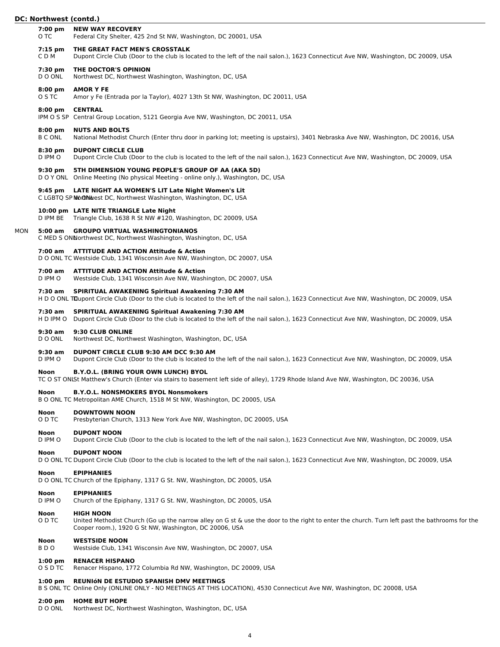|     | 7:00 pm<br>O TC              | <b>NEW WAY RECOVERY</b><br>Federal City Shelter, 425 2nd St NW, Washington, DC 20001, USA                                                                                                                                   |
|-----|------------------------------|-----------------------------------------------------------------------------------------------------------------------------------------------------------------------------------------------------------------------------|
|     | $7:15$ pm<br>CD <sub>M</sub> | THE GREAT FACT MEN'S CROSSTALK<br>Dupont Circle Club (Door to the club is located to the left of the nail salon.), 1623 Connecticut Ave NW, Washington, DC 20009, USA                                                       |
|     | 7:30 pm<br>D O ONL           | THE DOCTOR'S OPINION<br>Northwest DC, Northwest Washington, Washington, DC, USA                                                                                                                                             |
|     | $8:00 \text{ pm}$<br>O S TC  | <b>AMOR Y FE</b><br>Amor y Fe (Entrada por la Taylor), 4027 13th St NW, Washington, DC 20011, USA                                                                                                                           |
|     | $8:00$ pm                    | <b>CENTRAL</b><br>IPM O S SP Central Group Location, 5121 Georgia Ave NW, Washington, DC 20011, USA                                                                                                                         |
|     | $8:00$ pm<br><b>B C ONL</b>  | <b>NUTS AND BOLTS</b><br>National Methodist Church (Enter thru door in parking lot; meeting is upstairs), 3401 Nebraska Ave NW, Washington, DC 20016, USA                                                                   |
|     | $8:30$ pm<br>D IPM O         | <b>DUPONT CIRCLE CLUB</b><br>Dupont Circle Club (Door to the club is located to the left of the nail salon.), 1623 Connecticut Ave NW, Washington, DC 20009, USA                                                            |
|     | $9:30 \text{ pm}$            | 5TH DIMENSION YOUNG PEOPLE'S GROUP OF AA (AKA 5D)<br>DOY ONL Online Meeting (No physical Meeting - online only.), Washington, DC, USA                                                                                       |
|     |                              | 9:45 pm LATE NIGHT AA WOMEN'S LIT Late Night Women's Lit<br>C LGBTQ SP Mo@NMest DC, Northwest Washington, Washington, DC, USA                                                                                               |
|     |                              | 10:00 pm LATE NITE TRIANGLE Late Night<br>D IPM BE Triangle Club, 1638 R St NW #120, Washington, DC 20009, USA                                                                                                              |
| MON | 5:00 am                      | <b>GROUPO VIRTUAL WASHINGTONIANOS</b><br>C MED S ONNorthwest DC, Northwest Washington, Washington, DC, USA                                                                                                                  |
|     |                              | 7:00 am ATTITUDE AND ACTION Attitude & Action<br>D O ONL TC Westside Club, 1341 Wisconsin Ave NW, Washington, DC 20007, USA                                                                                                 |
|     | $7:00$ am<br>D IPM O         | <b>ATTITUDE AND ACTION Attitude &amp; Action</b><br>Westside Club, 1341 Wisconsin Ave NW, Washington, DC 20007, USA                                                                                                         |
|     | 7:30 am                      | <b>SPIRITUAL AWAKENING Spiritual Awakening 7:30 AM</b><br>H D O ONL TDupont Circle Club (Door to the club is located to the left of the nail salon.), 1623 Connecticut Ave NW, Washington, DC 20009, USA                    |
|     | 7:30 am                      | <b>SPIRITUAL AWAKENING Spiritual Awakening 7:30 AM</b><br>H D IPM O Dupont Circle Club (Door to the club is located to the left of the nail salon.), 1623 Connecticut Ave NW, Washington, DC 20009, USA                     |
|     | $9:30$ am<br>D O ONL         | 9:30 CLUB ONLINE<br>Northwest DC, Northwest Washington, Washington, DC, USA                                                                                                                                                 |
|     | $9:30$ am<br>D IPM O         | DUPONT CIRCLE CLUB 9:30 AM DCC 9:30 AM<br>Dupont Circle Club (Door to the club is located to the left of the nail salon.), 1623 Connecticut Ave NW, Washington, DC 20009, USA                                               |
|     | Noon                         | <b>B.Y.O.L. (BRING YOUR OWN LUNCH) BYOL</b><br>TC O ST ONLSt Matthew's Church (Enter via stairs to basement left side of alley), 1729 Rhode Island Ave NW, Washington, DC 20036, USA                                        |
|     | Noon                         | <b>B.Y.O.L. NONSMOKERS BYOL Nonsmokers</b><br>B O ONL TC Metropolitan AME Church, 1518 M St NW, Washington, DC 20005, USA                                                                                                   |
|     | Noon<br>O D TC               | <b>DOWNTOWN NOON</b><br>Presbyterian Church, 1313 New York Ave NW, Washington, DC 20005, USA                                                                                                                                |
|     | Noon<br>D IPM O              | <b>DUPONT NOON</b><br>Dupont Circle Club (Door to the club is located to the left of the nail salon.), 1623 Connecticut Ave NW, Washington, DC 20009, USA                                                                   |
|     | Noon                         | <b>DUPONT NOON</b><br>D O ONL TC Dupont Circle Club (Door to the club is located to the left of the nail salon.), 1623 Connecticut Ave NW, Washington, DC 20009, USA                                                        |
|     | <b>Noon</b>                  | <b>EPIPHANIES</b><br>D O ONL TC Church of the Epiphany, 1317 G St. NW, Washington, DC 20005, USA                                                                                                                            |
|     | Noon<br>D IPM O              | <b>EPIPHANIES</b><br>Church of the Epiphany, 1317 G St. NW, Washington, DC 20005, USA                                                                                                                                       |
|     | Noon<br>O D TC               | <b>HIGH NOON</b><br>United Methodist Church (Go up the narrow alley on G st & use the door to the right to enter the church. Turn left past the bathrooms for the<br>Cooper room.), 1920 G St NW, Washington, DC 20006, USA |
|     | Noon<br>BDO                  | <b>WESTSIDE NOON</b><br>Westside Club, 1341 Wisconsin Ave NW, Washington, DC 20007, USA                                                                                                                                     |
|     | $1:00$ pm<br>O S D TC        | <b>RENACER HISPANO</b><br>Renacer Hispano, 1772 Columbia Rd NW, Washington, DC 20009, USA                                                                                                                                   |
|     |                              |                                                                                                                                                                                                                             |

#### **1:00 pm REUNIóN DE ESTUDIO SPANISH DMV MEETINGS**

B S ONL TC Online Only (ONLINE ONLY - NO MEETINGS AT THIS LOCATION), 4530 Connecticut Ave NW, Washington, DC 20008, USA

# **2:00 pm HOME BUT HOPE**

D O ONL Northwest DC, Northwest Washington, Washington, DC, USA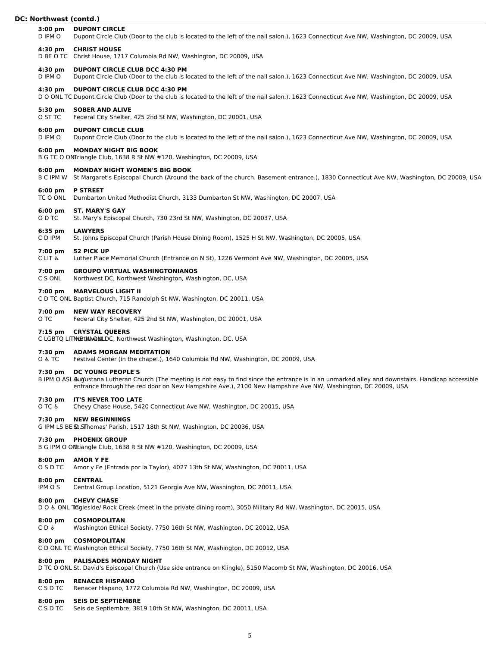# **3:00 pm DUPONT CIRCLE** D IPM O Dupont Circle Club (Door to the club is located to the left of the nail salon.), 1623 Connecticut Ave NW, Washington, DC 20009, USA **4:30 pm CHRIST HOUSE** D BE O TC Christ House, 1717 Columbia Rd NW, Washington, DC 20009, USA **4:30 pm DUPONT CIRCLE CLUB DCC 4:30 PM** D IPM O Dupont Circle Club (Door to the club is located to the left of the nail salon.), 1623 Connecticut Ave NW, Washington, DC 20009, USA **4:30 pm DUPONT CIRCLE CLUB DCC 4:30 PM** D O ONL TC Dupont Circle Club (Door to the club is located to the left of the nail salon.), 1623 Connecticut Ave NW, Washington, DC 20009, USA **5:30 pm SOBER AND ALIVE** O ST TC Federal City Shelter, 425 2nd St NW, Washington, DC 20001, USA **6:00 pm DUPONT CIRCLE CLUB** D IPM O Dupont Circle Club (Door to the club is located to the left of the nail salon.), 1623 Connecticut Ave NW, Washington, DC 20009, USA **6:00 pm MONDAY NIGHT BIG BOOK** B G TC O ONLriangle Club, 1638 R St NW #120, Washington, DC 20009, USA **6:00 pm MONDAY NIGHT WOMEN'S BIG BOOK** B C IPM W St Margaret's Episcopal Church (Around the back of the church. Basement entrance.), 1830 Connecticut Ave NW, Washington, DC 20009, USA **6:00 pm P STREET** TC O ONL Dumbarton United Methodist Church, 3133 Dumbarton St NW, Washington, DC 20007, USA **6:00 pm ST. MARY'S GAY** O D TC St. Mary's Episcopal Church, 730 23rd St NW, Washington, DC 20037, USA **6:35 pm LAWYERS** C D IPM St. Johns Episcopal Church (Parish House Dining Room), 1525 H St NW, Washington, DC 20005, USA **7:00 pm 52 PICK UP** C LIT ♿︎ Luther Place Memorial Church (Entrance on N St), 1226 Vermont Ave NW, Washington, DC 20005, USA **7:00 pm GROUPO VIRTUAL WASHINGTONIANOS** C S ONL Northwest DC, Northwest Washington, Washington, DC, USA **7:00 pm MARVELOUS LIGHT II**

C D TC ONL Baptist Church, 715 Randolph St NW, Washington, DC 20011, USA

#### **7:00 pm NEW WAY RECOVERY**

O TC Federal City Shelter, 425 2nd St NW, Washington, DC 20001, USA

#### **7:15 pm CRYSTAL QUEERS**

C LGBTQ LITNUB tWA GALLDC, Northwest Washington, Washington, DC, USA

# **7:30 pm ADAMS MORGAN MEDITATION**

O ♿︎ TC Festival Center (in the chapel.), 1640 Columbia Rd NW, Washington, DC 20009, USA

#### **7:30 pm DC YOUNG PEOPLE'S**

B IPM O ASL Augustana Lutheran Church (The meeting is not easy to find since the entrance is in an unmarked alley and downstairs. Handicap accessible entrance through the red door on New Hampshire Ave.), 2100 New Hampshire Ave NW, Washington, DC 20009, USA

#### **7:30 pm IT'S NEVER TOO LATE**

O TC & Chevy Chase House, 5420 Connecticut Ave NW, Washington, DC 20015, USA

#### **7:30 pm NEW BEGINNINGS**

G IPM LS BE St. STThomas' Parish, 1517 18th St NW, Washington, DC 20036, USA

#### **7:30 pm PHOENIX GROUP**

B G IPM O ON Liangle Club, 1638 R St NW #120, Washington, DC 20009, USA

#### **8:00 pm AMOR Y FE**

O S D TC Amor y Fe (Entrada por la Taylor), 4027 13th St NW, Washington, DC 20011, USA

# **8:00 pm CENTRAL**

IPM O S Central Group Location, 5121 Georgia Ave NW, Washington, DC 20011, USA

# **8:00 pm CHEVY CHASE**

D O & ONL Tingleside/ Rock Creek (meet in the private dining room), 3050 Military Rd NW, Washington, DC 20015, USA

# **8:00 pm COSMOPOLITAN**

C D ♿︎ Washington Ethical Society, 7750 16th St NW, Washington, DC 20012, USA

#### **8:00 pm COSMOPOLITAN**

C D ONL TC Washington Ethical Society, 7750 16th St NW, Washington, DC 20012, USA

# **8:00 pm PALISADES MONDAY NIGHT**

D TC O ONL St. David's Episcopal Church (Use side entrance on Klingle), 5150 Macomb St NW, Washington, DC 20016, USA

#### **8:00 pm RENACER HISPANO**

C S D TC Renacer Hispano, 1772 Columbia Rd NW, Washington, DC 20009, USA

# **8:00 pm SEIS DE SEPTIEMBRE**

C S D TC Seis de Septiembre, 3819 10th St NW, Washington, DC 20011, USA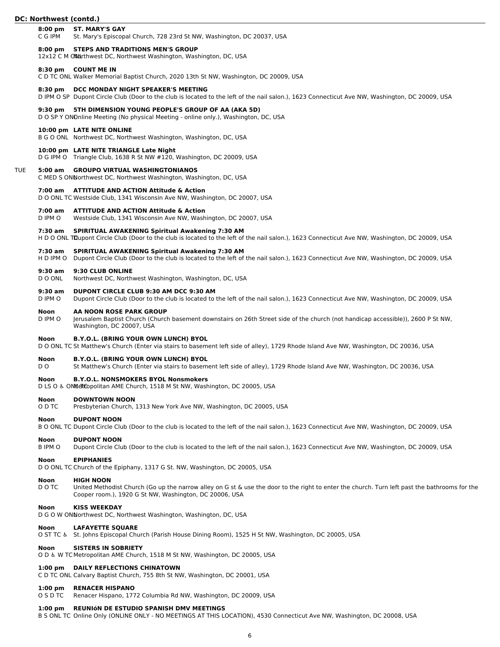# **8:00 pm ST. MARY'S GAY**

C G IPM St. Mary's Episcopal Church, 728 23rd St NW, Washington, DC 20037, USA

#### **8:00 pm STEPS AND TRADITIONS MEN'S GROUP**

12x12 C M ON Urthwest DC, Northwest Washington, Washington, DC, USA

#### **8:30 pm COUNT ME IN**

C D TC ONL Walker Memorial Baptist Church, 2020 13th St NW, Washington, DC 20009, USA

#### **8:30 pm DCC MONDAY NIGHT SPEAKER'S MEETING**

D IPM O SP Dupont Circle Club (Door to the club is located to the left of the nail salon.), 1623 Connecticut Ave NW, Washington, DC 20009, USA

#### **9:30 pm 5TH DIMENSION YOUNG PEOPLE'S GROUP OF AA (AKA 5D)**

D O SP Y ONDnline Meeting (No physical Meeting - online only.), Washington, DC, USA

# **10:00 pm LATE NITE ONLINE**

B G O ONL Northwest DC, Northwest Washington, Washington, DC, USA

#### **10:00 pm LATE NITE TRIANGLE Late Night**

D G IPM O Triangle Club, 1638 R St NW #120, Washington, DC 20009, USA

#### TUE **5:00 am GROUPO VIRTUAL WASHINGTONIANOS**

C MED S ONNorthwest DC, Northwest Washington, Washington, DC, USA

#### **7:00 am ATTITUDE AND ACTION Attitude & Action**

D O ONL TC Westside Club, 1341 Wisconsin Ave NW, Washington, DC 20007, USA

#### **7:00 am ATTITUDE AND ACTION Attitude & Action**

D IPM O Westside Club, 1341 Wisconsin Ave NW, Washington, DC 20007, USA

#### **7:30 am SPIRITUAL AWAKENING Spiritual Awakening 7:30 AM**

H D O ONL TDupont Circle Club (Door to the club is located to the left of the nail salon.), 1623 Connecticut Ave NW, Washington, DC 20009, USA

# **7:30 am SPIRITUAL AWAKENING Spiritual Awakening 7:30 AM**

H D IPM O Dupont Circle Club (Door to the club is located to the left of the nail salon.), 1623 Connecticut Ave NW, Washington, DC 20009, USA

#### **9:30 am 9:30 CLUB ONLINE**

D O ONL Northwest DC, Northwest Washington, Washington, DC, USA

#### **9:30 am DUPONT CIRCLE CLUB 9:30 AM DCC 9:30 AM**

D IPM O Dupont Circle Club (Door to the club is located to the left of the nail salon.), 1623 Connecticut Ave NW, Washington, DC 20009, USA

#### **Noon AA NOON ROSE PARK GROUP**

D IPM O Jerusalem Baptist Church (Church basement downstairs on 26th Street side of the church (not handicap accessible)), 2600 P St NW, Washington, DC 20007, USA

# **Noon B.Y.O.L. (BRING YOUR OWN LUNCH) BYOL**

D O ONL TC St Matthew's Church (Enter via stairs to basement left side of alley), 1729 Rhode Island Ave NW, Washington, DC 20036, USA

#### **Noon B.Y.O.L. (BRING YOUR OWN LUNCH) BYOL**

D O St Matthew's Church (Enter via stairs to basement left side of alley), 1729 Rhode Island Ave NW, Washington, DC 20036, USA

#### **Noon B.Y.O.L. NONSMOKERS BYOL Nonsmokers**

D LS O & ONMET Copolitan AME Church, 1518 M St NW, Washington, DC 20005, USA

#### **Noon DOWNTOWN NOON**

O D TC Presbyterian Church, 1313 New York Ave NW, Washington, DC 20005, USA

#### **Noon DUPONT NOON**

B O ONL TC Dupont Circle Club (Door to the club is located to the left of the nail salon.), 1623 Connecticut Ave NW, Washington, DC 20009, USA

#### **Noon DUPONT NOON**

B IPM O Dupont Circle Club (Door to the club is located to the left of the nail salon.), 1623 Connecticut Ave NW, Washington, DC 20009, USA

#### **Noon EPIPHANIES**

D O ONL TC Church of the Epiphany, 1317 G St. NW, Washington, DC 20005, USA

# **Noon HIGH NOON**

D O TC United Methodist Church (Go up the narrow alley on G st & use the door to the right to enter the church. Turn left past the bathrooms for the Cooper room.), 1920 G St NW, Washington, DC 20006, USA

#### **Noon KISS WEEKDAY**

D G O W ONNorthwest DC, Northwest Washington, Washington, DC, USA

#### **Noon LAFAYETTE SQUARE**

O ST TC ♿︎ St. Johns Episcopal Church (Parish House Dining Room), 1525 H St NW, Washington, DC 20005, USA

#### **Noon SISTERS IN SOBRIETY**

O D ♿︎ W TC Metropolitan AME Church, 1518 M St NW, Washington, DC 20005, USA

# **1:00 pm DAILY REFLECTIONS CHINATOWN**

C D TC ONL Calvary Baptist Church, 755 8th St NW, Washington, DC 20001, USA

#### **1:00 pm RENACER HISPANO**

O S D TC Renacer Hispano, 1772 Columbia Rd NW, Washington, DC 20009, USA

#### **1:00 pm REUNIóN DE ESTUDIO SPANISH DMV MEETINGS**

B S ONL TC Online Only (ONLINE ONLY - NO MEETINGS AT THIS LOCATION), 4530 Connecticut Ave NW, Washington, DC 20008, USA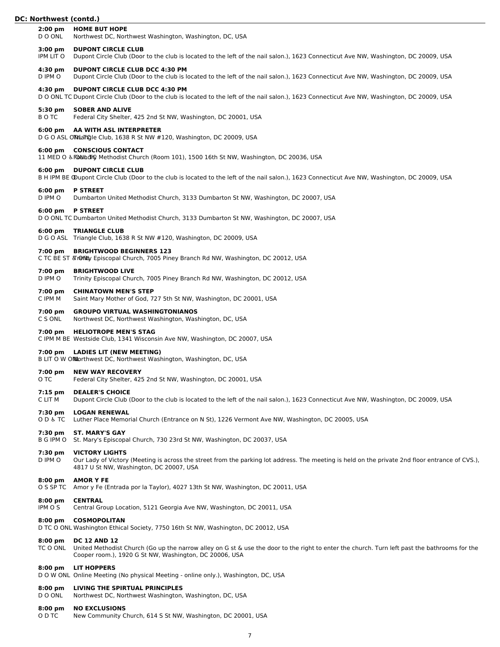#### **2:00 pm HOME BUT HOPE**

D O ONL Northwest DC, Northwest Washington, Washington, DC, USA

#### **3:00 pm DUPONT CIRCLE CLUB**

IPM LIT O Dupont Circle Club (Door to the club is located to the left of the nail salon.), 1623 Connecticut Ave NW, Washington, DC 20009, USA

#### **4:30 pm DUPONT CIRCLE CLUB DCC 4:30 PM**

D IPM O Dupont Circle Club (Door to the club is located to the left of the nail salon.), 1623 Connecticut Ave NW, Washington, DC 20009, USA

#### **4:30 pm DUPONT CIRCLE CLUB DCC 4:30 PM**

D O ONL TC Dupont Circle Club (Door to the club is located to the left of the nail salon.), 1623 Connecticut Ave NW, Washington, DC 20009, USA

#### **5:30 pm SOBER AND ALIVE**

B O TC Federal City Shelter, 425 2nd St NW, Washington, DC 20001, USA

#### **6:00 pm AA WITH ASL INTERPRETER**

D G O ASL ON TIGle Club, 1638 R St NW #120, Washington, DC 20009, USA

#### **6:00 pm CONSCIOUS CONTACT**

11 MED O & FONL TG Methodist Church (Room 101), 1500 16th St NW, Washington, DC 20036, USA

# **6:00 pm DUPONT CIRCLE CLUB**

B H IPM BE ODupont Circle Club (Door to the club is located to the left of the nail salon.), 1623 Connecticut Ave NW, Washington, DC 20009, USA

#### **6:00 pm P STREET**

D IPM O Dumbarton United Methodist Church, 3133 Dumbarton St NW, Washington, DC 20007, USA

**6:00 pm P STREET**

D O ONL TC Dumbarton United Methodist Church, 3133 Dumbarton St NW, Washington, DC 20007, USA

#### **6:00 pm TRIANGLE CLUB**

D G O ASL Triangle Club, 1638 R St NW #120, Washington, DC 20009, USA

#### **7:00 pm BRIGHTWOOD BEGINNERS 123**

C TC BE ST & rondby Episcopal Church, 7005 Piney Branch Rd NW, Washington, DC 20012, USA

# **7:00 pm BRIGHTWOOD LIVE**

D IPM O Trinity Episcopal Church, 7005 Piney Branch Rd NW, Washington, DC 20012, USA

# **7:00 pm CHINATOWN MEN'S STEP**

C IPM M Saint Mary Mother of God, 727 5th St NW, Washington, DC 20001, USA

# **7:00 pm GROUPO VIRTUAL WASHINGTONIANOS**

C S ONL Northwest DC, Northwest Washington, Washington, DC, USA

# **7:00 pm HELIOTROPE MEN'S STAG**

C IPM M BE Westside Club, 1341 Wisconsin Ave NW, Washington, DC 20007, USA

#### **7:00 pm LADIES LIT (NEW MEETING)**

B LIT O W ONLorthwest DC, Northwest Washington, Washington, DC, USA

#### **7:00 pm NEW WAY RECOVERY**

O TC Federal City Shelter, 425 2nd St NW, Washington, DC 20001, USA

#### **7:15 pm DEALER'S CHOICE**

C LIT M Dupont Circle Club (Door to the club is located to the left of the nail salon.), 1623 Connecticut Ave NW, Washington, DC 20009, USA

#### **7:30 pm LOGAN RENEWAL**

O D ♿︎ TC Luther Place Memorial Church (Entrance on N St), 1226 Vermont Ave NW, Washington, DC 20005, USA

# **7:30 pm ST. MARY'S GAY**

B G IPM O St. Mary's Episcopal Church, 730 23rd St NW, Washington, DC 20037, USA

#### **7:30 pm VICTORY LIGHTS**

D IPM O Our Lady of Victory (Meeting is across the street from the parking lot address. The meeting is held on the private 2nd floor entrance of CVS.), 4817 U St NW, Washington, DC 20007, USA

#### **8:00 pm AMOR Y FE**

O S SP TC Amor y Fe (Entrada por la Taylor), 4027 13th St NW, Washington, DC 20011, USA

#### **8:00 pm CENTRAL**

IPM O S Central Group Location, 5121 Georgia Ave NW, Washington, DC 20011, USA

# **8:00 pm COSMOPOLITAN**

D TC O ONL Washington Ethical Society, 7750 16th St NW, Washington, DC 20012, USA

#### **8:00 pm DC 12 AND 12**

TC O ONL United Methodist Church (Go up the narrow alley on G st & use the door to the right to enter the church. Turn left past the bathrooms for the Cooper room.), 1920 G St NW, Washington, DC 20006, USA

#### **8:00 pm LIT HOPPERS**

D O W ONL Online Meeting (No physical Meeting - online only.), Washington, DC, USA

# **8:00 pm LIVING THE SPIRTUAL PRINCIPLES**

Northwest DC, Northwest Washington, Washington, DC, USA

#### **8:00 pm NO EXCLUSIONS**

O D TC New Community Church, 614 S St NW, Washington, DC 20001, USA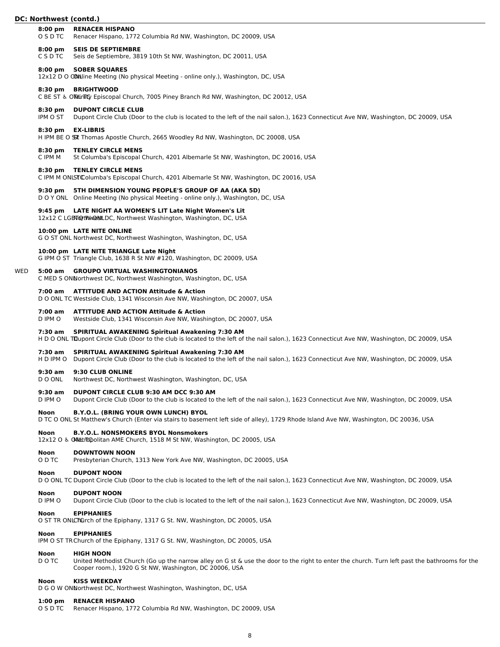|     | אטרנוו <b>wes</b> t (Conta. <i>)</i> |                                                                                                                                                                                                          |
|-----|--------------------------------------|----------------------------------------------------------------------------------------------------------------------------------------------------------------------------------------------------------|
|     | $8:00 \text{ pm}$<br>O S D TC        | <b>RENACER HISPANO</b><br>Renacer Hispano, 1772 Columbia Rd NW, Washington, DC 20009, USA                                                                                                                |
|     | $8:00 \text{ pm}$<br>C S D TC        | <b>SEIS DE SEPTIEMBRE</b><br>Seis de Septiembre, 3819 10th St NW, Washington, DC 20011, USA                                                                                                              |
|     | $8:00 \text{ pm}$                    | <b>SOBER SQUARES</b><br>12x12 D O COMiline Meeting (No physical Meeting - online only.), Washington, DC, USA                                                                                             |
|     | 8:30 pm                              | <b>BRIGHTWOOD</b><br>C BE ST & Ollunity Episcopal Church, 7005 Piney Branch Rd NW, Washington, DC 20012, USA                                                                                             |
|     | 8:30 pm<br>IPM O ST                  | <b>DUPONT CIRCLE CLUB</b><br>Dupont Circle Club (Door to the club is located to the left of the nail salon.), 1623 Connecticut Ave NW, Washington, DC 20009, USA                                         |
|     | 8:30 pm                              | <b>EX-LIBRIS</b><br>H IPM BE O SST Thomas Apostle Church, 2665 Woodley Rd NW, Washington, DC 20008, USA                                                                                                  |
|     | 8:30 pm<br>C IPM M                   | <b>TENLEY CIRCLE MENS</b><br>St Columba's Episcopal Church, 4201 Albemarle St NW, Washington, DC 20016, USA                                                                                              |
|     | 8:30 pm                              | <b>TENLEY CIRCLE MENS</b><br>C IPM M ONLST Columba's Episcopal Church, 4201 Albemarle St NW, Washington, DC 20016, USA                                                                                   |
|     | $9:30$ pm                            | 5TH DIMENSION YOUNG PEOPLE'S GROUP OF AA (AKA 5D)<br>D O Y ONL Online Meeting (No physical Meeting - online only.), Washington, DC, USA                                                                  |
|     |                                      | 9:45 pm LATE NIGHT AA WOMEN'S LIT Late Night Women's Lit<br>12x12 C LGB TO tWW C StLDC, Northwest Washington, Washington, DC, USA                                                                        |
|     |                                      | 10:00 pm LATE NITE ONLINE<br>G O ST ONL Northwest DC, Northwest Washington, Washington, DC, USA                                                                                                          |
|     |                                      | 10:00 pm LATE NITE TRIANGLE Late Night<br>G IPM O ST Triangle Club, 1638 R St NW #120, Washington, DC 20009, USA                                                                                         |
| WED | 5:00 am                              | <b>GROUPO VIRTUAL WASHINGTONIANOS</b><br>C MED S ONNorthwest DC, Northwest Washington, Washington, DC, USA                                                                                               |
|     |                                      | 7:00 am ATTITUDE AND ACTION Attitude & Action<br>D O ONL TC Westside Club, 1341 Wisconsin Ave NW, Washington, DC 20007, USA                                                                              |
|     | 7:00 am<br>D IPM O                   | <b>ATTITUDE AND ACTION Attitude &amp; Action</b><br>Westside Club, 1341 Wisconsin Ave NW, Washington, DC 20007, USA                                                                                      |
|     | 7:30 am                              | <b>SPIRITUAL AWAKENING Spiritual Awakening 7:30 AM</b><br>H D O ONL Trupont Circle Club (Door to the club is located to the left of the nail salon.), 1623 Connecticut Ave NW, Washington, DC 20009, USA |
|     | 7:30 am<br>H D IPM O                 | <b>SPIRITUAL AWAKENING Spiritual Awakening 7:30 AM</b><br>Dupont Circle Club (Door to the club is located to the left of the nail salon.), 1623 Connecticut Ave NW, Washington, DC 20009, USA            |
|     | 9:30 am<br>D O ONL                   | 9:30 CLUB ONLINE<br>Northwest DC, Northwest Washington, Washington, DC, USA                                                                                                                              |
|     | 9:30 am<br>D IPM O                   | DUPONT CIRCLE CLUB 9:30 AM DCC 9:30 AM<br>Dupont Circle Club (Door to the club is located to the left of the nail salon.), 1623 Connecticut Ave NW, Washington, DC 20009, USA                            |
|     | Noon                                 | <b>B.Y.O.L. (BRING YOUR OWN LUNCH) BYOL</b><br>D TC O ONL St Matthew's Church (Enter via stairs to basement left side of alley), 1729 Rhode Island Ave NW, Washington, DC 20036, USA                     |
|     | Noon                                 | <b>B.Y.O.L. NONSMOKERS BYOL Nonsmokers</b><br>12x12 O & ONHETTGO politan AME Church, 1518 M St NW, Washington, DC 20005, USA                                                                             |
|     | Noon<br>O D TC                       | <b>DOWNTOWN NOON</b><br>Presbyterian Church, 1313 New York Ave NW, Washington, DC 20005, USA                                                                                                             |
|     | Noon                                 | <b>DUPONT NOON</b><br>D O ONL TC Dupont Circle Club (Door to the club is located to the left of the nail salon.), 1623 Connecticut Ave NW, Washington, DC 20009, USA                                     |

# **Noon DUPONT NOON**<br>D IPM O Dupont Circle Clu

Dupont Circle Club (Door to the club is located to the left of the nail salon.), 1623 Connecticut Ave NW, Washington, DC 20009, USA

# **Noon EPIPHANIES**

O ST TR ONLChurch of the Epiphany, 1317 G St. NW, Washington, DC 20005, USA

# **Noon EPIPHANIES**

IPM O ST TRChurch of the Epiphany, 1317 G St. NW, Washington, DC 20005, USA

# **Noon HIGH NOON**<br>DOTC United Methor

United Methodist Church (Go up the narrow alley on G st & use the door to the right to enter the church. Turn left past the bathrooms for the Cooper room.), 1920 G St NW, Washington, DC 20006, USA

# **Noon KISS WEEKDAY**

D G O W ONNorthwest DC, Northwest Washington, Washington, DC, USA

# **1:00 pm RENACER HISPANO**

O S D TC Renacer Hispano, 1772 Columbia Rd NW, Washington, DC 20009, USA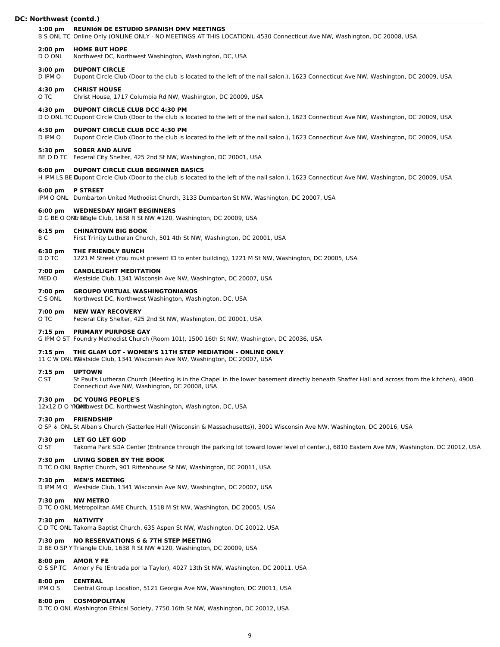# **1:00 pm REUNIóN DE ESTUDIO SPANISH DMV MEETINGS** B S ONL TC Online Only (ONLINE ONLY - NO MEETINGS AT THIS LOCATION), 4530 Connecticut Ave NW, Washington, DC 20008, USA **2:00 pm HOME BUT HOPE** D O ONL Northwest DC, Northwest Washington, Washington, DC, USA **3:00 pm DUPONT CIRCLE** D IPM O Dupont Circle Club (Door to the club is located to the left of the nail salon.), 1623 Connecticut Ave NW, Washington, DC 20009, USA **4:30 pm CHRIST HOUSE** O TC Christ House, 1717 Columbia Rd NW, Washington, DC 20009, USA **4:30 pm DUPONT CIRCLE CLUB DCC 4:30 PM** D O ONL TC Dupont Circle Club (Door to the club is located to the left of the nail salon.), 1623 Connecticut Ave NW, Washington, DC 20009, USA **4:30 pm DUPONT CIRCLE CLUB DCC 4:30 PM** D IPM O Dupont Circle Club (Door to the club is located to the left of the nail salon.), 1623 Connecticut Ave NW, Washington, DC 20009, USA **5:30 pm SOBER AND ALIVE** BE O D TC Federal City Shelter, 425 2nd St NW, Washington, DC 20001, USA **6:00 pm DUPONT CIRCLE CLUB BEGINNER BASICS** H IPM LS BE Dupont Circle Club (Door to the club is located to the left of the nail salon.), 1623 Connecticut Ave NW, Washington, DC 20009, USA **6:00 pm P STREET** IPM O ONL Dumbarton United Methodist Church, 3133 Dumbarton St NW, Washington, DC 20007, USA **6:00 pm WEDNESDAY NIGHT BEGINNERS** D G BE O ONL TEGGIE Club, 1638 R St NW #120, Washington, DC 20009, USA **6:15 pm CHINATOWN BIG BOOK** B C First Trinity Lutheran Church, 501 4th St NW, Washington, DC 20001, USA **6:30 pm THE FRIENDLY BUNCH**

D O TC 1221 M Street (You must present ID to enter building), 1221 M St NW, Washington, DC 20005, USA

# **7:00 pm CANDLELIGHT MEDITATION**

MED O Westside Club, 1341 Wisconsin Ave NW, Washington, DC 20007, USA

# **7:00 pm GROUPO VIRTUAL WASHINGTONIANOS**

C S ONL Northwest DC, Northwest Washington, Washington, DC, USA

# **7:00 pm NEW WAY RECOVERY**

O TC Federal City Shelter, 425 2nd St NW, Washington, DC 20001, USA

# **7:15 pm PRIMARY PURPOSE GAY**

G IPM O ST Foundry Methodist Church (Room 101), 1500 16th St NW, Washington, DC 20036, USA

# **7:15 pm THE GLAM LOT - WOMEN'S 11TH STEP MEDIATION - ONLINE ONLY**

# 11 C W ONL Westside Club, 1341 Wisconsin Ave NW, Washington, DC 20007, USA

# **7:15 pm UPTOWN**

C ST St Paul's Lutheran Church (Meeting is in the Chapel in the lower basement directly beneath Shaffer Hall and across from the kitchen), 4900 Connecticut Ave NW, Washington, DC 20008, USA

# **7:30 pm DC YOUNG PEOPLE'S**

12x12 D O YNON thwest DC, Northwest Washington, Washington, DC, USA

# **7:30 pm FRIENDSHIP**

O SP ♿︎ ONL St Alban's Church (Satterlee Hall (Wisconsin & Massachusetts)), 3001 Wisconsin Ave NW, Washington, DC 20016, USA

# **7:30 pm LET GO LET GOD**

O ST Takoma Park SDA Center (Entrance through the parking lot toward lower level of center.), 6810 Eastern Ave NW, Washington, DC 20012, USA

# **7:30 pm LIVING SOBER BY THE BOOK**

D TC O ONL Baptist Church, 901 Rittenhouse St NW, Washington, DC 20011, USA

# **7:30 pm MEN'S MEETING**

D IPM M O Westside Club, 1341 Wisconsin Ave NW, Washington, DC 20007, USA

# **7:30 pm NW METRO**

D TC O ONL Metropolitan AME Church, 1518 M St NW, Washington, DC 20005, USA

# **7:30 pm NATIVITY**

C D TC ONL Takoma Baptist Church, 635 Aspen St NW, Washington, DC 20012, USA

# **7:30 pm NO RESERVATIONS 6 & 7TH STEP MEETING**

D BE O SP Y Triangle Club, 1638 R St NW #120, Washington, DC 20009, USA

# **8:00 pm AMOR Y FE**

O S SP TC Amor y Fe (Entrada por la Taylor), 4027 13th St NW, Washington, DC 20011, USA

# **8:00 pm CENTRAL**

IPM O S Central Group Location, 5121 Georgia Ave NW, Washington, DC 20011, USA

# **8:00 pm COSMOPOLITAN**

D TC O ONL Washington Ethical Society, 7750 16th St NW, Washington, DC 20012, USA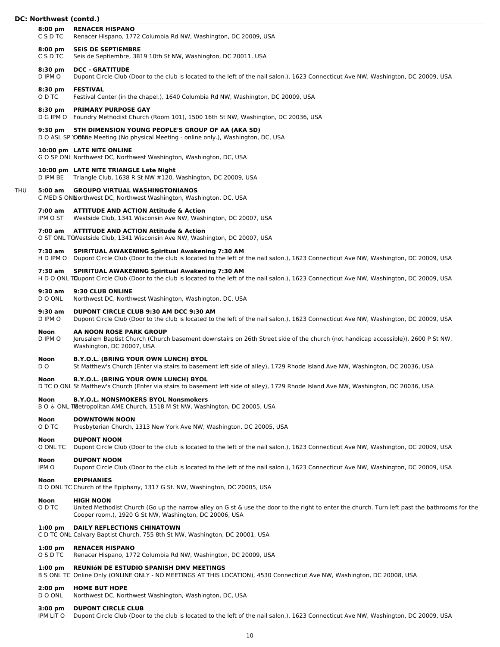# DC

|     | DC: Northwest (contd.)         |                                                                                                                                                                                                          |  |
|-----|--------------------------------|----------------------------------------------------------------------------------------------------------------------------------------------------------------------------------------------------------|--|
|     | $8:00$ pm<br>C S D TC          | <b>RENACER HISPANO</b><br>Renacer Hispano, 1772 Columbia Rd NW, Washington, DC 20009, USA                                                                                                                |  |
|     | $8:00$ pm<br>C S D TC          | <b>SEIS DE SEPTIEMBRE</b><br>Seis de Septiembre, 3819 10th St NW, Washington, DC 20011, USA                                                                                                              |  |
|     | 8:30 pm<br>D IPM O             | <b>DCC - GRATITUDE</b><br>Dupont Circle Club (Door to the club is located to the left of the nail salon.), 1623 Connecticut Ave NW, Washington, DC 20009, USA                                            |  |
|     | $8:30$ pm<br>O D TC            | <b>FESTIVAL</b><br>Festival Center (in the chapel.), 1640 Columbia Rd NW, Washington, DC 20009, USA                                                                                                      |  |
|     | $8:30 \text{ pm}$<br>D G IPM O | <b>PRIMARY PURPOSE GAY</b><br>Foundry Methodist Church (Room 101), 1500 16th St NW, Washington, DC 20036, USA                                                                                            |  |
|     | $9:30$ pm                      | 5TH DIMENSION YOUNG PEOPLE'S GROUP OF AA (AKA 5D)<br>D O ASL SP YOON be Meeting (No physical Meeting - online only.), Washington, DC, USA                                                                |  |
|     |                                | 10:00 pm LATE NITE ONLINE<br>G O SP ONL Northwest DC, Northwest Washington, Washington, DC, USA                                                                                                          |  |
|     | D IPM BE                       | 10:00 pm LATE NITE TRIANGLE Late Night<br>Triangle Club, 1638 R St NW #120, Washington, DC 20009, USA                                                                                                    |  |
| THU | 5:00 am                        | <b>GROUPO VIRTUAL WASHINGTONIANOS</b><br>C MED S ONNorthwest DC, Northwest Washington, Washington, DC, USA                                                                                               |  |
|     | 7:00 am<br>IPM O ST            | <b>ATTITUDE AND ACTION Attitude &amp; Action</b><br>Westside Club, 1341 Wisconsin Ave NW, Washington, DC 20007, USA                                                                                      |  |
|     |                                | 7:00 am ATTITUDE AND ACTION Attitude & Action<br>O ST ONL TO Westside Club, 1341 Wisconsin Ave NW, Washington, DC 20007, USA                                                                             |  |
|     | 7:30 am<br>H D IPM O           | <b>SPIRITUAL AWAKENING Spiritual Awakening 7:30 AM</b><br>Dupont Circle Club (Door to the club is located to the left of the nail salon.), 1623 Connecticut Ave NW, Washington, DC 20009, USA            |  |
|     | 7:30 am                        | <b>SPIRITUAL AWAKENING Spiritual Awakening 7:30 AM</b><br>H D O ONL Trupont Circle Club (Door to the club is located to the left of the nail salon.), 1623 Connecticut Ave NW, Washington, DC 20009, USA |  |
|     | $9:30$ am<br>D O ONL           | 9:30 CLUB ONLINE<br>Northwest DC, Northwest Washington, Washington, DC, USA                                                                                                                              |  |
|     | $9:30$ am<br>D IPM O           | DUPONT CIRCLE CLUB 9:30 AM DCC 9:30 AM<br>Dupont Circle Club (Door to the club is located to the left of the nail salon.), 1623 Connecticut Ave NW, Washington, DC 20009, USA                            |  |
|     | <b>Noon</b><br>D IPM O         | AA NOON ROSE PARK GROUP<br>Jerusalem Baptist Church (Church basement downstairs on 26th Street side of the church (not handicap accessible)), 2600 P St NW,<br>Washington, DC 20007, USA                 |  |
|     | Noon<br>DO.                    | <b>B.Y.O.L. (BRING YOUR OWN LUNCH) BYOL</b><br>St Matthew's Church (Enter via stairs to basement left side of alley), 1729 Rhode Island Ave NW, Washington, DC 20036, USA                                |  |

# **Noon B.Y.O.L. (BRING YOUR OWN LUNCH) BYOL**

D TC O ONL St Matthew's Church (Enter via stairs to basement left side of alley), 1729 Rhode Island Ave NW, Washington, DC 20036, USA

# **Noon B.Y.O.L. NONSMOKERS BYOL Nonsmokers**

B O & ONL TMetropolitan AME Church, 1518 M St NW, Washington, DC 20005, USA

# **Noon DOWNTOWN NOON**<br> **O D TC** Presbyterian Church,

Presbyterian Church, 1313 New York Ave NW, Washington, DC 20005, USA

# **Noon DUPONT NOON**

O ONL TC Dupont Circle Club (Door to the club is located to the left of the nail salon.), 1623 Connecticut Ave NW, Washington, DC 20009, USA

# **Noon DUPONT NOON**

IPM O Dupont Circle Club (Door to the club is located to the left of the nail salon.), 1623 Connecticut Ave NW, Washington, DC 20009, USA

# **Noon EPIPHANIES**

D O ONL TC Church of the Epiphany, 1317 G St. NW, Washington, DC 20005, USA

# **Noon HIGH NOON**

O D TC United Methodist Church (Go up the narrow alley on G st & use the door to the right to enter the church. Turn left past the bathrooms for the Cooper room.), 1920 G St NW, Washington, DC 20006, USA

# **1:00 pm DAILY REFLECTIONS CHINATOWN**

C D TC ONL Calvary Baptist Church, 755 8th St NW, Washington, DC 20001, USA

# **1:00 pm RENACER HISPANO**

O S D TC Renacer Hispano, 1772 Columbia Rd NW, Washington, DC 20009, USA

# **1:00 pm REUNIóN DE ESTUDIO SPANISH DMV MEETINGS**

B S ONL TC Online Only (ONLINE ONLY - NO MEETINGS AT THIS LOCATION), 4530 Connecticut Ave NW, Washington, DC 20008, USA

# **2:00 pm HOME BUT HOPE**

D O ONL Northwest DC, Northwest Washington, Washington, DC, USA

# **3:00 pm DUPONT CIRCLE CLUB**

IPM LIT O Dupont Circle Club (Door to the club is located to the left of the nail salon.), 1623 Connecticut Ave NW, Washington, DC 20009, USA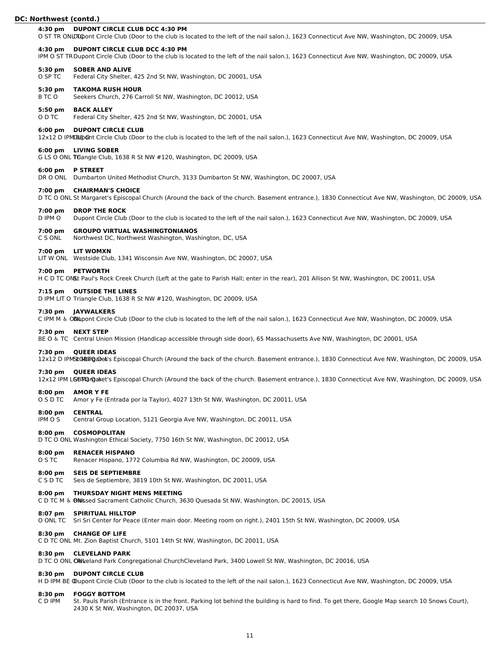#### **4:30 pm DUPONT CIRCLE CLUB DCC 4:30 PM**

O ST TR ONLDILOOnt Circle Club (Door to the club is located to the left of the nail salon.), 1623 Connecticut Ave NW, Washington, DC 20009, USA

#### **4:30 pm DUPONT CIRCLE CLUB DCC 4:30 PM**

IPM O ST TRDupont Circle Club (Door to the club is located to the left of the nail salon.), 1623 Connecticut Ave NW, Washington, DC 20009, USA

#### **5:30 pm SOBER AND ALIVE**

O SP TC Federal City Shelter, 425 2nd St NW, Washington, DC 20001, USA

#### **5:30 pm TAKOMA RUSH HOUR**

B TC O Seekers Church, 276 Carroll St NW, Washington, DC 20012, USA

#### **5:50 pm BACK ALLEY**

O D TC Federal City Shelter, 425 2nd St NW, Washington, DC 20001, USA

#### **6:00 pm DUPONT CIRCLE CLUB**

12x12 D IPM BE Ont Circle Club (Door to the club is located to the left of the nail salon.), 1623 Connecticut Ave NW, Washington, DC 20009, USA

#### **6:00 pm LIVING SOBER**

G LS O ONL Trangle Club, 1638 R St NW #120, Washington, DC 20009, USA

#### **6:00 pm P STREET**

DR O ONL Dumbarton United Methodist Church, 3133 Dumbarton St NW, Washington, DC 20007, USA

#### **7:00 pm CHAIRMAN'S CHOICE**

D TC O ONL St Margaret's Episcopal Church (Around the back of the church. Basement entrance.), 1830 Connecticut Ave NW, Washington, DC 20009, USA

#### **7:00 pm DROP THE ROCK**

D IPM O Dupont Circle Club (Door to the club is located to the left of the nail salon.), 1623 Connecticut Ave NW, Washington, DC 20009, USA

#### **7:00 pm GROUPO VIRTUAL WASHINGTONIANOS**

C S ONL Northwest DC, Northwest Washington, Washington, DC, USA

#### **7:00 pm LIT WOMXN**

LIT W ONL Westside Club, 1341 Wisconsin Ave NW, Washington, DC 20007, USA

# **7:00 pm PETWORTH**

H C D TC ONLt Paul's Rock Creek Church (Left at the gate to Parish Hall; enter in the rear), 201 Allison St NW, Washington, DC 20011, USA

# **7:15 pm OUTSIDE THE LINES**

D IPM LIT O Triangle Club, 1638 R St NW #120, Washington, DC 20009, USA

#### **7:30 pm JAYWALKERS**

C IPM M & ONupont Circle Club (Door to the club is located to the left of the nail salon.), 1623 Connecticut Ave NW, Washington, DC 20009, USA

#### **7:30 pm NEXT STEP**

BE O & TC Central Union Mission (Handicap accessible through side door), 65 Massachusetts Ave NW, Washington, DC 20001, USA

#### **7:30 pm QUEER IDEAS**

12x12 D IPMSLG BargaDes's Episcopal Church (Around the back of the church. Basement entrance.), 1830 Connecticut Ave NW, Washington, DC 20009, USA

# **7:30 pm QUEER IDEAS**

12x12 IPM LGBTQ astet's Episcopal Church (Around the back of the church. Basement entrance.), 1830 Connecticut Ave NW, Washington, DC 20009, USA

### **8:00 pm AMOR Y FE**

O S D TC Amor y Fe (Entrada por la Taylor), 4027 13th St NW, Washington, DC 20011, USA

# **8:00 pm CENTRAL**

IPM O S Central Group Location, 5121 Georgia Ave NW, Washington, DC 20011, USA

#### **8:00 pm COSMOPOLITAN**

D TC O ONL Washington Ethical Society, 7750 16th St NW, Washington, DC 20012, USA

# **8:00 pm RENACER HISPANO**

O S TC Renacer Hispano, 1772 Columbia Rd NW, Washington, DC 20009, USA

# **8:00 pm SEIS DE SEPTIEMBRE**

C S D TC Seis de Septiembre, 3819 10th St NW, Washington, DC 20011, USA

# **8:00 pm THURSDAY NIGHT MENS MEETING**

C D TC M & ON Bsed Sacrament Catholic Church, 3630 Quesada St NW, Washington, DC 20015, USA

# **8:07 pm SPIRITUAL HILLTOP**

O ONL TC Sri Sri Center for Peace (Enter main door. Meeting room on right.), 2401 15th St NW, Washington, DC 20009, USA

# **8:30 pm CHANGE OF LIFE**

C D TC ONL Mt. Zion Baptist Church, 5101 14th St NW, Washington, DC 20011, USA

# **8:30 pm CLEVELAND PARK**

D TC O ONL ONL Cleveland Park Congregational ChurchCleveland Park, 3400 Lowell St NW, Washington, DC 20016, USA

# **8:30 pm DUPONT CIRCLE CLUB**

H D IPM BE Wupont Circle Club (Door to the club is located to the left of the nail salon.), 1623 Connecticut Ave NW, Washington, DC 20009, USA

# **8:30 pm FOGGY BOTTOM**

C D IPM St. Pauls Parish (Entrance is in the front. Parking lot behind the building is hard to find. To get there, Google Map search 10 Snows Court), 2430 K St NW, Washington, DC 20037, USA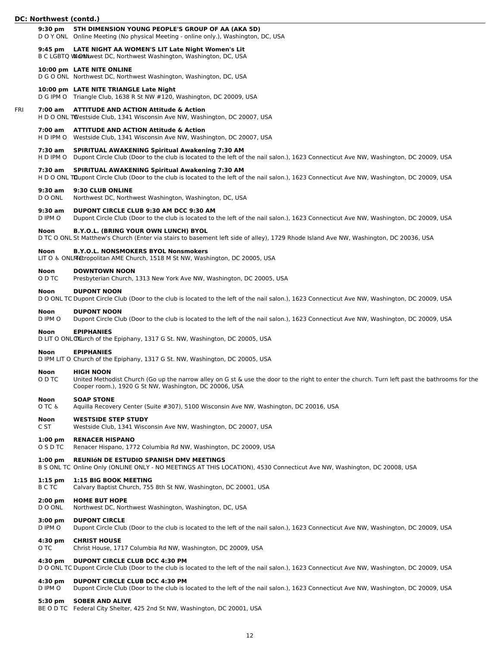- **9:30 pm 5TH DIMENSION YOUNG PEOPLE'S GROUP OF AA (AKA 5D)**
- D O Y ONL Online Meeting (No physical Meeting online only.), Washington, DC, USA

# **9:45 pm LATE NIGHT AA WOMEN'S LIT Late Night Women's Lit**

B C LGBTQ WOON NUMBER DC, Northwest Washington, Washington, DC, USA

# **10:00 pm LATE NITE ONLINE**

D G O ONL Northwest DC, Northwest Washington, Washington, DC, USA

#### **10:00 pm LATE NITE TRIANGLE Late Night**

D G IPM O Triangle Club, 1638 R St NW #120, Washington, DC 20009, USA

#### FRI **7:00 am ATTITUDE AND ACTION Attitude & Action**

H D O ONL TWestside Club, 1341 Wisconsin Ave NW, Washington, DC 20007, USA

#### **7:00 am ATTITUDE AND ACTION Attitude & Action**

H D IPM O Westside Club, 1341 Wisconsin Ave NW, Washington, DC 20007, USA

#### **7:30 am SPIRITUAL AWAKENING Spiritual Awakening 7:30 AM**

H D IPM O Dupont Circle Club (Door to the club is located to the left of the nail salon.), 1623 Connecticut Ave NW, Washington, DC 20009, USA

# **7:30 am SPIRITUAL AWAKENING Spiritual Awakening 7:30 AM**

H D O ONL TDupont Circle Club (Door to the club is located to the left of the nail salon.), 1623 Connecticut Ave NW, Washington, DC 20009, USA

#### **9:30 am 9:30 CLUB ONLINE**

D O ONL Northwest DC, Northwest Washington, Washington, DC, USA

#### **9:30 am DUPONT CIRCLE CLUB 9:30 AM DCC 9:30 AM**

D IPM O Dupont Circle Club (Door to the club is located to the left of the nail salon.), 1623 Connecticut Ave NW, Washington, DC 20009, USA

#### **Noon B.Y.O.L. (BRING YOUR OWN LUNCH) BYOL**

D TC O ONL St Matthew's Church (Enter via stairs to basement left side of alley), 1729 Rhode Island Ave NW, Washington, DC 20036, USA

# **Noon B.Y.O.L. NONSMOKERS BYOL Nonsmokers**

LIT O & ONLMetropolitan AME Church, 1518 M St NW, Washington, DC 20005, USA

#### **Noon DOWNTOWN NOON**

O D TC Presbyterian Church, 1313 New York Ave NW, Washington, DC 20005, USA

#### **Noon DUPONT NOON**

D O ONL TC Dupont Circle Club (Door to the club is located to the left of the nail salon.), 1623 Connecticut Ave NW, Washington, DC 20009, USA

#### **Noon DUPONT NOON**

D IPM O Dupont Circle Club (Door to the club is located to the left of the nail salon.), 1623 Connecticut Ave NW, Washington, DC 20009, USA

#### **Noon**

D LIT O ONL Thurch of the Epiphany, 1317 G St. NW, Washington, DC 20005, USA

#### **Noon EPIPHANIES**

D IPM LIT O Church of the Epiphany, 1317 G St. NW, Washington, DC 20005, USA

# **Noon HIGH NOON**

O D TC United Methodist Church (Go up the narrow alley on G st & use the door to the right to enter the church. Turn left past the bathrooms for the Cooper room.), 1920 G St NW, Washington, DC 20006, USA

#### **Noon SOAP STONE**

O TC ♿︎ Aquilla Recovery Center (Suite #307), 5100 Wisconsin Ave NW, Washington, DC 20016, USA

#### **Noon WESTSIDE STEP STUDY**

C ST Westside Club, 1341 Wisconsin Ave NW, Washington, DC 20007, USA

#### **1:00 pm RENACER HISPANO**

O S D TC Renacer Hispano, 1772 Columbia Rd NW, Washington, DC 20009, USA

#### **1:00 pm REUNIóN DE ESTUDIO SPANISH DMV MEETINGS**

B S ONL TC Online Only (ONLINE ONLY - NO MEETINGS AT THIS LOCATION), 4530 Connecticut Ave NW, Washington, DC 20008, USA

#### **1:15 pm 1:15 BIG BOOK MEETING**

B C TC Calvary Baptist Church, 755 8th St NW, Washington, DC 20001, USA

#### **2:00 pm HOME BUT HOPE**

D O ONL Northwest DC, Northwest Washington, Washington, DC, USA

#### **3:00 pm DUPONT CIRCLE**

D IPM O Dupont Circle Club (Door to the club is located to the left of the nail salon.), 1623 Connecticut Ave NW, Washington, DC 20009, USA

#### **4:30 pm CHRIST HOUSE**

O TC Christ House, 1717 Columbia Rd NW, Washington, DC 20009, USA

# **4:30 pm DUPONT CIRCLE CLUB DCC 4:30 PM**

D O ONL TC Dupont Circle Club (Door to the club is located to the left of the nail salon.), 1623 Connecticut Ave NW, Washington, DC 20009, USA

#### **4:30 pm DUPONT CIRCLE CLUB DCC 4:30 PM**

D IPM O Dupont Circle Club (Door to the club is located to the left of the nail salon.), 1623 Connecticut Ave NW, Washington, DC 20009, USA

#### **5:30 pm SOBER AND ALIVE**

BE O D TC Federal City Shelter, 425 2nd St NW, Washington, DC 20001, USA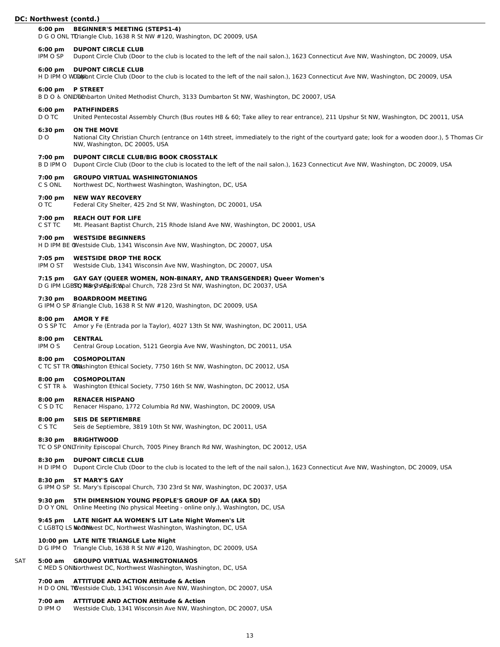# **6:00 pm BEGINNER'S MEETING (STEPS1-4)**

D G O ONL Turiangle Club, 1638 R St NW #120, Washington, DC 20009, USA

#### **6:00 pm DUPONT CIRCLE CLUB**

IPM O SP Dupont Circle Club (Door to the club is located to the left of the nail salon.), 1623 Connecticut Ave NW, Washington, DC 20009, USA

#### **6:00 pm DUPONT CIRCLE CLUB**

H D IPM O WDDMBbnt Circle Club (Door to the club is located to the left of the nail salon.), 1623 Connecticut Ave NW, Washington, DC 20009, USA

#### **6:00 pm P STREET**

B D O & ONLDTChbarton United Methodist Church, 3133 Dumbarton St NW, Washington, DC 20007, USA

#### **6:00 pm PATHFINDERS**

D O TC United Pentecostal Assembly Church (Bus routes H8 & 60; Take alley to rear entrance), 211 Upshur St NW, Washington, DC 20011, USA

#### **6:30 pm ON THE MOVE**

D O National City Christian Church (entrance on 14th street, immediately to the right of the courtyard gate; look for a wooden door.), 5 Thomas Cir NW, Washington, DC 20005, USA

### **7:00 pm DUPONT CIRCLE CLUB/BIG BOOK CROSSTALK**

B D IPM O Dupont Circle Club (Door to the club is located to the left of the nail salon.), 1623 Connecticut Ave NW, Washington, DC 20009, USA

#### **7:00 pm GROUPO VIRTUAL WASHINGTONIANOS**

C S ONL Northwest DC, Northwest Washington, Washington, DC, USA

#### **7:00 pm NEW WAY RECOVERY**

O TC Federal City Shelter, 425 2nd St NW, Washington, DC 20001, USA

#### **7:00 pm REACH OUT FOR LIFE**

C ST TC Mt. Pleasant Baptist Church, 215 Rhode Island Ave NW, Washington, DC 20001, USA

### **7:00 pm WESTSIDE BEGINNERS**

H D IPM BE OWestside Club, 1341 Wisconsin Ave NW, Washington, DC 20007, USA

#### **7:05 pm WESTSIDE DROP THE ROCK**

IPM O ST Westside Club, 1341 Wisconsin Ave NW, Washington, DC 20007, USA

### **7:15 pm GAY GAY (QUEER WOMEN, NON-BINARY, AND TRANSGENDER) Queer Women's**

D G IPM LGBSTQ MBrØsAbhiscopal Church, 728 23rd St NW, Washington, DC 20037, USA

#### **7:30 pm BOARDROOM MEETING**

G IPM O SP & Triangle Club, 1638 R St NW #120, Washington, DC 20009, USA

#### **8:00 pm AMOR Y FE**

O S SP TC Amor y Fe (Entrada por la Taylor), 4027 13th St NW, Washington, DC 20011, USA

#### **8:00 pm CENTRAL**

IPM O S Central Group Location, 5121 Georgia Ave NW, Washington, DC 20011, USA

#### **8:00 pm COSMOPOLITAN**

C TC ST TR ON Hishington Ethical Society, 7750 16th St NW, Washington, DC 20012, USA

#### **8:00 pm COSMOPOLITAN**

C ST TR ♿︎ Washington Ethical Society, 7750 16th St NW, Washington, DC 20012, USA

#### **8:00 pm RENACER HISPANO**

C S D TC Renacer Hispano, 1772 Columbia Rd NW, Washington, DC 20009, USA

#### **8:00 pm SEIS DE SEPTIEMBRE**

C S TC Seis de Septiembre, 3819 10th St NW, Washington, DC 20011, USA

#### **8:30 pm BRIGHTWOOD**

TC O SP ONLTrinity Episcopal Church, 7005 Piney Branch Rd NW, Washington, DC 20012, USA

#### **8:30 pm DUPONT CIRCLE CLUB**

H D IPM O Dupont Circle Club (Door to the club is located to the left of the nail salon.), 1623 Connecticut Ave NW, Washington, DC 20009, USA

# **8:30 pm ST MARY'S GAY**

G IPM O SP St. Mary's Episcopal Church, 730 23rd St NW, Washington, DC 20037, USA

#### **9:30 pm 5TH DIMENSION YOUNG PEOPLE'S GROUP OF AA (AKA 5D)**

D O Y ONL Online Meeting (No physical Meeting - online only.), Washington, DC, USA

# **9:45 pm LATE NIGHT AA WOMEN'S LIT Late Night Women's Lit**

C LGBTQ LS Morthwest DC, Northwest Washington, Washington, DC, USA

#### **10:00 pm LATE NITE TRIANGLE Late Night**

D G IPM O Triangle Club, 1638 R St NW #120, Washington, DC 20009, USA

# SAT **5:00 am GROUPO VIRTUAL WASHINGTONIANOS**

C MED S ONLNorthwest DC, Northwest Washington, Washington, DC, USA

# **7:00 am ATTITUDE AND ACTION Attitude & Action**

H D O ONL TWestside Club, 1341 Wisconsin Ave NW, Washington, DC 20007, USA

# **7:00 am ATTITUDE AND ACTION Attitude & Action**

D IPM O Westside Club, 1341 Wisconsin Ave NW, Washington, DC 20007, USA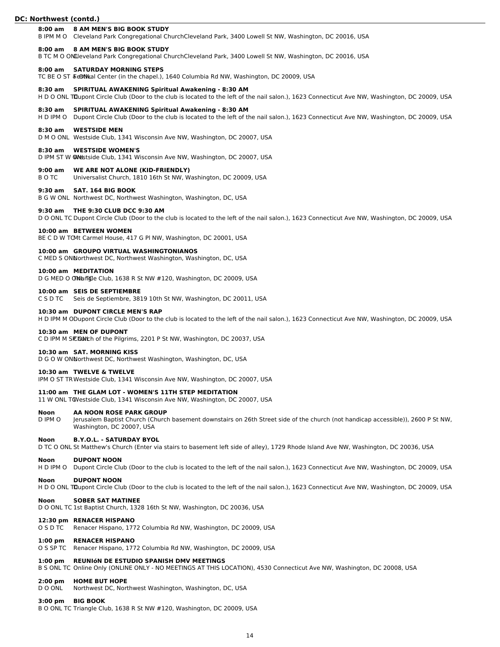#### **8:00 am 8 AM MEN'S BIG BOOK STUDY**

B IPM M O Cleveland Park Congregational ChurchCleveland Park, 3400 Lowell St NW, Washington, DC 20016, USA

#### **8:00 am 8 AM MEN'S BIG BOOK STUDY**

B TC M O ONLIeveland Park Congregational ChurchCleveland Park, 3400 Lowell St NW, Washington, DC 20016, USA

#### **8:00 am SATURDAY MORNING STEPS**

TC BE O ST & eStival Center (in the chapel.), 1640 Columbia Rd NW, Washington, DC 20009, USA

#### **8:30 am SPIRITUAL AWAKENING Spiritual Awakening - 8:30 AM**

H D O ONL TDupont Circle Club (Door to the club is located to the left of the nail salon.), 1623 Connecticut Ave NW, Washington, DC 20009, USA

#### **8:30 am SPIRITUAL AWAKENING Spiritual Awakening - 8:30 AM**

H D IPM O Dupont Circle Club (Door to the club is located to the left of the nail salon.), 1623 Connecticut Ave NW, Washington, DC 20009, USA

# **8:30 am WESTSIDE MEN**

D M O ONL Westside Club, 1341 Wisconsin Ave NW, Washington, DC 20007, USA

#### **8:30 am WESTSIDE WOMEN'S**

D IPM ST W @Ndstside Club, 1341 Wisconsin Ave NW, Washington, DC 20007, USA

# **9:00 am WE ARE NOT ALONE (KID-FRIENDLY)**

B O TC Universalist Church, 1810 16th St NW, Washington, DC 20009, USA

#### **9:30 am SAT. 164 BIG BOOK**

B G W ONL Northwest DC, Northwest Washington, Washington, DC, USA

#### **9:30 am THE 9:30 CLUB DCC 9:30 AM**

D O ONL TC Dupont Circle Club (Door to the club is located to the left of the nail salon.), 1623 Connecticut Ave NW, Washington, DC 20009, USA

#### **10:00 am BETWEEN WOMEN**

BE C D W TOMt Carmel House, 417 G PI NW, Washington, DC 20001, USA

#### **10:00 am GROUPO VIRTUAL WASHINGTONIANOS**

C MED S ONNorthwest DC, Northwest Washington, Washington, DC, USA

#### **10:00 am MEDITATION**

D G MED O ON LATCH Club, 1638 R St NW #120, Washington, DC 20009, USA

# **10:00 am SEIS DE SEPTIEMBRE**

C S D TC Seis de Septiembre, 3819 10th St NW, Washington, DC 20011, USA

# **10:30 am DUPONT CIRCLE MEN'S RAP**

H D IPM M ODupont Circle Club (Door to the club is located to the left of the nail salon.), 1623 Connecticut Ave NW, Washington, DC 20009, USA

#### **10:30 am MEN OF DUPONT**

C D IPM M SICEDANCH of the Pilgrims, 2201 P St NW, Washington, DC 20037, USA

# **10:30 am SAT. MORNING KISS**

D G O W ONNorthwest DC, Northwest Washington, Washington, DC, USA

#### **10:30 am TWELVE & TWELVE**

IPM O ST TRWestside Club, 1341 Wisconsin Ave NW, Washington, DC 20007, USA

#### **11:00 am THE GLAM LOT - WOMEN'S 11TH STEP MEDITATION**

11 W ONL TCWestside Club, 1341 Wisconsin Ave NW, Washington, DC 20007, USA

### **Noon AA NOON ROSE PARK GROUP**

D IPM O Jerusalem Baptist Church (Church basement downstairs on 26th Street side of the church (not handicap accessible)), 2600 P St NW, Washington, DC 20007, USA

#### **Noon B.Y.O.L. - SATURDAY BYOL**

D TC O ONL St Matthew's Church (Enter via stairs to basement left side of alley), 1729 Rhode Island Ave NW, Washington, DC 20036, USA

#### **Noon DUPONT NOON**

H D IPM O Dupont Circle Club (Door to the club is located to the left of the nail salon.), 1623 Connecticut Ave NW, Washington, DC 20009, USA

# **Noon DUPONT NOON**

H D O ONL TDupont Circle Club (Door to the club is located to the left of the nail salon.), 1623 Connecticut Ave NW, Washington, DC 20009, USA

# **Noon SOBER SAT MATINEE**

D O ONL TC 1st Baptist Church, 1328 16th St NW, Washington, DC 20036, USA

# **12:30 pm RENACER HISPANO**

O S D TC Renacer Hispano, 1772 Columbia Rd NW, Washington, DC 20009, USA

# **1:00 pm RENACER HISPANO**

O S SP TC Renacer Hispano, 1772 Columbia Rd NW, Washington, DC 20009, USA

# **1:00 pm REUNIóN DE ESTUDIO SPANISH DMV MEETINGS**

B S ONL TC Online Only (ONLINE ONLY - NO MEETINGS AT THIS LOCATION), 4530 Connecticut Ave NW, Washington, DC 20008, USA

#### **2:00 pm HOME BUT HOPE**

D O ONL Northwest DC, Northwest Washington, Washington, DC, USA

#### **3:00 pm BIG BOOK**

B O ONL TC Triangle Club, 1638 R St NW #120, Washington, DC 20009, USA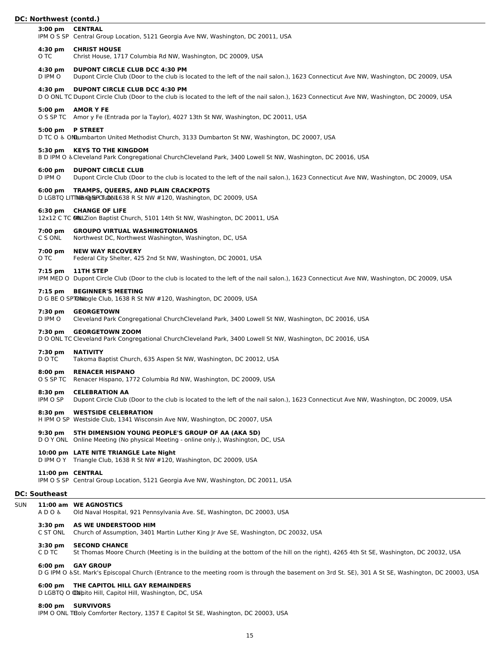#### **3:00 pm CENTRAL**

IPM O S SP Central Group Location, 5121 Georgia Ave NW, Washington, DC 20011, USA

### **4:30 pm CHRIST HOUSE**

O TC Christ House, 1717 Columbia Rd NW, Washington, DC 20009, USA

#### **4:30 pm DUPONT CIRCLE CLUB DCC 4:30 PM**

D IPM O Dupont Circle Club (Door to the club is located to the left of the nail salon.), 1623 Connecticut Ave NW, Washington, DC 20009, USA

#### **4:30 pm DUPONT CIRCLE CLUB DCC 4:30 PM**

D O ONL TC Dupont Circle Club (Door to the club is located to the left of the nail salon.), 1623 Connecticut Ave NW, Washington, DC 20009, USA

# **5:00 pm AMOR Y FE**

O S SP TC Amor y Fe (Entrada por la Taylor), 4027 13th St NW, Washington, DC 20011, USA

#### **5:00 pm P STREET**

D TC O & ONLumbarton United Methodist Church, 3133 Dumbarton St NW, Washington, DC 20007, USA

#### **5:30 pm KEYS TO THE KINGDOM**

B D IPM O ♿︎Cleveland Park Congregational ChurchCleveland Park, 3400 Lowell St NW, Washington, DC 20016, USA

# **6:00 pm DUPONT CIRCLE CLUB**

D IPM O Dupont Circle Club (Door to the club is located to the left of the nail salon.), 1623 Connecticut Ave NW, Washington, DC 20009, USA

#### **6:00 pm TRAMPS, QUEERS, AND PLAIN CRACKPOTS**

D LGBTQ LITTMiBr@f&PCTuDNL638 R St NW #120, Washington, DC 20009, USA

# **6:30 pm CHANGE OF LIFE**

12x12 C TC Ollal Zion Baptist Church, 5101 14th St NW, Washington, DC 20011, USA

#### **7:00 pm GROUPO VIRTUAL WASHINGTONIANOS**

C S ONL Northwest DC, Northwest Washington, Washington, DC, USA

#### **7:00 pm NEW WAY RECOVERY**

O TC Federal City Shelter, 425 2nd St NW, Washington, DC 20001, USA

#### **7:15 pm 11TH STEP**

IPM MED O Dupont Circle Club (Door to the club is located to the left of the nail salon.), 1623 Connecticut Ave NW, Washington, DC 20009, USA

#### **7:15 pm BEGINNER'S MEETING**

D G BE O SPTON bigle Club, 1638 R St NW #120, Washington, DC 20009, USA

#### **7:30 pm GEORGETOWN**

D IPM O Cleveland Park Congregational ChurchCleveland Park, 3400 Lowell St NW, Washington, DC 20016, USA

#### **7:30 pm GEORGETOWN ZOOM**

D O ONL TC Cleveland Park Congregational ChurchCleveland Park, 3400 Lowell St NW, Washington, DC 20016, USA

#### **7:30 pm NATIVITY**

D O TC Takoma Baptist Church, 635 Aspen St NW, Washington, DC 20012, USA

#### **8:00 pm RENACER HISPANO**

O S SP TC Renacer Hispano, 1772 Columbia Rd NW, Washington, DC 20009, USA

#### **8:30 pm CELEBRATION AA**

IPM O SP Dupont Circle Club (Door to the club is located to the left of the nail salon.), 1623 Connecticut Ave NW, Washington, DC 20009, USA

# **8:30 pm WESTSIDE CELEBRATION**

H IPM O SP Westside Club, 1341 Wisconsin Ave NW, Washington, DC 20007, USA

# **9:30 pm 5TH DIMENSION YOUNG PEOPLE'S GROUP OF AA (AKA 5D)**

D O Y ONL Online Meeting (No physical Meeting - online only.), Washington, DC, USA

#### **10:00 pm LATE NITE TRIANGLE Late Night**

D IPM O Y Triangle Club, 1638 R St NW #120, Washington, DC 20009, USA

#### **11:00 pm CENTRAL**

IPM O S SP Central Group Location, 5121 Georgia Ave NW, Washington, DC 20011, USA

# **DC: Southeast**

SUN **11:00 am WE AGNOSTICS** A D O ♿︎ Old Naval Hospital, 921 Pennsylvania Ave. SE, Washington, DC 20003, USA **3:30 pm AS WE UNDERSTOOD HIM** C ST ONL Church of Assumption, 3401 Martin Luther King Jr Ave SE, Washington, DC 20032, USA

# **3:30 pm SECOND CHANCE**

C D TC St Thomas Moore Church (Meeting is in the building at the bottom of the hill on the right), 4265 4th St SE, Washington, DC 20032, USA

#### **6:00 pm GAY GROUP**

D G IPM O ♿︎St. Mark's Episcopal Church (Entrance to the meeting room is through the basement on 3rd St. SE), 301 A St SE, Washington, DC 20003, USA

#### **6:00 pm THE CAPITOL HILL GAY REMAINDERS**

D LGBTQ O @apito Hill, Capitol Hill, Washington, DC, USA

### **8:00 pm SURVIVORS**

IPM O ONL THoly Comforter Rectory, 1357 E Capitol St SE, Washington, DC 20003, USA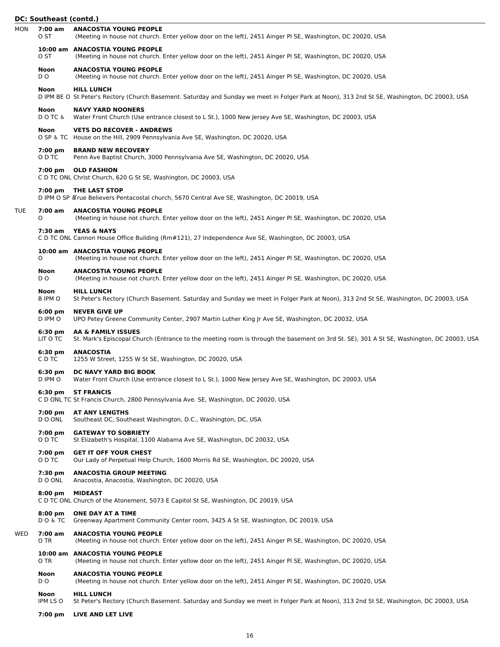# **DC: Southeast (contd.)**

|     | DC. JOULIICU3L (COIILUI) |                                                                                                                                                                    |
|-----|--------------------------|--------------------------------------------------------------------------------------------------------------------------------------------------------------------|
| MON | 7:00 am<br>O ST          | <b>ANACOSTIA YOUNG PEOPLE</b><br>(Meeting in house not church. Enter yellow door on the left), 2451 Ainger PI SE, Washington, DC 20020, USA                        |
|     | O ST                     | 10:00 am ANACOSTIA YOUNG PEOPLE<br>(Meeting in house not church. Enter yellow door on the left), 2451 Ainger PI SE, Washington, DC 20020, USA                      |
|     | Noon<br>D O              | <b>ANACOSTIA YOUNG PEOPLE</b><br>(Meeting in house not church. Enter yellow door on the left), 2451 Ainger PI SE, Washington, DC 20020, USA                        |
|     | Noon                     | <b>HILL LUNCH</b><br>D IPM BE O St Peter's Rectory (Church Basement. Saturday and Sunday we meet in Folger Park at Noon), 313 2nd St SE, Washington, DC 20003, USA |
|     | Noon<br>$D$ O TC &       | <b>NAVY YARD NOONERS</b><br>Water Front Church (Use entrance closest to L St.), 1000 New Jersey Ave SE, Washington, DC 20003, USA                                  |
|     | Noon                     | <b>VETS DO RECOVER - ANDREWS</b><br>O SP & TC House on the Hill, 2909 Pennsylvania Ave SE, Washington, DC 20020, USA                                               |
|     | 7:00 pm<br>O D TC        | <b>BRAND NEW RECOVERY</b><br>Penn Ave Baptist Church, 3000 Pennsylvania Ave SE, Washington, DC 20020, USA                                                          |
|     |                          | 7:00 pm OLD FASHION<br>C D TC ONL Christ Church, 620 G St SE, Washington, DC 20003, USA                                                                            |
|     |                          | 7:00 pm THE LAST STOP<br>D IPM O SP & True Believers Pentacostal church, 5670 Central Ave SE, Washington, DC 20019, USA                                            |
| TUE | O                        | 7:00 am ANACOSTIA YOUNG PEOPLE<br>(Meeting in house not church. Enter yellow door on the left), 2451 Ainger PI SE, Washington, DC 20020, USA                       |
|     |                          | 7:30 am YEAS & NAYS<br>C D TC ONL Cannon House Office Building (Rm#121), 27 Independence Ave SE, Washington, DC 20003, USA                                         |
|     | 0                        | 10:00 am ANACOSTIA YOUNG PEOPLE<br>(Meeting in house not church. Enter yellow door on the left), 2451 Ainger PI SE, Washington, DC 20020, USA                      |
|     | Noon<br>D O              | <b>ANACOSTIA YOUNG PEOPLE</b><br>(Meeting in house not church. Enter yellow door on the left), 2451 Ainger PI SE, Washington, DC 20020, USA                        |
|     | Noon<br>B IPM O          | <b>HILL LUNCH</b><br>St Peter's Rectory (Church Basement. Saturday and Sunday we meet in Folger Park at Noon), 313 2nd St SE, Washington, DC 20003, USA            |
|     | $6:00$ pm<br>D IPM O     | <b>NEVER GIVE UP</b><br>UPO Petey Greene Community Center, 2907 Martin Luther King Jr Ave SE, Washington, DC 20032, USA                                            |
|     | $6:30$ pm<br>LIT O TC    | AA & FAMILY ISSUES<br>St. Mark's Episcopal Church (Entrance to the meeting room is through the basement on 3rd St. SE), 301 A St SE, Washington, DC 20003, USA     |
|     | 6:30 pm<br>C D TC        | <b>ANACOSTIA</b><br>1255 W Street, 1255 W St SE, Washington, DC 20020, USA                                                                                         |
|     | 6:30 pm<br>D IPM O       | DC NAVY YARD BIG BOOK<br>Water Front Church (Use entrance closest to L St.), 1000 New Jersey Ave SE, Washington, DC 20003, USA                                     |
|     | 6:30 pm                  | <b>ST FRANCIS</b><br>C D ONL TC St Francis Church, 2800 Pennsylvania Ave. SE, Washington, DC 20020, USA                                                            |
|     | 7:00 pm<br>D O ONL       | <b>AT ANY LENGTHS</b><br>Southeast DC, Southeast Washington, D.C., Washington, DC, USA                                                                             |
|     | 7:00 pm<br>O D TC        | <b>GATEWAY TO SOBRIETY</b><br>St Elizabeth's Hospital, 1100 Alabama Ave SE, Washington, DC 20032, USA                                                              |
|     | 7:00 pm<br>O D TC        | <b>GET IT OFF YOUR CHEST</b><br>Our Lady of Perpetual Help Church, 1600 Morris Rd SE, Washington, DC 20020, USA                                                    |
|     | 7:30 pm<br>D O ONL       | <b>ANACOSTIA GROUP MEETING</b><br>Anacostia, Anacostia, Washington, DC 20020, USA                                                                                  |
|     | $8:00$ pm                | <b>MIDEAST</b><br>C D TC ONL Church of the Atonement, 5073 E Capitol St SE, Washington, DC 20019, USA                                                              |
|     | $8:00$ pm<br>D O & T C   | ONE DAY AT A TIME<br>Greenway Apartment Community Center room, 3425 A St SE, Washington, DC 20019, USA                                                             |
| WED | 7:00 am<br>O TR          | <b>ANACOSTIA YOUNG PEOPLE</b><br>(Meeting in house not church. Enter yellow door on the left), 2451 Ainger PI SE, Washington, DC 20020, USA                        |
|     | O TR                     | 10:00 am ANACOSTIA YOUNG PEOPLE<br>(Meeting in house not church. Enter yellow door on the left), 2451 Ainger PI SE, Washington, DC 20020, USA                      |
|     | Noon<br>D O              | <b>ANACOSTIA YOUNG PEOPLE</b><br>(Meeting in house not church. Enter yellow door on the left), 2451 Ainger PI SE, Washington, DC 20020, USA                        |
|     | Noon<br>IPM LS O         | <b>HILL LUNCH</b><br>St Peter's Rectory (Church Basement. Saturday and Sunday we meet in Folger Park at Noon), 313 2nd St SE, Washington, DC 20003, USA            |
|     | 7:00 pm                  | LIVE AND LET LIVE                                                                                                                                                  |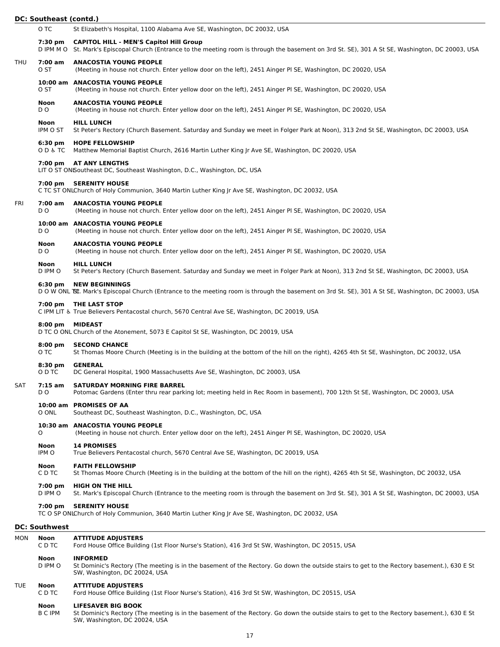|            | <b>DC: Southeast (contd.)</b> |                                                                                                                                                                                                      |
|------------|-------------------------------|------------------------------------------------------------------------------------------------------------------------------------------------------------------------------------------------------|
|            | O TC                          | St Elizabeth's Hospital, 1100 Alabama Ave SE, Washington, DC 20032, USA                                                                                                                              |
|            | 7:30 pm                       | <b>CAPITOL HILL - MEN'S Capitol Hill Group</b><br>D IPM M O St. Mark's Episcopal Church (Entrance to the meeting room is through the basement on 3rd St. SE), 301 A St SE, Washington, DC 20003, USA |
| <b>THU</b> | 7:00 am<br>O ST               | <b>ANACOSTIA YOUNG PEOPLE</b><br>(Meeting in house not church. Enter yellow door on the left), 2451 Ainger PI SE, Washington, DC 20020, USA                                                          |
|            | O ST                          | 10:00 am ANACOSTIA YOUNG PEOPLE<br>(Meeting in house not church. Enter yellow door on the left), 2451 Ainger PI SE, Washington, DC 20020, USA                                                        |
|            | Noon<br>DO.                   | <b>ANACOSTIA YOUNG PEOPLE</b><br>(Meeting in house not church. Enter yellow door on the left), 2451 Ainger PI SE, Washington, DC 20020, USA                                                          |
|            | <b>Noon</b><br>IPM O ST       | <b>HILL LUNCH</b><br>St Peter's Rectory (Church Basement. Saturday and Sunday we meet in Folger Park at Noon), 313 2nd St SE, Washington, DC 20003, USA                                              |
|            | $6:30 \text{ pm}$<br>O D & TC | <b>HOPE FELLOWSHIP</b><br>Matthew Memorial Baptist Church, 2616 Martin Luther King Jr Ave SE, Washington, DC 20020, USA                                                                              |
|            |                               | 7:00 pm AT ANY LENGTHS<br>LIT O ST ONISoutheast DC, Southeast Washington, D.C., Washington, DC, USA                                                                                                  |
|            | 7:00 pm                       | <b>SERENITY HOUSE</b><br>C TC ST ONLChurch of Holy Communion, 3640 Martin Luther King Jr Ave SE, Washington, DC 20032, USA                                                                           |
| FRI        | 7:00 am<br>D <sub>O</sub>     | <b>ANACOSTIA YOUNG PEOPLE</b><br>(Meeting in house not church. Enter yellow door on the left), 2451 Ainger PI SE, Washington, DC 20020, USA                                                          |
|            | D O                           | 10:00 am ANACOSTIA YOUNG PEOPLE<br>(Meeting in house not church. Enter yellow door on the left), 2451 Ainger PI SE, Washington, DC 20020, USA                                                        |
|            | Noon<br>D O                   | <b>ANACOSTIA YOUNG PEOPLE</b><br>(Meeting in house not church. Enter yellow door on the left), 2451 Ainger PI SE, Washington, DC 20020, USA                                                          |
|            | Noon<br>D IPM O               | <b>HILL LUNCH</b><br>St Peter's Rectory (Church Basement. Saturday and Sunday we meet in Folger Park at Noon), 313 2nd St SE, Washington, DC 20003, USA                                              |
|            | $6:30 \text{ pm}$             | <b>NEW BEGINNINGS</b><br>D O W ONL BE. Mark's Episcopal Church (Entrance to the meeting room is through the basement on 3rd St. SE), 301 A St SE, Washington, DC 20003, USA                          |
|            |                               | 7:00 pm THE LAST STOP<br>C IPM LIT & True Believers Pentacostal church, 5670 Central Ave SE, Washington, DC 20019, USA                                                                               |
|            | $8:00 \text{ pm}$             | <b>MIDEAST</b><br>D TC O ONL Church of the Atonement, 5073 E Capitol St SE, Washington, DC 20019, USA                                                                                                |
|            | $8:00$ pm<br>O TC             | <b>SECOND CHANCE</b><br>St Thomas Moore Church (Meeting is in the building at the bottom of the hill on the right), 4265 4th St SE, Washington, DC 20032, USA                                        |
|            | $8:30 \text{ pm}$<br>O D TC   | <b>GENERAL</b><br>DC General Hospital, 1900 Massachusetts Ave SE, Washington, DC 20003, USA                                                                                                          |
| SAT        | $7:15$ am<br>D O              | <b>SATURDAY MORNING FIRE BARREL</b><br>Potomac Gardens (Enter thru rear parking lot; meeting held in Rec Room in basement), 700 12th St SE, Washington, DC 20003, USA                                |
|            | O ONL                         | 10:00 am PROMISES OF AA<br>Southeast DC, Southeast Washington, D.C., Washington, DC, USA                                                                                                             |
|            | 0                             | 10:30 am ANACOSTIA YOUNG PEOPLE<br>(Meeting in house not church. Enter yellow door on the left), 2451 Ainger PI SE, Washington, DC 20020, USA                                                        |
|            | Noon<br>IPM O                 | <b>14 PROMISES</b><br>True Believers Pentacostal church, 5670 Central Ave SE, Washington, DC 20019, USA                                                                                              |
|            | <b>Noon</b><br>C D TC         | <b>FAITH FELLOWSHIP</b><br>St Thomas Moore Church (Meeting is in the building at the bottom of the hill on the right), 4265 4th St SE, Washington, DC 20032, USA                                     |
|            | 7:00 pm<br>D IPM O            | <b>HIGH ON THE HILL</b><br>St. Mark's Episcopal Church (Entrance to the meeting room is through the basement on 3rd St. SE), 301 A St SE, Washington, DC 20003, USA                                  |
|            | 7:00 pm                       | <b>SERENITY HOUSE</b><br>TC O SP ONLChurch of Holy Communion, 3640 Martin Luther King Jr Ave SE, Washington, DC 20032, USA                                                                           |
|            | <b>DC: Southwest</b>          |                                                                                                                                                                                                      |
| MON        | Noon<br>C D TC                | <b>ATTITUDE ADJUSTERS</b><br>Ford House Office Building (1st Floor Nurse's Station), 416 3rd St SW, Washington, DC 20515, USA                                                                        |
|            | Noon<br>D IPM O               | <b>INFORMED</b><br>St Dominic's Rectory (The meeting is in the basement of the Rectory. Go down the outside stairs to get to the Rectory basement.), 630 E St<br>SW, Washington, DC 20024, USA       |
| <b>TUE</b> | Noon<br>C D TC                | <b>ATTITUDE ADJUSTERS</b><br>Ford House Office Building (1st Floor Nurse's Station), 416 3rd St SW, Washington, DC 20515, USA                                                                        |

# **Noon LIFESAVER BIG BOOK**<br>**B C IPM** St Dominic's Rectory (Th

B C IPM St Dominic's Rectory (The meeting is in the basement of the Rectory. Go down the outside stairs to get to the Rectory basement.), 630 E St SW, Washington, DC 20024, USA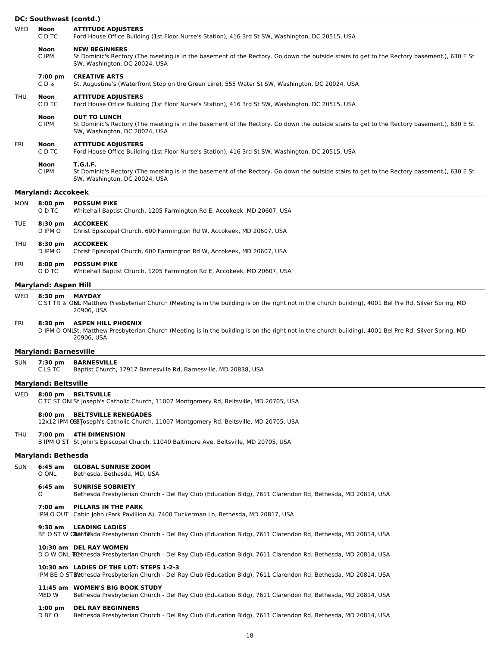|            | DC: Southwest (contd.)       |                                                                                                                                                                                                     |  |
|------------|------------------------------|-----------------------------------------------------------------------------------------------------------------------------------------------------------------------------------------------------|--|
| <b>WED</b> | Noon<br>C D TC               | <b>ATTITUDE ADJUSTERS</b><br>Ford House Office Building (1st Floor Nurse's Station), 416 3rd St SW, Washington, DC 20515, USA                                                                       |  |
|            | Noon<br>C IPM                | <b>NEW BEGINNERS</b><br>St Dominic's Rectory (The meeting is in the basement of the Rectory. Go down the outside stairs to get to the Rectory basement.), 630 E St<br>SW, Washington, DC 20024, USA |  |
|            | 7:00 pm<br>C D &             | <b>CREATIVE ARTS</b><br>St. Augustine's (Waterfront Stop on the Green Line), 555 Water St SW, Washington, DC 20024, USA                                                                             |  |
| <b>THU</b> | Noon<br>C D TC               | <b>ATTITUDE ADJUSTERS</b><br>Ford House Office Building (1st Floor Nurse's Station), 416 3rd St SW, Washington, DC 20515, USA                                                                       |  |
|            | Noon<br>C IPM                | <b>OUT TO LUNCH</b><br>St Dominic's Rectory (The meeting is in the basement of the Rectory. Go down the outside stairs to get to the Rectory basement.), 630 E St<br>SW, Washington, DC 20024, USA  |  |
| FRI        | Noon<br>C D TC               | <b>ATTITUDE ADJUSTERS</b><br>Ford House Office Building (1st Floor Nurse's Station), 416 3rd St SW, Washington, DC 20515, USA                                                                       |  |
|            | <b>Noon</b><br>C IPM         | <b>T.G.I.F.</b><br>St Dominic's Rectory (The meeting is in the basement of the Rectory. Go down the outside stairs to get to the Rectory basement.), 630 E St<br>SW, Washington, DC 20024, USA      |  |
|            | <b>Maryland: Accokeek</b>    |                                                                                                                                                                                                     |  |
| <b>MON</b> | $8:00$ pm<br>O D TC          | <b>POSSUM PIKE</b><br>Whitehall Baptist Church, 1205 Farmington Rd E, Accokeek, MD 20607, USA                                                                                                       |  |
| TUE        | $8:30 \text{ pm}$<br>D IPM O | <b>ACCOKEEK</b><br>Christ Episcopal Church, 600 Farmington Rd W, Accokeek, MD 20607, USA                                                                                                            |  |
| THU        | $8:30$ pm<br>D IPM O         | <b>ACCOKEEK</b><br>Christ Episcopal Church, 600 Farmington Rd W, Accokeek, MD 20607, USA                                                                                                            |  |
| FRI        | $8:00$ pm<br>O D TC          | <b>POSSUM PIKE</b><br>Whitehall Baptist Church, 1205 Farmington Rd E, Accokeek, MD 20607, USA                                                                                                       |  |
|            | <b>Maryland: Aspen Hill</b>  |                                                                                                                                                                                                     |  |
| WED        | 8:30 pm MAYDAY               | C ST TR & OSIL Matthew Presbyterian Church (Meeting is in the building is on the right not in the church building), 4001 Bel Pre Rd, Silver Spring, MD<br>20906, USA                                |  |
| FRI        | $8:30 \text{ pm}$            | <b>ASPEN HILL PHOENIX</b><br>D IPM O ONLSt. Matthew Presbyterian Church (Meeting is in the building is on the right not in the church building), 4001 Bel Pre Rd, Silver Spring, MD<br>20906, USA   |  |
|            | <b>Maryland: Barnesville</b> |                                                                                                                                                                                                     |  |
| <b>SUN</b> | 7:30 pm<br>C LS TC           | <b>BARNESVILLE</b><br>Baptist Church, 17917 Barnesville Rd, Barnesville, MD 20838, USA                                                                                                              |  |
|            | <b>Maryland: Beltsville</b>  |                                                                                                                                                                                                     |  |
| WED        | $8:00$ pm                    | <b>BELTSVILLE</b><br>C TC ST ONLSt Joseph's Catholic Church, 11007 Montgomery Rd, Beltsville, MD 20705, USA                                                                                         |  |
|            | $8:00$ pm                    | <b>BELTSVILLE RENEGADES</b><br>12x12 IPM OSSToseph's Catholic Church, 11007 Montgomery Rd, Beltsville, MD 20705, USA                                                                                |  |
| THU        |                              | 7:00 pm 4TH DIMENSION<br>B IPM O ST St John's Episcopal Church, 11040 Baltimore Ave, Beltsville, MD 20705, USA                                                                                      |  |
|            | <b>Maryland: Bethesda</b>    |                                                                                                                                                                                                     |  |
| <b>SUN</b> | 6:45 am<br>O ONL             | <b>GLOBAL SUNRISE ZOOM</b><br>Bethesda, Bethesda, MD, USA                                                                                                                                           |  |
|            | $6:45$ am<br>0               | <b>SUNRISE SOBRIETY</b><br>Bethesda Presbyterian Church - Del Ray Club (Education Bldg), 7611 Clarendon Rd, Bethesda, MD 20814, USA                                                                 |  |
|            | 7:00 am                      | PILLARS IN THE PARK<br>IPM O OUT Cabin John (Park Pavillion A), 7400 Tuckerman Ln, Bethesda, MD 20817, USA                                                                                          |  |
|            | 9:30 am                      | <b>LEADING LADIES</b><br>BE O ST W CB LITE Gda Presbyterian Church - Del Ray Club (Education Bldg), 7611 Clarendon Rd, Bethesda, MD 20814, USA                                                      |  |
|            |                              | 10:30 am DEL RAY WOMEN<br>D O W ONL E Gethesda Presbyterian Church - Del Ray Club (Education Bldg), 7611 Clarendon Rd, Bethesda, MD 20814, USA                                                      |  |
|            |                              | 10:30 am LADIES OF THE LOT: STEPS 1-2-3<br>IPM BE O STEME thesda Presbyterian Church - Del Ray Club (Education Bldg), 7611 Clarendon Rd, Bethesda, MD 20814, USA                                    |  |
|            |                              |                                                                                                                                                                                                     |  |

**11:45 am WOMEN'S BIG BOOK STUDY** Bethesda Presbyterian Church - Del Ray Club (Education Bldg), 7611 Clarendon Rd, Bethesda, MD 20814, USA

#### **1:00 pm DEL RAY BEGINNERS**

D BE O Bethesda Presbyterian Church - Del Ray Club (Education Bldg), 7611 Clarendon Rd, Bethesda, MD 20814, USA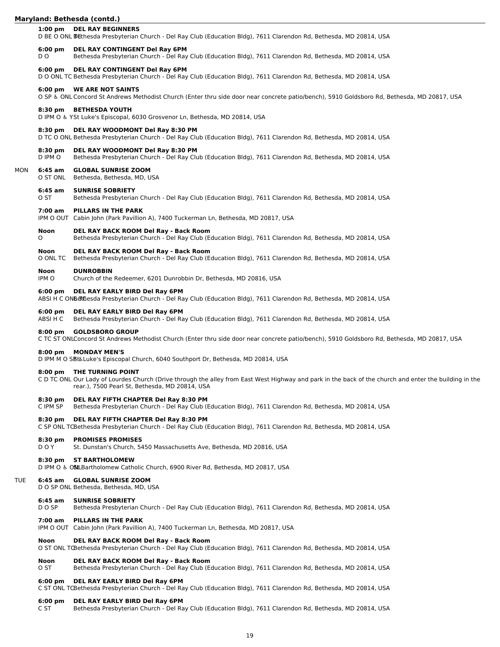### **Maryland: Bethesda (contd.)**

#### **1:00 pm DEL RAY BEGINNERS**

D BE O ONL Bethesda Presbyterian Church - Del Ray Club (Education Bldg), 7611 Clarendon Rd, Bethesda, MD 20814, USA

#### **6:00 pm DEL RAY CONTINGENT Del Ray 6PM**

D O Bethesda Presbyterian Church - Del Ray Club (Education Bldg), 7611 Clarendon Rd, Bethesda, MD 20814, USA

#### **6:00 pm DEL RAY CONTINGENT Del Ray 6PM**

D O ONL TC Bethesda Presbyterian Church - Del Ray Club (Education Bldg), 7611 Clarendon Rd, Bethesda, MD 20814, USA

#### **6:00 pm WE ARE NOT SAINTS**

O SP ♿︎ ONL Concord St Andrews Methodist Church (Enter thru side door near concrete patio/bench), 5910 Goldsboro Rd, Bethesda, MD 20817, USA

#### **8:30 pm BETHESDA YOUTH**

D IPM O ♿︎ YSt Luke's Episcopal, 6030 Grosvenor Ln, Bethesda, MD 20814, USA

# **8:30 pm DEL RAY WOODMONT Del Ray 8:30 PM**

D TC O ONL Bethesda Presbyterian Church - Del Ray Club (Education Bldg), 7611 Clarendon Rd, Bethesda, MD 20814, USA

#### **8:30 pm DEL RAY WOODMONT Del Ray 8:30 PM**

D IPM O Bethesda Presbyterian Church - Del Ray Club (Education Bldg), 7611 Clarendon Rd, Bethesda, MD 20814, USA

# MON **6:45 am GLOBAL SUNRISE ZOOM**

O ST ONL Bethesda, Bethesda, MD, USA

#### **6:45 am SUNRISE SOBRIETY**

O ST Bethesda Presbyterian Church - Del Ray Club (Education Bldg), 7611 Clarendon Rd, Bethesda, MD 20814, USA

#### **7:00 am PILLARS IN THE PARK**

IPM O OUT Cabin John (Park Pavillion A), 7400 Tuckerman Ln, Bethesda, MD 20817, USA

#### **Noon DEL RAY BACK ROOM Del Ray - Back Room**

O Bethesda Presbyterian Church - Del Ray Club (Education Bldg), 7611 Clarendon Rd, Bethesda, MD 20814, USA

# **Noon DEL RAY BACK ROOM Del Ray - Back Room**

O ONL TC Bethesda Presbyterian Church - Del Ray Club (Education Bldg), 7611 Clarendon Rd, Bethesda, MD 20814, USA

#### **Noon DUNROBBIN**

IPM O Church of the Redeemer, 6201 Dunrobbin Dr, Bethesda, MD 20816, USA

# **6:00 pm DEL RAY EARLY BIRD Del Ray 6PM**

ABSI H C ONBettGesda Presbyterian Church - Del Ray Club (Education Bldg), 7611 Clarendon Rd, Bethesda, MD 20814, USA

#### **6:00 pm DEL RAY EARLY BIRD Del Ray 6PM**

ABSI H C Bethesda Presbyterian Church - Del Ray Club (Education Bldg), 7611 Clarendon Rd, Bethesda, MD 20814, USA

#### **8:00 pm GOLDSBORO GROUP**

C TC ST ONLConcord St Andrews Methodist Church (Enter thru side door near concrete patio/bench), 5910 Goldsboro Rd, Bethesda, MD 20817, USA

#### **8:00 pm MONDAY MEN'S**

D IPM M O SBt& Luke's Episcopal Church, 6040 Southport Dr, Bethesda, MD 20814, USA

#### **8:00 pm THE TURNING POINT**

C D TC ONL Our Lady of Lourdes Church (Drive through the alley from East West Highway and park in the back of the church and enter the building in the rear.), 7500 Pearl St, Bethesda, MD 20814, USA

#### **8:30 pm DEL RAY FIFTH CHAPTER Del Ray 8:30 PM**

C IPM SP Bethesda Presbyterian Church - Del Ray Club (Education Bldg), 7611 Clarendon Rd, Bethesda, MD 20814, USA

#### **8:30 pm DEL RAY FIFTH CHAPTER Del Ray 8:30 PM**

C SP ONL TCBethesda Presbyterian Church - Del Ray Club (Education Bldg), 7611 Clarendon Rd, Bethesda, MD 20814, USA

#### **8:30 pm PROMISES PROMISES**

D O Y St. Dunstan's Church, 5450 Massachusetts Ave, Bethesda, MD 20816, USA

#### **8:30 pm ST BARTHOLOMEW**

D IPM O & OSLLBartholomew Catholic Church, 6900 River Rd, Bethesda, MD 20817, USA

#### TUE **6:45 am GLOBAL SUNRISE ZOOM**

D O SP ONL Bethesda, Bethesda, MD, USA

#### **6:45 am SUNRISE SOBRIETY**

D O SP Bethesda Presbyterian Church - Del Ray Club (Education Bldg), 7611 Clarendon Rd, Bethesda, MD 20814, USA

#### **7:00 am PILLARS IN THE PARK**

IPM O OUT Cabin John (Park Pavillion A), 7400 Tuckerman Ln, Bethesda, MD 20817, USA

#### **Noon DEL RAY BACK ROOM Del Ray - Back Room**

O ST ONL TCBethesda Presbyterian Church - Del Ray Club (Education Bldg), 7611 Clarendon Rd, Bethesda, MD 20814, USA

#### **Noon DEL RAY BACK ROOM Del Ray - Back Room**

O ST Bethesda Presbyterian Church - Del Ray Club (Education Bldg), 7611 Clarendon Rd, Bethesda, MD 20814, USA

#### **6:00 pm DEL RAY EARLY BIRD Del Ray 6PM**

C ST ONL TCBethesda Presbyterian Church - Del Ray Club (Education Bldg), 7611 Clarendon Rd, Bethesda, MD 20814, USA

#### **6:00 pm DEL RAY EARLY BIRD Del Ray 6PM**

C ST Bethesda Presbyterian Church - Del Ray Club (Education Bldg), 7611 Clarendon Rd, Bethesda, MD 20814, USA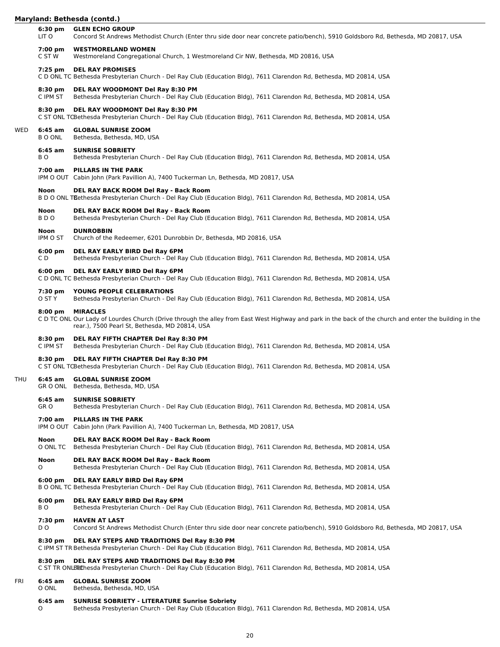# **Maryland: Bethesda (contd.)**

|     | 6:30 pm<br>LIT O        | <b>GLEN ECHO GROUP</b><br>Concord St Andrews Methodist Church (Enter thru side door near concrete patio/bench), 5910 Goldsboro Rd, Bethesda, MD 20817, USA                                                                  |
|-----|-------------------------|-----------------------------------------------------------------------------------------------------------------------------------------------------------------------------------------------------------------------------|
|     | 7:00 pm<br>C ST W       | <b>WESTMORELAND WOMEN</b><br>Westmoreland Congregational Church, 1 Westmoreland Cir NW, Bethesda, MD 20816, USA                                                                                                             |
|     | 7:25 pm                 | <b>DEL RAY PROMISES</b><br>C D ONL TC Bethesda Presbyterian Church - Del Ray Club (Education Bldg), 7611 Clarendon Rd, Bethesda, MD 20814, USA                                                                              |
|     | 8:30 pm<br>C IPM ST     | DEL RAY WOODMONT Del Ray 8:30 PM<br>Bethesda Presbyterian Church - Del Ray Club (Education Bldg), 7611 Clarendon Rd, Bethesda, MD 20814, USA                                                                                |
|     | $8:30$ pm               | DEL RAY WOODMONT Del Ray 8:30 PM<br>C ST ONL TCBethesda Presbyterian Church - Del Ray Club (Education Bldg), 7611 Clarendon Rd, Bethesda, MD 20814, USA                                                                     |
| WED | 6:45 am<br><b>BOONL</b> | <b>GLOBAL SUNRISE ZOOM</b><br>Bethesda, Bethesda, MD, USA                                                                                                                                                                   |
|     | 6:45 am<br>BO.          | <b>SUNRISE SOBRIETY</b><br>Bethesda Presbyterian Church - Del Ray Club (Education Bldg), 7611 Clarendon Rd, Bethesda, MD 20814, USA                                                                                         |
|     | 7:00 am                 | PILLARS IN THE PARK<br>IPM O OUT Cabin John (Park Pavillion A), 7400 Tuckerman Ln, Bethesda, MD 20817, USA                                                                                                                  |
|     | Noon                    | DEL RAY BACK ROOM Del Ray - Back Room<br>B D O ONL TBethesda Presbyterian Church - Del Ray Club (Education Bldg), 7611 Clarendon Rd, Bethesda, MD 20814, USA                                                                |
|     | <b>Noon</b><br>BDO      | DEL RAY BACK ROOM Del Ray - Back Room<br>Bethesda Presbyterian Church - Del Ray Club (Education Bldg), 7611 Clarendon Rd, Bethesda, MD 20814, USA                                                                           |
|     | Noon<br>IPM O ST        | <b>DUNROBBIN</b><br>Church of the Redeemer, 6201 Dunrobbin Dr, Bethesda, MD 20816, USA                                                                                                                                      |
|     | $6:00$ pm<br>C D        | DEL RAY EARLY BIRD Del Ray 6PM<br>Bethesda Presbyterian Church - Del Ray Club (Education Bldg), 7611 Clarendon Rd, Bethesda, MD 20814, USA                                                                                  |
|     | $6:00 \text{ pm}$       | DEL RAY EARLY BIRD Del Ray 6PM<br>C D ONL TC Bethesda Presbyterian Church - Del Ray Club (Education Bldg), 7611 Clarendon Rd, Bethesda, MD 20814, USA                                                                       |
|     | 7:30 pm<br>O ST Y       | YOUNG PEOPLE CELEBRATIONS<br>Bethesda Presbyterian Church - Del Ray Club (Education Bldg), 7611 Clarendon Rd, Bethesda, MD 20814, USA                                                                                       |
|     | $8:00 \text{ pm}$       | <b>MIRACLES</b><br>C D TC ONL Our Lady of Lourdes Church (Drive through the alley from East West Highway and park in the back of the church and enter the building in the<br>rear.), 7500 Pearl St, Bethesda, MD 20814, USA |
|     | $8:30$ pm<br>C IPM ST   | DEL RAY FIFTH CHAPTER Del Ray 8:30 PM<br>Bethesda Presbyterian Church - Del Ray Club (Education Bldg), 7611 Clarendon Rd, Bethesda, MD 20814, USA                                                                           |
|     | 8:30 pm                 | DEL RAY FIFTH CHAPTER Del Ray 8:30 PM<br>C ST ONL TCBethesda Presbyterian Church - Del Ray Club (Education Bldg), 7611 Clarendon Rd, Bethesda, MD 20814, USA                                                                |
| THU |                         | 6:45 am GLOBAL SUNRISE ZOOM<br>GR O ONL Bethesda, Bethesda, MD, USA                                                                                                                                                         |
|     | 6:45 am<br>GR O         | <b>SUNRISE SOBRIETY</b><br>Bethesda Presbyterian Church - Del Ray Club (Education Bldg), 7611 Clarendon Rd, Bethesda, MD 20814, USA                                                                                         |
|     | 7:00 am                 | PILLARS IN THE PARK<br>IPM O OUT Cabin John (Park Pavillion A), 7400 Tuckerman Ln, Bethesda, MD 20817, USA                                                                                                                  |
|     | Noon<br>O ONL TC        | DEL RAY BACK ROOM Del Ray - Back Room<br>Bethesda Presbyterian Church - Del Ray Club (Education Bldg), 7611 Clarendon Rd, Bethesda, MD 20814, USA                                                                           |
|     | Noon<br>0               | DEL RAY BACK ROOM Del Ray - Back Room<br>Bethesda Presbyterian Church - Del Ray Club (Education Bldg), 7611 Clarendon Rd, Bethesda, MD 20814, USA                                                                           |
|     | $6:00 \text{ pm}$       | DEL RAY EARLY BIRD Del Ray 6PM<br>B O ONL TC Bethesda Presbyterian Church - Del Ray Club (Education Bldg), 7611 Clarendon Rd, Bethesda, MD 20814, USA                                                                       |
|     | $6:00$ pm<br>BO.        | DEL RAY EARLY BIRD Del Ray 6PM<br>Bethesda Presbyterian Church - Del Ray Club (Education Bldg), 7611 Clarendon Rd, Bethesda, MD 20814, USA                                                                                  |
|     | 7:30 pm<br>D O          | <b>HAVEN AT LAST</b><br>Concord St Andrews Methodist Church (Enter thru side door near concrete patio/bench), 5910 Goldsboro Rd, Bethesda, MD 20817, USA                                                                    |
|     | $8:30$ pm               | DEL RAY STEPS AND TRADITIONS Del Ray 8:30 PM<br>C IPM ST TR Bethesda Presbyterian Church - Del Ray Club (Education Bldg), 7611 Clarendon Rd, Bethesda, MD 20814, USA                                                        |
|     | $8:30$ pm               | DEL RAY STEPS AND TRADITIONS Del Ray 8:30 PM<br>C ST TR ONLBECthesda Presbyterian Church - Del Ray Club (Education Bldg), 7611 Clarendon Rd, Bethesda, MD 20814, USA                                                        |
| FRI | 6:45 am<br>O ONL        | <b>GLOBAL SUNRISE ZOOM</b><br>Bethesda, Bethesda, MD, USA                                                                                                                                                                   |
|     | 6:45 am<br>0            | <b>SUNRISE SOBRIETY - LITERATURE Sunrise Sobriety</b><br>Bethesda Presbyterian Church - Del Ray Club (Education Bldg), 7611 Clarendon Rd, Bethesda, MD 20814, USA                                                           |

20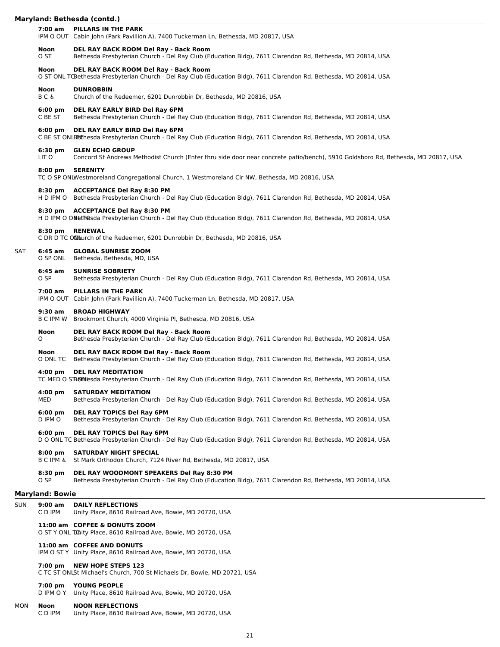|     | Maryland: Bethesda (contd.)   |                                                                                                                                                             |  |
|-----|-------------------------------|-------------------------------------------------------------------------------------------------------------------------------------------------------------|--|
|     | 7:00 am                       | PILLARS IN THE PARK<br>IPM O OUT Cabin John (Park Pavillion A), 7400 Tuckerman Ln, Bethesda, MD 20817, USA                                                  |  |
|     | <b>Noon</b><br>O ST           | DEL RAY BACK ROOM Del Ray - Back Room<br>Bethesda Presbyterian Church - Del Ray Club (Education Bldg), 7611 Clarendon Rd, Bethesda, MD 20814, USA           |  |
|     | <b>Noon</b>                   | DEL RAY BACK ROOM Del Ray - Back Room<br>O ST ONL TŒethesda Presbyterian Church - Del Ray Club (Education Bldg), 7611 Clarendon Rd, Bethesda, MD 20814, USA |  |
|     | <b>Noon</b><br><b>BC&amp;</b> | <b>DUNROBBIN</b><br>Church of the Redeemer, 6201 Dunrobbin Dr, Bethesda, MD 20816, USA                                                                      |  |
|     | $6:00 \text{ pm}$<br>C BE ST  | DEL RAY EARLY BIRD Del Ray 6PM<br>Bethesda Presbyterian Church - Del Ray Club (Education Bldg), 7611 Clarendon Rd, Bethesda, MD 20814, USA                  |  |
|     | $6:00 \text{ pm}$             | DEL RAY EARLY BIRD Del Ray 6PM<br>C BE ST ONLEECThesda Presbyterian Church - Del Ray Club (Education Bldg), 7611 Clarendon Rd, Bethesda, MD 20814, USA      |  |
|     | 6:30 pm<br>LIT O              | <b>GLEN ECHO GROUP</b><br>Concord St Andrews Methodist Church (Enter thru side door near concrete patio/bench), 5910 Goldsboro Rd, Bethesda, MD 20817, USA  |  |
|     |                               | 8:00 pm SERENITY<br>TC O SP ONLWestmoreland Congregational Church, 1 Westmoreland Cir NW, Bethesda, MD 20816, USA                                           |  |
|     |                               | 8:30 pm ACCEPTANCE Del Ray 8:30 PM<br>H D IPM O Bethesda Presbyterian Church - Del Ray Club (Education Bldg), 7611 Clarendon Rd, Bethesda, MD 20814, USA    |  |
|     |                               | 8:30 pm ACCEPTANCE Del Ray 8:30 PM<br>H D IPM O OBethesda Presbyterian Church - Del Ray Club (Education Bldg), 7611 Clarendon Rd, Bethesda, MD 20814, USA   |  |
|     | $8:30$ pm                     | <b>RENEWAL</b><br>C DR D TC OChurch of the Redeemer, 6201 Dunrobbin Dr, Bethesda, MD 20816, USA                                                             |  |
| SAT | 6:45 am<br>O SP ONL           | <b>GLOBAL SUNRISE ZOOM</b><br>Bethesda, Bethesda, MD, USA                                                                                                   |  |
|     | $6:45$ am<br>O SP             | <b>SUNRISE SOBRIETY</b><br>Bethesda Presbyterian Church - Del Ray Club (Education Bldg), 7611 Clarendon Rd, Bethesda, MD 20814, USA                         |  |
|     | 7:00 am                       | PILLARS IN THE PARK<br>IPM O OUT Cabin John (Park Pavillion A), 7400 Tuckerman Ln, Bethesda, MD 20817, USA                                                  |  |
|     | $9:30$ am                     | <b>BROAD HIGHWAY</b>                                                                                                                                        |  |

B C IPM W Brookmont Church, 4000 Virginia Pl, Bethesda, MD 20816, USA

# **Noon DEL RAY BACK ROOM Del Ray - Back Room**

O Bethesda Presbyterian Church - Del Ray Club (Education Bldg), 7611 Clarendon Rd, Bethesda, MD 20814, USA

# **Noon DEL RAY BACK ROOM Del Ray - Back Room**

O ONL TC Bethesda Presbyterian Church - Del Ray Club (Education Bldg), 7611 Clarendon Rd, Bethesda, MD 20814, USA

# **4:00 pm DEL RAY MEDITATION**

TC MED O S'Bethlesda Presbyterian Church - Del Ray Club (Education Bldg), 7611 Clarendon Rd, Bethesda, MD 20814, USA

# **4:00 pm SATURDAY MEDITATION**

MED Bethesda Presbyterian Church - Del Ray Club (Education Bldg), 7611 Clarendon Rd, Bethesda, MD 20814, USA

# **6:00 pm DEL RAY TOPICS Del Ray 6PM**

Bethesda Presbyterian Church - Del Ray Club (Education Bldg), 7611 Clarendon Rd, Bethesda, MD 20814, USA

# **6:00 pm DEL RAY TOPICS Del Ray 6PM**

D O ONL TC Bethesda Presbyterian Church - Del Ray Club (Education Bldg), 7611 Clarendon Rd, Bethesda, MD 20814, USA

# **8:00 pm SATURDAY NIGHT SPECIAL**

B C IPM & St Mark Orthodox Church, 7124 River Rd, Bethesda, MD 20817, USA

# **8:30 pm DEL RAY WOODMONT SPEAKERS Del Ray 8:30 PM**

O SP Bethesda Presbyterian Church - Del Ray Club (Education Bldg), 7611 Clarendon Rd, Bethesda, MD 20814, USA

# **Maryland: Bowie**

| SUN | 9:00 am<br>C D IPM             | <b>DAILY REFLECTIONS</b><br>Unity Place, 8610 Railroad Ave, Bowie, MD 20720, USA                      |
|-----|--------------------------------|-------------------------------------------------------------------------------------------------------|
|     |                                | 11:00 am COFFEE & DONUTS ZOOM<br>O ST Y ONL Tunity Place, 8610 Railroad Ave, Bowie, MD 20720, USA     |
|     |                                | 11:00 am COFFEE AND DONUTS<br>IPM O ST Y Unity Place, 8610 Railroad Ave, Bowie, MD 20720, USA         |
|     | 7:00 pm                        | <b>NEW HOPE STEPS 123</b><br>C TC ST ONLSt Michael's Church. 700 St Michaels Dr. Bowie. MD 20721. USA |
|     | $7:00 \text{ pm}$<br>D IPM O Y | <b>YOUNG PEOPLE</b><br>Unity Place, 8610 Railroad Ave, Bowie, MD 20720, USA                           |

# MON **Noon NOON REFLECTIONS**

Unity Place, 8610 Railroad Ave, Bowie, MD 20720, USA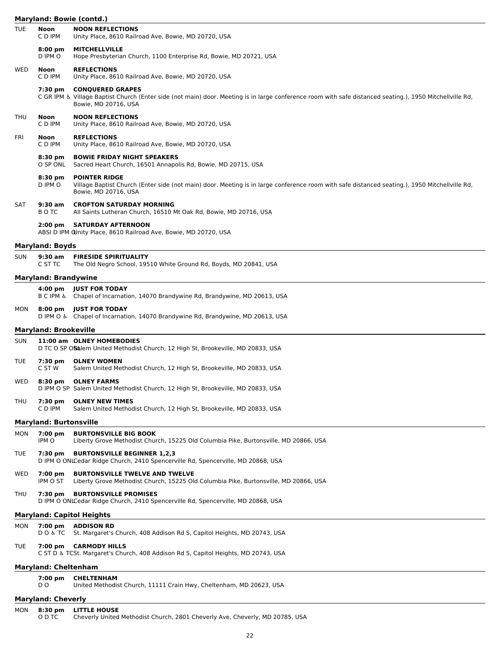# **Maryland: Bowie (contd.)**

|            |                                                                                                                             | Maryland: Bowie (contd.)                                                                                                                                                                                    |  |
|------------|-----------------------------------------------------------------------------------------------------------------------------|-------------------------------------------------------------------------------------------------------------------------------------------------------------------------------------------------------------|--|
| <b>TUE</b> | Noon<br>C D IPM                                                                                                             | <b>NOON REFLECTIONS</b><br>Unity Place, 8610 Railroad Ave, Bowie, MD 20720, USA                                                                                                                             |  |
|            | $8:00 \text{ pm}$<br>D IPM O                                                                                                | <b>MITCHELLVILLE</b><br>Hope Presbyterian Church, 1100 Enterprise Rd, Bowie, MD 20721, USA                                                                                                                  |  |
| WED        | Noon<br>C D IPM                                                                                                             | <b>REFLECTIONS</b><br>Unity Place, 8610 Railroad Ave, Bowie, MD 20720, USA                                                                                                                                  |  |
|            | 7:30 pm                                                                                                                     | <b>CONQUERED GRAPES</b><br>C GR IPM & Village Baptist Church (Enter side (not main) door. Meeting is in large conference room with safe distanced seating.), 1950 Mitchellville Rd,<br>Bowie, MD 20716, USA |  |
| THU        | Noon<br>C D IPM                                                                                                             | <b>NOON REFLECTIONS</b><br>Unity Place, 8610 Railroad Ave, Bowie, MD 20720, USA                                                                                                                             |  |
| FRI        | Noon<br>C D IPM                                                                                                             | <b>REFLECTIONS</b><br>Unity Place, 8610 Railroad Ave, Bowie, MD 20720, USA                                                                                                                                  |  |
|            | 8:30 pm<br>O SP ONL                                                                                                         | <b>BOWIE FRIDAY NIGHT SPEAKERS</b><br>Sacred Heart Church, 16501 Annapolis Rd, Bowie, MD 20715, USA                                                                                                         |  |
|            | 8:30 pm<br>D IPM O                                                                                                          | <b>POINTER RIDGE</b><br>Village Baptist Church (Enter side (not main) door. Meeting is in large conference room with safe distanced seating.), 1950 Mitchellville Rd,<br>Bowie, MD 20716, USA               |  |
| SAT        | $9:30$ am<br>B O TC                                                                                                         | <b>CROFTON SATURDAY MORNING</b><br>All Saints Lutheran Church, 16510 Mt Oak Rd, Bowie, MD 20716, USA                                                                                                        |  |
|            | $2:00 \text{ pm}$                                                                                                           | <b>SATURDAY AFTERNOON</b><br>ABSI D IPM OUnity Place, 8610 Railroad Ave, Bowie, MD 20720, USA                                                                                                               |  |
|            | <b>Maryland: Boyds</b>                                                                                                      |                                                                                                                                                                                                             |  |
| <b>SUN</b> | 9:30 am<br>C ST TC                                                                                                          | <b>FIRESIDE SPIRITUALITY</b><br>The Old Negro School, 19510 White Ground Rd, Boyds, MD 20841, USA                                                                                                           |  |
|            | <b>Maryland: Brandywine</b>                                                                                                 |                                                                                                                                                                                                             |  |
|            | 4:00 pm<br><b>BCIPM &amp;</b>                                                                                               | <b>JUST FOR TODAY</b><br>Chapel of Incarnation, 14070 Brandywine Rd, Brandywine, MD 20613, USA                                                                                                              |  |
| MON        | $8:00 \text{ pm}$                                                                                                           | <b>JUST FOR TODAY</b><br>D IPM O & Chapel of Incarnation, 14070 Brandywine Rd, Brandywine, MD 20613, USA                                                                                                    |  |
|            | <b>Maryland: Brookeville</b>                                                                                                |                                                                                                                                                                                                             |  |
| <b>SUN</b> |                                                                                                                             | 11:00 am OLNEY HOMEBODIES<br>D TC O SP OS alem United Methodist Church, 12 High St, Brookeville, MD 20833, USA                                                                                              |  |
| TUE        | 7:30 pm<br>C ST W                                                                                                           | <b>OLNEY WOMEN</b><br>Salem United Methodist Church, 12 High St, Brookeville, MD 20833, USA                                                                                                                 |  |
| WED        | 8:30 pm                                                                                                                     | <b>OLNEY FARMS</b><br>D IPM O SP Salem United Methodist Church, 12 High St, Brookeville, MD 20833, USA                                                                                                      |  |
| THU        | 7:30 pm<br>C D IPM                                                                                                          | <b>OLNEY NEW TIMES</b><br>Salem United Methodist Church, 12 High St, Brookeville, MD 20833, USA                                                                                                             |  |
|            | <b>Maryland: Burtonsville</b>                                                                                               |                                                                                                                                                                                                             |  |
| MON        | 7:00 pm<br>IPM O                                                                                                            | <b>BURTONSVILLE BIG BOOK</b><br>Liberty Grove Methodist Church, 15225 Old Columbia Pike, Burtonsville, MD 20866, USA                                                                                        |  |
| TUE        | 7:30 pm                                                                                                                     | <b>BURTONSVILLE BEGINNER 1,2,3</b><br>D IPM O ONLCedar Ridge Church, 2410 Spencerville Rd, Spencerville, MD 20868, USA                                                                                      |  |
| WED        | $7:00 \text{ pm}$<br>IPM O ST                                                                                               | <b>BURTONSVILLE TWELVE AND TWELVE</b><br>Liberty Grove Methodist Church, 15225 Old Columbia Pike, Burtonsville, MD 20866, USA                                                                               |  |
| THU        | <b>BURTONSVILLE PROMISES</b><br>7:30 pm<br>D IPM O ONLCedar Ridge Church, 2410 Spencerville Rd, Spencerville, MD 20868, USA |                                                                                                                                                                                                             |  |
|            |                                                                                                                             | <b>Maryland: Capitol Heights</b>                                                                                                                                                                            |  |
| MON        | 7:00 pm<br>D O & T C                                                                                                        | <b>ADDISON RD</b><br>St. Margaret's Church, 408 Addison Rd S, Capitol Heights, MD 20743, USA                                                                                                                |  |
| TUE        |                                                                                                                             | 7:00 pm CARMODY HILLS<br>C ST D & TCSt. Margaret's Church, 408 Addison Rd S, Capitol Heights, MD 20743, USA                                                                                                 |  |
|            | <b>Maryland: Cheltenham</b>                                                                                                 |                                                                                                                                                                                                             |  |
|            | 7:00 pm<br>D O                                                                                                              | <b>CHELTENHAM</b><br>United Methodist Church, 11111 Crain Hwy, Cheltenham, MD 20623, USA                                                                                                                    |  |
|            | <b>Maryland: Cheverly</b>                                                                                                   |                                                                                                                                                                                                             |  |

| MON |        | 8:30 pm LITTLE HOUSE                                                         |  |  |  |
|-----|--------|------------------------------------------------------------------------------|--|--|--|
|     | O D TC | Cheverly United Methodist Church, 2801 Cheverly Ave, Cheverly, MD 20785, USA |  |  |  |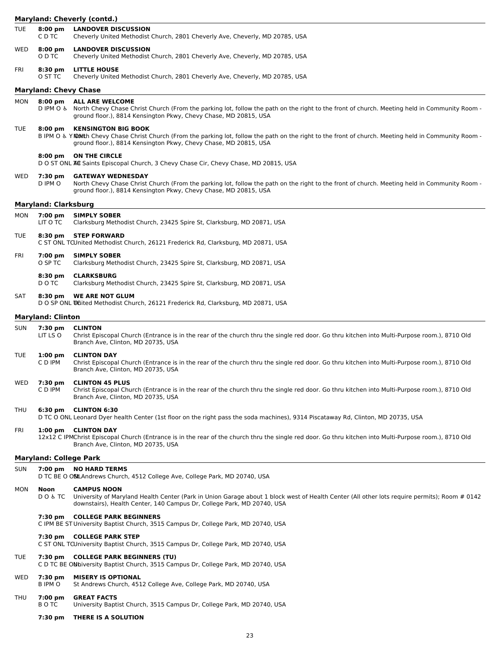|            |                              | Maryland: Cheverly (contd.)                                                                                                                                                                                                                                |  |  |  |  |
|------------|------------------------------|------------------------------------------------------------------------------------------------------------------------------------------------------------------------------------------------------------------------------------------------------------|--|--|--|--|
| <b>TUE</b> | $8:00$ pm<br>C D TC          | <b>LANDOVER DISCUSSION</b><br>Cheverly United Methodist Church, 2801 Cheverly Ave, Cheverly, MD 20785, USA                                                                                                                                                 |  |  |  |  |
| <b>WED</b> | 8:00 pm<br>O D TC            | <b>LANDOVER DISCUSSION</b><br>Cheverly United Methodist Church, 2801 Cheverly Ave, Cheverly, MD 20785, USA                                                                                                                                                 |  |  |  |  |
| FRI        | 8:30 pm<br>O ST TC           | <b>LITTLE HOUSE</b><br>Cheverly United Methodist Church, 2801 Cheverly Ave, Cheverly, MD 20785, USA                                                                                                                                                        |  |  |  |  |
|            | <b>Maryland: Chevy Chase</b> |                                                                                                                                                                                                                                                            |  |  |  |  |
| MON        | $8:00$ pm                    | <b>ALL ARE WELCOME</b><br>D IPM O & North Chevy Chase Christ Church (From the parking lot, follow the path on the right to the front of church. Meeting held in Community Room -<br>ground floor.), 8814 Kensington Pkwy, Chevy Chase, MD 20815, USA       |  |  |  |  |
| <b>TUE</b> | $8:00$ pm                    | <b>KENSINGTON BIG BOOK</b><br>B IPM O & Y NONth Chevy Chase Christ Church (From the parking lot, follow the path on the right to the front of church. Meeting held in Community Room -<br>ground floor.), 8814 Kensington Pkwy, Chevy Chase, MD 20815, USA |  |  |  |  |
|            | $8:00 \text{ pm}$            | <b>ON THE CIRCLE</b><br>D O ST ONL ALC Saints Episcopal Church, 3 Chevy Chase Cir, Chevy Chase, MD 20815, USA                                                                                                                                              |  |  |  |  |
| WED        | 7:30 pm<br>D IPM O           | <b>GATEWAY WEDNESDAY</b><br>North Chevy Chase Christ Church (From the parking lot, follow the path on the right to the front of church. Meeting held in Community Room -<br>ground floor.), 8814 Kensington Pkwy, Chevy Chase, MD 20815, USA               |  |  |  |  |
|            | <b>Maryland: Clarksburg</b>  |                                                                                                                                                                                                                                                            |  |  |  |  |
| <b>MON</b> | 7:00 pm<br>LIT O TC          | <b>SIMPLY SOBER</b><br>Clarksburg Methodist Church, 23425 Spire St, Clarksburg, MD 20871, USA                                                                                                                                                              |  |  |  |  |
| <b>TUE</b> | 8:30 pm                      | <b>STEP FORWARD</b><br>C ST ONL TCUnited Methodist Church, 26121 Frederick Rd, Clarksburg, MD 20871, USA                                                                                                                                                   |  |  |  |  |
| <b>FRI</b> | 7:00 pm<br>O SP TC           | <b>SIMPLY SOBER</b><br>Clarksburg Methodist Church, 23425 Spire St, Clarksburg, MD 20871, USA                                                                                                                                                              |  |  |  |  |
|            | 8:30 pm<br>D O TC            | <b>CLARKSBURG</b><br>Clarksburg Methodist Church, 23425 Spire St, Clarksburg, MD 20871, USA                                                                                                                                                                |  |  |  |  |
| SAT        | $8:30 \text{ pm}$            | <b>WE ARE NOT GLUM</b><br>D O SP ONL UGited Methodist Church, 26121 Frederick Rd, Clarksburg, MD 20871, USA                                                                                                                                                |  |  |  |  |
|            | <b>Maryland: Clinton</b>     |                                                                                                                                                                                                                                                            |  |  |  |  |
| <b>SUN</b> | 7:30 pm<br>LIT LS O          | <b>CLINTON</b><br>Christ Episcopal Church (Entrance is in the rear of the church thru the single red door. Go thru kitchen into Multi-Purpose room.), 8710 Old<br>Branch Ave, Clinton, MD 20735, USA                                                       |  |  |  |  |
| <b>TUE</b> | $1:00$ pm<br>C D IPM         | <b>CLINTON DAY</b><br>Christ Episcopal Church (Entrance is in the rear of the church thru the single red door. Go thru kitchen into Multi-Purpose room.), 8710 Old<br>Branch Ave, Clinton, MD 20735, USA                                                   |  |  |  |  |
| <b>WED</b> | 7:30 pm<br>C D IPM           | <b>CLINTON 45 PLUS</b><br>Christ Episcopal Church (Entrance is in the rear of the church thru the single red door. Go thru kitchen into Multi-Purpose room.), 8710 Old<br>Branch Ave, Clinton, MD 20735, USA                                               |  |  |  |  |
| <b>THU</b> | $6:30 \text{ pm}$            | <b>CLINTON 6:30</b><br>D TC O ONL Leonard Dyer health Center (1st floor on the right pass the soda machines), 9314 Piscataway Rd, Clinton, MD 20735, USA                                                                                                   |  |  |  |  |

FRI **1:00 pm CLINTON DAY**

12x12 C IPMChrist Episcopal Church (Entrance is in the rear of the church thru the single red door. Go thru kitchen into Multi-Purpose room.), 8710 Old Branch Ave, Clinton, MD 20735, USA

# **Maryland: College Park**

# SUN **7:00 pm NO HARD TERMS**

D TC BE O OSLAndrews Church, 4512 College Ave, College Park, MD 20740, USA

# MON **Noon CAMPUS NOON**

D O & TC University of Maryland Health Center (Park in Union Garage about 1 block west of Health Center (All other lots require permits); Room # 0142 downstairs), Health Center, 140 Campus Dr, College Park, MD 20740, USA

# **7:30 pm COLLEGE PARK BEGINNERS**

C IPM BE ST University Baptist Church, 3515 Campus Dr, College Park, MD 20740, USA

#### **7:30 pm COLLEGE PARK STEP**

C ST ONL TCUniversity Baptist Church, 3515 Campus Dr, College Park, MD 20740, USA

# TUE **7:30 pm COLLEGE PARK BEGINNERS (TU)**

C D TC BE ON hiversity Baptist Church, 3515 Campus Dr, College Park, MD 20740, USA

# WED **7:30 pm MISERY IS OPTIONAL**<br>B IPM O St Andrews Church, 451

St Andrews Church, 4512 College Ave, College Park, MD 20740, USA

# THU **7:00 pm GREAT FACTS**

- B O TC University Baptist Church, 3515 Campus Dr, College Park, MD 20740, USA
	- **7:30 pm THERE IS A SOLUTION**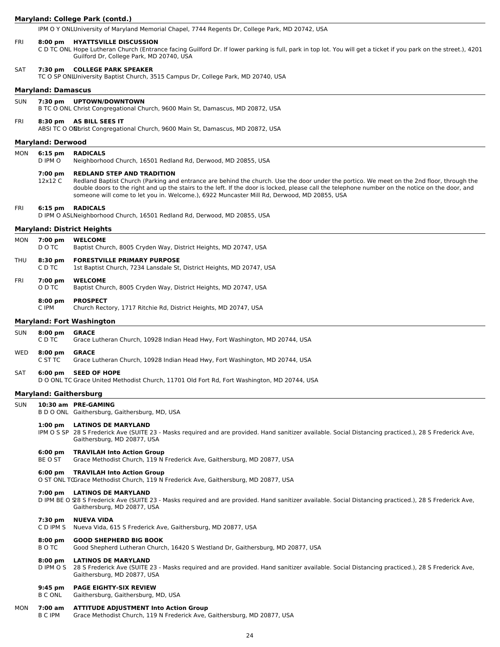#### **Maryland: College Park (contd.)**

IPM O Y ONLUniversity of Maryland Memorial Chapel, 7744 Regents Dr, College Park, MD 20742, USA

# FRI **8:00 pm HYATTSVILLE DISCUSSION**

C D TC ONL Hope Lutheran Church (Entrance facing Guilford Dr. If lower parking is full, park in top lot. You will get a ticket if you park on the street.), 4201 Guilford Dr, College Park, MD 20740, USA

#### SAT **7:30 pm COLLEGE PARK SPEAKER**

TC O SP ONLUniversity Baptist Church, 3515 Campus Dr, College Park, MD 20740, USA

#### **Maryland: Damascus**

SUN **7:30 pm UPTOWN/DOWNTOWN**

B TC O ONL Christ Congregational Church, 9600 Main St, Damascus, MD 20872, USA

#### FRI **8:30 pm AS BILL SEES IT**

ABSI TC O ON brist Congregational Church, 9600 Main St, Damascus, MD 20872, USA

# **Maryland: Derwood**

MON **6:15 pm RADICALS**

D IPM O Neighborhood Church, 16501 Redland Rd, Derwood, MD 20855, USA

#### **7:00 pm REDLAND STEP AND TRADITION**

12x12 C Redland Baptist Church (Parking and entrance are behind the church. Use the door under the portico. We meet on the 2nd floor, through the double doors to the right and up the stairs to the left. If the door is locked, please call the telephone number on the notice on the door, and someone will come to let you in. Welcome.), 6922 Muncaster Mill Rd, Derwood, MD 20855, USA

#### FRI **6:15 pm RADICALS**

D IPM O ASLNeighborhood Church, 16501 Redland Rd, Derwood, MD 20855, USA

# **Maryland: District Heights**

| MON | 7:00 pm<br>D O TC   | <b>WELCOME</b><br>Baptist Church, 8005 Cryden Way, District Heights, MD 20747, USA                          |
|-----|---------------------|-------------------------------------------------------------------------------------------------------------|
| THU | $8:30$ pm<br>C D TC | <b>FORESTVILLE PRIMARY PURPOSE</b><br>1st Baptist Church, 7234 Lansdale St, District Heights, MD 20747, USA |

#### FRI **7:00 pm WELCOME**

O D TC Baptist Church, 8005 Cryden Way, District Heights, MD 20747, USA

# **8:00 pm PROSPECT**

C IPM Church Rectory, 1717 Ritchie Rd, District Heights, MD 20747, USA

# **Maryland: Fort Washington**

# SUN **8:00 pm GRACE**

| Grace Lutheran Church, 10928 Indian Head Hwy, Fort Washington, MD 20744, USA<br>C D TC |  |
|----------------------------------------------------------------------------------------|--|
|----------------------------------------------------------------------------------------|--|

### WED **8:00 pm GRACE**

C ST TC Grace Lutheran Church, 10928 Indian Head Hwy, Fort Washington, MD 20744, USA

### SAT **6:00 pm SEED OF HOPE**

D O ONL TC Grace United Methodist Church, 11701 Old Fort Rd, Fort Washington, MD 20744, USA

#### **Maryland: Gaithersburg**

- SUN **10:30 am PRE-GAMING**
	- B D O ONL Gaithersburg, Gaithersburg, MD, USA

# **1:00 pm LATINOS DE MARYLAND**

IPM O S SP 28 S Frederick Ave (SUITE 23 - Masks required and are provided. Hand sanitizer available. Social Distancing practiced.), 28 S Frederick Ave, Gaithersburg, MD 20877, USA

# **6:00 pm TRAVILAH Into Action Group**

BE O ST Grace Methodist Church, 119 N Frederick Ave, Gaithersburg, MD 20877, USA

# **6:00 pm TRAVILAH Into Action Group**

O ST ONL TCGrace Methodist Church, 119 N Frederick Ave, Gaithersburg, MD 20877, USA

#### **7:00 pm LATINOS DE MARYLAND**

D IPM BE O S28 S Frederick Ave (SUITE 23 - Masks required and are provided. Hand sanitizer available. Social Distancing practiced.), 28 S Frederick Ave, Gaithersburg, MD 20877, USA

# **7:30 pm NUEVA VIDA**

C D IPM S Nueva Vida, 615 S Frederick Ave, Gaithersburg, MD 20877, USA

# **8:00 pm GOOD SHEPHERD BIG BOOK**

B O TC Good Shepherd Lutheran Church, 16420 S Westland Dr, Gaithersburg, MD 20877, USA

#### **8:00 pm LATINOS DE MARYLAND**

D IPM O S 28 S Frederick Ave (SUITE 23 - Masks required and are provided. Hand sanitizer available. Social Distancing practiced.), 28 S Frederick Ave, Gaithersburg, MD 20877, USA

#### **9:45 pm PAGE EIGHTY-SIX REVIEW**

B C ONL Gaithersburg, Gaithersburg, MD, USA

# MON **7:00 am ATTITUDE ADJUSTMENT Into Action Group**

Grace Methodist Church, 119 N Frederick Ave, Gaithersburg, MD 20877, USA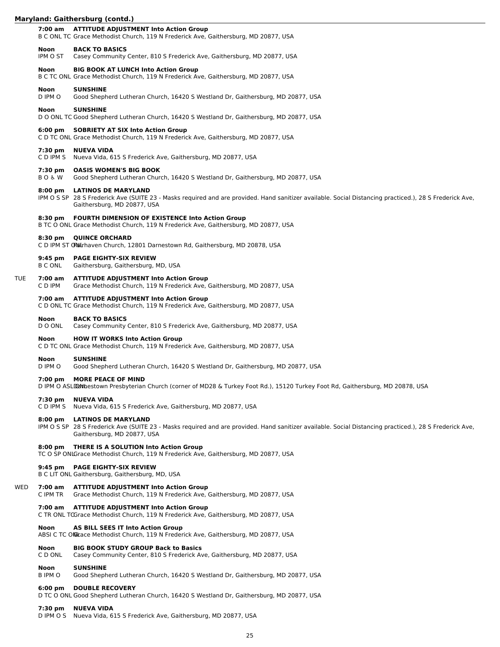|     |                            | Maryland: Gaithersburg (contd.)                                                                                                                                                                                      |
|-----|----------------------------|----------------------------------------------------------------------------------------------------------------------------------------------------------------------------------------------------------------------|
|     | 7:00 am                    | <b>ATTITUDE ADJUSTMENT Into Action Group</b><br>B C ONL TC Grace Methodist Church, 119 N Frederick Ave, Gaithersburg, MD 20877, USA                                                                                  |
|     | Noon<br>IPM O ST           | <b>BACK TO BASICS</b><br>Casey Community Center, 810 S Frederick Ave, Gaithersburg, MD 20877, USA                                                                                                                    |
|     | Noon                       | <b>BIG BOOK AT LUNCH Into Action Group</b><br>B C TC ONL Grace Methodist Church, 119 N Frederick Ave, Gaithersburg, MD 20877, USA                                                                                    |
|     | Noon<br>D IPM O            | <b>SUNSHINE</b><br>Good Shepherd Lutheran Church, 16420 S Westland Dr, Gaithersburg, MD 20877, USA                                                                                                                   |
|     | Noon                       | <b>SUNSHINE</b><br>D O ONL TC Good Shepherd Lutheran Church, 16420 S Westland Dr, Gaithersburg, MD 20877, USA                                                                                                        |
|     | $6:00 \text{ pm}$          | <b>SOBRIETY AT SIX Into Action Group</b><br>C D TC ONL Grace Methodist Church, 119 N Frederick Ave, Gaithersburg, MD 20877, USA                                                                                      |
|     | 7:30 pm<br>C D IPM S       | <b>NUEVA VIDA</b><br>Nueva Vida, 615 S Frederick Ave, Gaithersburg, MD 20877, USA                                                                                                                                    |
|     | 7:30 pm<br><b>BO&amp;W</b> | <b>OASIS WOMEN'S BIG BOOK</b><br>Good Shepherd Lutheran Church, 16420 S Westland Dr, Gaithersburg, MD 20877, USA                                                                                                     |
|     | $8:00 \text{ pm}$          | <b>LATINOS DE MARYLAND</b><br>IPM O S SP 28 S Frederick Ave (SUITE 23 - Masks required and are provided. Hand sanitizer available. Social Distancing practiced.), 28 S Frederick Ave,<br>Gaithersburg, MD 20877, USA |
|     |                            | 8:30 pm  FOURTH DIMENSION OF EXISTENCE Into Action Group<br>B TC O ONL Grace Methodist Church, 119 N Frederick Ave, Gaithersburg, MD 20877, USA                                                                      |
|     | $8:30$ pm                  | <b>QUINCE ORCHARD</b><br>C D IPM ST O Mairhaven Church, 12801 Darnestown Rd, Gaithersburg, MD 20878, USA                                                                                                             |
|     | $9:45$ pm<br>B C ONL       | <b>PAGE EIGHTY-SIX REVIEW</b><br>Gaithersburg, Gaithersburg, MD, USA                                                                                                                                                 |
| TUE | 7:00 am<br>C D IPM         | <b>ATTITUDE ADJUSTMENT Into Action Group</b><br>Grace Methodist Church, 119 N Frederick Ave, Gaithersburg, MD 20877, USA                                                                                             |
|     |                            | 7:00 am ATTITUDE ADJUSTMENT Into Action Group<br>C D ONL TC Grace Methodist Church, 119 N Frederick Ave, Gaithersburg, MD 20877, USA                                                                                 |
|     | Noon<br>D O ONL            | <b>BACK TO BASICS</b><br>Casey Community Center, 810 S Frederick Ave, Gaithersburg, MD 20877, USA                                                                                                                    |
|     | <b>Noon</b>                | <b>HOW IT WORKS Into Action Group</b><br>C D TC ONL Grace Methodist Church, 119 N Frederick Ave, Gaithersburg, MD 20877, USA                                                                                         |
|     | Noon<br>D IPM O            | <b>SUNSHINE</b><br>Good Shepherd Lutheran Church, 16420 S Westland Dr, Gaithersburg, MD 20877, USA                                                                                                                   |
|     | 7:00~pm                    | <b>MORE PEACE OF MIND</b><br>D IPM O ASLIDA thestown Presbyterian Church (corner of MD28 & Turkey Foot Rd.), 15120 Turkey Foot Rd, Gaithersburg, MD 20878, USA                                                       |
|     | 7:30 pm<br>C D IPM S       | <b>NUEVA VIDA</b><br>Nueva Vida, 615 S Frederick Ave, Gaithersburg, MD 20877, USA                                                                                                                                    |
|     | $8:00$ pm                  | <b>LATINOS DE MARYLAND</b><br>IPM O S SP 28 S Frederick Ave (SUITE 23 - Masks required and are provided. Hand sanitizer available. Social Distancing practiced.), 28 S Frederick Ave,<br>Gaithersburg, MD 20877, USA |
|     | $8:00$ pm                  | <b>THERE IS A SOLUTION Into Action Group</b><br>TC O SP ONLGrace Methodist Church, 119 N Frederick Ave, Gaithersburg, MD 20877, USA                                                                                  |
|     | $9:45$ pm                  | <b>PAGE EIGHTY-SIX REVIEW</b><br>B C LIT ONL Gaithersburg, Gaithersburg, MD, USA                                                                                                                                     |
| WED | 7:00 am<br>C IPM TR        | <b>ATTITUDE ADJUSTMENT Into Action Group</b><br>Grace Methodist Church, 119 N Frederick Ave, Gaithersburg, MD 20877, USA                                                                                             |
|     | 7:00 am                    | <b>ATTITUDE ADJUSTMENT Into Action Group</b><br>C TR ONL TGGrace Methodist Church, 119 N Frederick Ave, Gaithersburg, MD 20877, USA                                                                                  |
|     | Noon                       | <b>AS BILL SEES IT Into Action Group</b><br>ABSI C TC ON Grace Methodist Church, 119 N Frederick Ave, Gaithersburg, MD 20877, USA                                                                                    |
|     | Noon<br>C D ONL            | <b>BIG BOOK STUDY GROUP Back to Basics</b><br>Casey Community Center, 810 S Frederick Ave, Gaithersburg, MD 20877, USA                                                                                               |
|     | Noon<br>B IPM O            | <b>SUNSHINE</b><br>Good Shepherd Lutheran Church, 16420 S Westland Dr, Gaithersburg, MD 20877, USA                                                                                                                   |
|     | $6:00$ pm                  | <b>DOUBLE RECOVERY</b><br>D TC O ONL Good Shepherd Lutheran Church, 16420 S Westland Dr, Gaithersburg, MD 20877, USA                                                                                                 |
|     |                            |                                                                                                                                                                                                                      |

 $\overline{\phantom{0}}$ 

**7:30 pm NUEVA VIDA** D IPM O S Nueva Vida, 615 S Frederick Ave, Gaithersburg, MD 20877, USA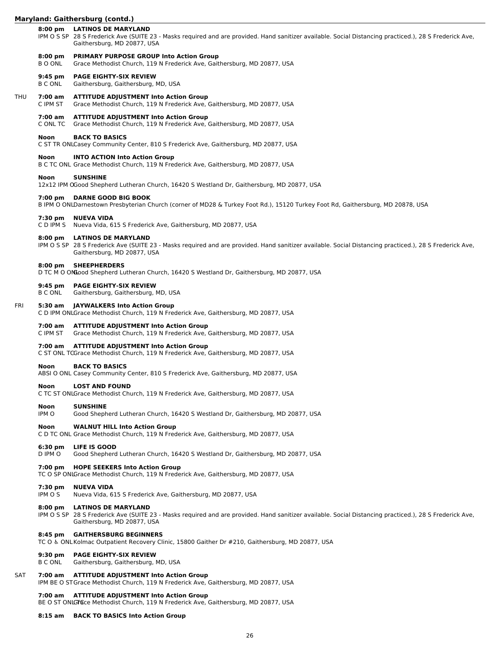# **Maryland: Gaithersburg (contd.)**

# **8:00 pm LATINOS DE MARYLAND**

IPM O S SP 28 S Frederick Ave (SUITE 23 - Masks required and are provided. Hand sanitizer available. Social Distancing practiced.), 28 S Frederick Ave, Gaithersburg, MD 20877, USA

#### **8:00 pm PRIMARY PURPOSE GROUP Into Action Group**

B O ONL Grace Methodist Church, 119 N Frederick Ave, Gaithersburg, MD 20877, USA

### **9:45 pm PAGE EIGHTY-SIX REVIEW**

B C ONL Gaithersburg, Gaithersburg, MD, USA

# THU **7:00 am ATTITUDE ADJUSTMENT Into Action Group**

C IPM ST Grace Methodist Church, 119 N Frederick Ave, Gaithersburg, MD 20877, USA

# **7:00 am ATTITUDE ADJUSTMENT Into Action Group**

C ONL TC Grace Methodist Church, 119 N Frederick Ave, Gaithersburg, MD 20877, USA

### **Noon BACK TO BASICS**

C ST TR ONLCasey Community Center, 810 S Frederick Ave, Gaithersburg, MD 20877, USA

# **Noon INTO ACTION Into Action Group**

B C TC ONL Grace Methodist Church, 119 N Frederick Ave, Gaithersburg, MD 20877, USA

# **Noon SUNSHINE**

12x12 IPM OGood Shepherd Lutheran Church, 16420 S Westland Dr, Gaithersburg, MD 20877, USA

# **7:00 pm DARNE GOOD BIG BOOK**

B IPM O ONLDarnestown Presbyterian Church (corner of MD28 & Turkey Foot Rd.), 15120 Turkey Foot Rd, Gaithersburg, MD 20878, USA

# **7:30 pm NUEVA VIDA**

C D IPM S Nueva Vida, 615 S Frederick Ave, Gaithersburg, MD 20877, USA

# **8:00 pm LATINOS DE MARYLAND**

IPM O S SP 28 S Frederick Ave (SUITE 23 - Masks required and are provided. Hand sanitizer available. Social Distancing practiced.), 28 S Frederick Ave, Gaithersburg, MD 20877, USA

# **8:00 pm SHEEPHERDERS**

D TC M O ONLood Shepherd Lutheran Church, 16420 S Westland Dr, Gaithersburg, MD 20877, USA

#### **9:45 pm PAGE EIGHTY-SIX REVIEW**

B C ONL Gaithersburg, Gaithersburg, MD, USA

### FRI **5:30 am JAYWALKERS Into Action Group**

C D IPM ONLGrace Methodist Church, 119 N Frederick Ave, Gaithersburg, MD 20877, USA

#### **7:00 am ATTITUDE ADJUSTMENT Into Action Group**

C IPM ST Grace Methodist Church, 119 N Frederick Ave, Gaithersburg, MD 20877, USA

#### **7:00 am ATTITUDE ADJUSTMENT Into Action Group**

C ST ONL TCGrace Methodist Church, 119 N Frederick Ave, Gaithersburg, MD 20877, USA

#### **Noon BACK TO BASICS**

ABSI O ONL Casey Community Center, 810 S Frederick Ave, Gaithersburg, MD 20877, USA

# **Noon LOST AND FOUND**

C TC ST ONLGrace Methodist Church, 119 N Frederick Ave, Gaithersburg, MD 20877, USA

#### **Noon SUNSHINE**

IPM O Good Shepherd Lutheran Church, 16420 S Westland Dr, Gaithersburg, MD 20877, USA

# **Noon WALNUT HILL Into Action Group**

C D TC ONL Grace Methodist Church, 119 N Frederick Ave, Gaithersburg, MD 20877, USA

#### **6:30 pm LIFE IS GOOD**

D IPM O Good Shepherd Lutheran Church, 16420 S Westland Dr, Gaithersburg, MD 20877, USA

#### **7:00 pm HOPE SEEKERS Into Action Group**

TC O SP ONLGrace Methodist Church, 119 N Frederick Ave, Gaithersburg, MD 20877, USA

#### **7:30 pm NUEVA VIDA**

IPM O S Nueva Vida, 615 S Frederick Ave, Gaithersburg, MD 20877, USA

#### **8:00 pm LATINOS DE MARYLAND**

IPM O S SP 28 S Frederick Ave (SUITE 23 - Masks required and are provided. Hand sanitizer available. Social Distancing practiced.), 28 S Frederick Ave, Gaithersburg, MD 20877, USA

#### **8:45 pm GAITHERSBURG BEGINNERS**

TC O & ONL Kolmac Outpatient Recovery Clinic, 15800 Gaither Dr #210, Gaithersburg, MD 20877, USA

#### **9:30 pm PAGE EIGHTY-SIX REVIEW**

B C ONL Gaithersburg, Gaithersburg, MD, USA

#### SAT **7:00 am ATTITUDE ADJUSTMENT Into Action Group**

IPM BE O STGrace Methodist Church, 119 N Frederick Ave, Gaithersburg, MD 20877, USA

#### **7:00 am ATTITUDE ADJUSTMENT Into Action Group**

BE O ST ONLGFECe Methodist Church, 119 N Frederick Ave, Gaithersburg, MD 20877, USA

#### **8:15 am BACK TO BASICS Into Action Group**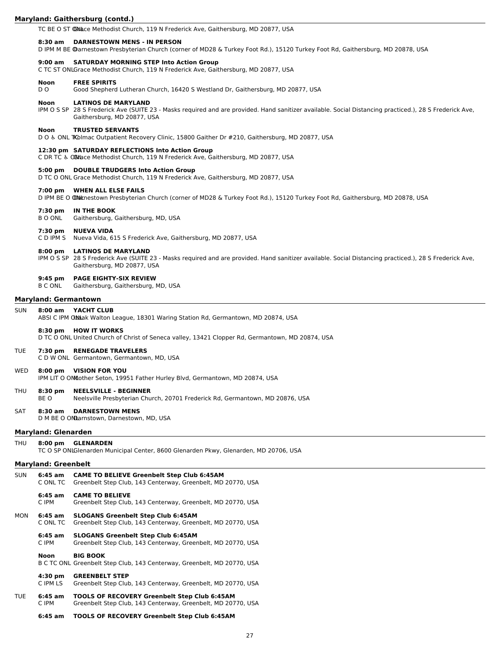#### **Maryland: Gaithersburg (contd.)**

TC BE O ST **@Nace Methodist Church, 119 N Frederick Ave, Gaithersburg, MD 20877, USA** 

#### **8:30 am DARNESTOWN MENS - IN PERSON**

D IPM M BE @arnestown Presbyterian Church (corner of MD28 & Turkey Foot Rd.), 15120 Turkey Foot Rd, Gaithersburg, MD 20878, USA

# **9:00 am SATURDAY MORNING STEP Into Action Group**

C TC ST ONLGrace Methodist Church, 119 N Frederick Ave, Gaithersburg, MD 20877, USA

#### **Noon FREE SPIRITS**

D O Good Shepherd Lutheran Church, 16420 S Westland Dr, Gaithersburg, MD 20877, USA

#### **Noon LATINOS DE MARYLAND**

IPM O S SP 28 S Frederick Ave (SUITE 23 - Masks required and are provided. Hand sanitizer available. Social Distancing practiced.), 28 S Frederick Ave, Gaithersburg, MD 20877, USA

#### **Noon TRUSTED SERVANTS**

D O & ONL TKolmac Outpatient Recovery Clinic, 15800 Gaither Dr #210, Gaithersburg, MD 20877, USA

#### **12:30 pm SATURDAY REFLECTIONS Into Action Group**

C DR TC & OBlace Methodist Church, 119 N Frederick Ave, Gaithersburg, MD 20877, USA

# **5:00 pm DOUBLE TRUDGERS Into Action Group**

D TC O ONL Grace Methodist Church, 119 N Frederick Ave, Gaithersburg, MD 20877, USA

#### **7:00 pm WHEN ALL ELSE FAILS**

D IPM BE O Maltnestown Presbyterian Church (corner of MD28 & Turkey Foot Rd.), 15120 Turkey Foot Rd, Gaithersburg, MD 20878, USA

#### **7:30 pm IN THE BOOK**

B O ONL Gaithersburg, Gaithersburg, MD, USA

#### **7:30 pm NUEVA VIDA**

C D IPM S Nueva Vida, 615 S Frederick Ave, Gaithersburg, MD 20877, USA

#### **8:00 pm LATINOS DE MARYLAND**

IPM O S SP 28 S Frederick Ave (SUITE 23 - Masks required and are provided. Hand sanitizer available. Social Distancing practiced.), 28 S Frederick Ave, Gaithersburg, MD 20877, USA

#### **9:45 pm PAGE EIGHTY-SIX REVIEW**

B C ONL Gaithersburg, Gaithersburg, MD, USA

#### **Maryland: Germantown**

#### SUN **8:00 am YACHT CLUB**

ABSI C IPM ONLak Walton League, 18301 Waring Station Rd, Germantown, MD 20874, USA

#### **8:30 pm HOW IT WORKS**

D TC O ONL United Church of Christ of Seneca valley, 13421 Clopper Rd, Germantown, MD 20874, USA

#### TUE **7:30 pm RENEGADE TRAVELERS**

C D W ONL Germantown, Germantown, MD, USA

# WED **8:00 pm VISION FOR YOU**

IPM LIT O ONLOther Seton, 19951 Father Hurley Blvd, Germantown, MD 20874, USA

#### THU **8:30 pm NEELSVILLE - BEGINNER**

BE O Neelsville Presbyterian Church, 20701 Frederick Rd, Germantown, MD 20876, USA

# SAT **8:30 am DARNESTOWN MENS**

D M BE O ONLarnstown, Darnestown, MD, USA

#### **Maryland: Glenarden**

#### THU **8:00 pm GLENARDEN**

TC O SP ONLGlenarden Municipal Center, 8600 Glenarden Pkwy, Glenarden, MD 20706, USA

#### **Maryland: Greenbelt**

| <b>SUN</b> | 6:45 am<br>C ONL TC   | <b>CAME TO BELIEVE Greenbelt Step Club 6:45AM</b><br>Greenbelt Step Club, 143 Centerway, Greenbelt, MD 20770, USA   |
|------------|-----------------------|---------------------------------------------------------------------------------------------------------------------|
|            | $6:45$ am<br>C IPM    | <b>CAME TO BELIEVE</b><br>Greenbelt Step Club, 143 Centerway, Greenbelt, MD 20770, USA                              |
| MON        | 6:45 am<br>C ONL TC   | <b>SLOGANS Greenbelt Step Club 6:45AM</b><br>Greenbelt Step Club, 143 Centerway, Greenbelt, MD 20770, USA           |
|            | 6:45 am<br>C IPM      | <b>SLOGANS Greenbelt Step Club 6:45AM</b><br>Greenbelt Step Club, 143 Centerway, Greenbelt, MD 20770, USA           |
|            | Noon                  | <b>BIG BOOK</b><br>B C TC ONL Greenbelt Step Club, 143 Centerway, Greenbelt, MD 20770, USA                          |
|            | $4:30$ pm<br>C IPM LS | <b>GREENBELT STEP</b><br>Greenbelt Step Club, 143 Centerway, Greenbelt, MD 20770, USA                               |
| TUE        | $6:45$ am<br>C IPM    | <b>TOOLS OF RECOVERY Greenbelt Step Club 6:45AM</b><br>Greenbelt Step Club, 143 Centerway, Greenbelt, MD 20770, USA |
|            | - --                  |                                                                                                                     |

# **6:45 am TOOLS OF RECOVERY Greenbelt Step Club 6:45AM**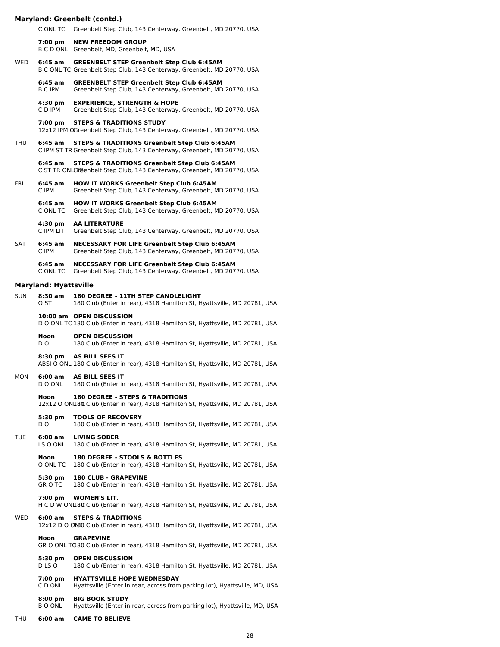# **Maryland: Greenbelt (contd.)**

| <b>SUN</b> | $8:30$ am                    | <b>180 DEGREE - 11TH STEP CANDLELIGHT</b>                                                                                            |  |  |  |
|------------|------------------------------|--------------------------------------------------------------------------------------------------------------------------------------|--|--|--|
|            | <b>Maryland: Hyattsville</b> |                                                                                                                                      |  |  |  |
|            | $6:45$ am<br>C ONL TC        | <b>NECESSARY FOR LIFE Greenbelt Step Club 6:45AM</b><br>Greenbelt Step Club, 143 Centerway, Greenbelt, MD 20770, USA                 |  |  |  |
| <b>SAT</b> | $6:45$ am<br>C IPM           | <b>NECESSARY FOR LIFE Greenbelt Step Club 6:45AM</b><br>Greenbelt Step Club, 143 Centerway, Greenbelt, MD 20770, USA                 |  |  |  |
|            | 4:30 pm<br>C IPM LIT         | <b>AA LITERATURE</b><br>Greenbelt Step Club, 143 Centerway, Greenbelt, MD 20770, USA                                                 |  |  |  |
|            | $6:45$ am<br>C ONL TC        | <b>HOW IT WORKS Greenbelt Step Club 6:45AM</b><br>Greenbelt Step Club, 143 Centerway, Greenbelt, MD 20770, USA                       |  |  |  |
| <b>FRI</b> | $6:45$ am<br>C IPM           | <b>HOW IT WORKS Greenbelt Step Club 6:45AM</b><br>Greenbelt Step Club, 143 Centerway, Greenbelt, MD 20770, USA                       |  |  |  |
|            | $6:45$ am                    | <b>STEPS &amp; TRADITIONS Greenbelt Step Club 6:45AM</b><br>C ST TR ONLGreenbelt Step Club, 143 Centerway, Greenbelt, MD 20770, USA  |  |  |  |
| <b>THU</b> | $6:45$ am                    | <b>STEPS &amp; TRADITIONS Greenbelt Step Club 6:45AM</b><br>C IPM ST TR Greenbelt Step Club, 143 Centerway, Greenbelt, MD 20770, USA |  |  |  |
|            | $7:00 \text{ pm}$            | <b>STEPS &amp; TRADITIONS STUDY</b><br>12x12 IPM OGreenbelt Step Club, 143 Centerway, Greenbelt, MD 20770, USA                       |  |  |  |
|            | $4:30 \text{ pm}$<br>C D IPM | <b>EXPERIENCE, STRENGTH &amp; HOPE</b><br>Greenbelt Step Club, 143 Centerway, Greenbelt, MD 20770, USA                               |  |  |  |
|            | $6:45$ am<br><b>B C IPM</b>  | <b>GREENBELT STEP Greenbelt Step Club 6:45AM</b><br>Greenbelt Step Club, 143 Centerway, Greenbelt, MD 20770, USA                     |  |  |  |
| <b>WED</b> | 6:45 am                      | <b>GREENBELT STEP Greenbelt Step Club 6:45AM</b><br>B C ONL TC Greenbelt Step Club, 143 Centerway, Greenbelt, MD 20770, USA          |  |  |  |
|            | $7:00$ pm<br>B C D ONL       | <b>NEW FREEDOM GROUP</b><br>Greenbelt, MD, Greenbelt, MD, USA                                                                        |  |  |  |
|            | C ONL TC                     | Greenbelt Step Club, 143 Centerway, Greenbelt, MD 20770, USA                                                                         |  |  |  |

|            | O ST                      | 180 Club (Enter in rear), 4318 Hamilton St, Hyattsville, MD 20781, USA                                                         |
|------------|---------------------------|--------------------------------------------------------------------------------------------------------------------------------|
|            |                           | 10:00 am OPEN DISCUSSION<br>D O ONL TC 180 Club (Enter in rear), 4318 Hamilton St, Hyattsville, MD 20781, USA                  |
|            | Noon<br>D <sub>O</sub>    | <b>OPEN DISCUSSION</b><br>180 Club (Enter in rear), 4318 Hamilton St, Hyattsville, MD 20781, USA                               |
|            | $8:30$ pm                 | AS BILL SEES IT<br>ABSI O ONL 180 Club (Enter in rear), 4318 Hamilton St, Hyattsville, MD 20781, USA                           |
| MON        | 6:00 am<br>D O ONL        | <b>AS BILL SEES IT</b><br>180 Club (Enter in rear), 4318 Hamilton St, Hyattsville, MD 20781, USA                               |
|            | <b>Noon</b>               | <b>180 DEGREE - STEPS &amp; TRADITIONS</b><br>12x12 O ONL8C Club (Enter in rear), 4318 Hamilton St, Hyattsville, MD 20781, USA |
|            | 5:30 pm<br>DO.            | <b>TOOLS OF RECOVERY</b><br>180 Club (Enter in rear), 4318 Hamilton St, Hyattsville, MD 20781, USA                             |
| <b>TUE</b> | 6:00 am<br>LS O ONL       | <b>LIVING SOBER</b><br>180 Club (Enter in rear), 4318 Hamilton St, Hyattsville, MD 20781, USA                                  |
|            | <b>Noon</b><br>O ONL TC   | 180 DEGREE - STOOLS & BOTTLES<br>180 Club (Enter in rear), 4318 Hamilton St, Hyattsville, MD 20781, USA                        |
|            | 5:30 pm<br><b>GROTC</b>   | <b>180 CLUB - GRAPEVINE</b><br>180 Club (Enter in rear), 4318 Hamilton St, Hyattsville, MD 20781, USA                          |
|            | $7:00$ pm                 | <b>WOMEN'S LIT.</b><br>H C D W ONLITTO Club (Enter in rear), 4318 Hamilton St, Hyattsville, MD 20781, USA                      |
| WED        | 6:00 am                   | <b>STEPS &amp; TRADITIONS</b><br>12x12 D O ON80 Club (Enter in rear), 4318 Hamilton St, Hyattsville, MD 20781, USA             |
|            | <b>Noon</b>               | <b>GRAPEVINE</b><br>GR O ONL TQ80 Club (Enter in rear), 4318 Hamilton St, Hyattsville, MD 20781, USA                           |
|            | 5:30 pm<br>DLS O          | <b>OPEN DISCUSSION</b><br>180 Club (Enter in rear), 4318 Hamilton St, Hyattsville, MD 20781, USA                               |
|            | 7:00 pm<br>C D ONL        | <b>HYATTSVILLE HOPE WEDNESDAY</b><br>Hyattsville (Enter in rear, across from parking lot), Hyattsville, MD, USA                |
|            | $8:00$ pm<br><b>BOONL</b> | <b>BIG BOOK STUDY</b><br>Hyattsville (Enter in rear, across from parking lot), Hyattsville, MD, USA                            |
|            |                           |                                                                                                                                |

THU **6:00 am CAME TO BELIEVE**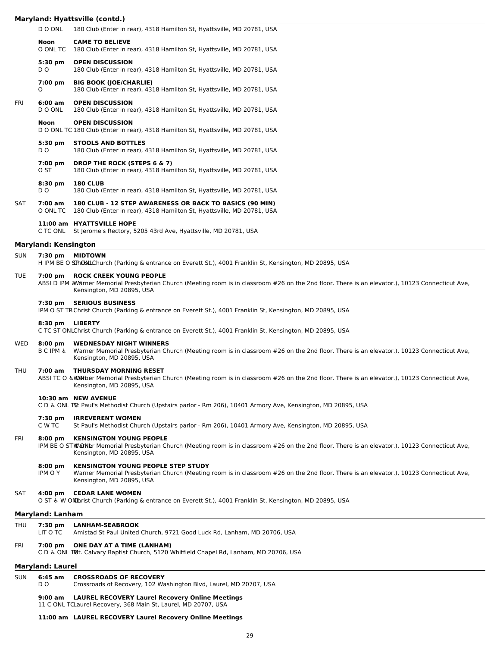|            |                             | Maryland: Hyattsville (contd.)                                                                                                                                                                                    |
|------------|-----------------------------|-------------------------------------------------------------------------------------------------------------------------------------------------------------------------------------------------------------------|
|            | D O ONL                     | 180 Club (Enter in rear), 4318 Hamilton St, Hyattsville, MD 20781, USA                                                                                                                                            |
|            | Noon                        | <b>CAME TO BELIEVE</b><br>O ONL TC 180 Club (Enter in rear), 4318 Hamilton St, Hyattsville, MD 20781, USA                                                                                                         |
|            | 5:30 pm<br>D <sub>O</sub>   | <b>OPEN DISCUSSION</b><br>180 Club (Enter in rear), 4318 Hamilton St, Hyattsville, MD 20781, USA                                                                                                                  |
|            | 7:00 pm<br>O                | <b>BIG BOOK (JOE/CHARLIE)</b><br>180 Club (Enter in rear), 4318 Hamilton St, Hyattsville, MD 20781, USA                                                                                                           |
| FRI        | 6:00 am<br>D O ONL          | <b>OPEN DISCUSSION</b><br>180 Club (Enter in rear), 4318 Hamilton St, Hyattsville, MD 20781, USA                                                                                                                  |
|            | Noon                        | <b>OPEN DISCUSSION</b><br>D O ONL TC 180 Club (Enter in rear), 4318 Hamilton St, Hyattsville, MD 20781, USA                                                                                                       |
|            | 5:30 pm<br>D O              | <b>STOOLS AND BOTTLES</b><br>180 Club (Enter in rear), 4318 Hamilton St, Hyattsville, MD 20781, USA                                                                                                               |
|            | 7:00 pm<br>O ST             | <b>DROP THE ROCK (STEPS 6 &amp; 7)</b><br>180 Club (Enter in rear), 4318 Hamilton St, Hyattsville, MD 20781, USA                                                                                                  |
|            | 8:30 pm<br>D <sub>O</sub>   | <b>180 CLUB</b><br>180 Club (Enter in rear), 4318 Hamilton St, Hyattsville, MD 20781, USA                                                                                                                         |
| <b>SAT</b> | 7:00 am                     | 180 CLUB - 12 STEP AWARENESS OR BACK TO BASICS (90 MIN)<br>O ONL TC 180 Club (Enter in rear), 4318 Hamilton St, Hyattsville, MD 20781, USA                                                                        |
|            |                             | 11:00 am HYATTSVILLE HOPE<br>C TC ONL St Jerome's Rectory, 5205 43rd Ave, Hyattsville, MD 20781, USA                                                                                                              |
|            | <b>Maryland: Kensington</b> |                                                                                                                                                                                                                   |
| <b>SUN</b> | 7:30 pm                     | <b>MIDTOWN</b><br>H IPM BE O SThOBLLChurch (Parking & entrance on Everett St.), 4001 Franklin St, Kensington, MD 20895, USA                                                                                       |
| <b>TUE</b> | $7:00 \text{ pm}$           | <b>ROCK CREEK YOUNG PEOPLE</b><br>ABSI D IPM &Warner Memorial Presbyterian Church (Meeting room is in classroom #26 on the 2nd floor. There is an elevator.), 10123 Connecticut Ave,<br>Kensington, MD 20895, USA |
|            | 7:30 pm                     | <b>SERIOUS BUSINESS</b><br>IPM O ST TR Christ Church (Parking & entrance on Everett St.), 4001 Franklin St, Kensington, MD 20895, USA                                                                             |
|            | $8:30$ pm                   | <b>LIBERTY</b><br>C TC ST ONLChrist Church (Parking & entrance on Everett St.), 4001 Franklin St, Kensington, MD 20895, USA                                                                                       |
| WED        | $8:00$ pm<br>B C IPM &      | <b>WEDNESDAY NIGHT WINNERS</b><br>Warner Memorial Presbyterian Church (Meeting room is in classroom #26 on the 2nd floor. There is an elevator.), 10123 Connecticut Ave,<br>Kensington, MD 20895, USA             |
| THU        | $7:00$ am                   | <b>THURSDAY MORNING RESET</b><br>ABSI TC O & Walther Memorial Presbyterian Church (Meeting room is in classroom #26 on the 2nd floor. There is an elevator.), 10123 Connecticut Ave,<br>Kensington, MD 20895, USA |
|            |                             | 10:30 am NEW AVENUE<br>C D & ONL TSt Paul's Methodist Church (Upstairs parlor - Rm 206), 10401 Armory Ave, Kensington, MD 20895, USA                                                                              |
|            |                             | 7:30 nm IRREVERENT WOMEN                                                                                                                                                                                          |

**7:30 pm IRREVERENT WOMEN** St Paul's Methodist Church (Upstairs parlor - Rm 206), 10401 Armory Ave, Kensington, MD 20895, USA

# FRI **8:00 pm KENSINGTON YOUNG PEOPLE**

IPM BE O STWONer Memorial Presbyterian Church (Meeting room is in classroom #26 on the 2nd floor. There is an elevator.), 10123 Connecticut Ave, Kensington, MD 20895, USA

#### **8:00 pm KENSINGTON YOUNG PEOPLE STEP STUDY**

IPM O Y Warner Memorial Presbyterian Church (Meeting room is in classroom #26 on the 2nd floor. There is an elevator.), 10123 Connecticut Ave, Kensington, MD 20895, USA

# SAT **4:00 pm CEDAR LANE WOMEN**

O ST & W ON Thrist Church (Parking & entrance on Everett St.), 4001 Franklin St, Kensington, MD 20895, USA

### **Maryland: Lanham**

|  | THU 7:30 pm LANHAM-SEABROOK |
|--|-----------------------------|
|  |                             |

| Amistad St Paul United Church, 9721 Good Luck Rd, Lanham, MD 20706, USA |  |
|-------------------------------------------------------------------------|--|
|-------------------------------------------------------------------------|--|

# FRI **7:00 pm ONE DAY AT A TIME (LANHAM)**

C D & ONL TMt. Calvary Baptist Church, 5120 Whitfield Chapel Rd, Lanham, MD 20706, USA

# **Maryland: Laurel**

| SUN | 6:45 am | <b>CROSSROADS OF RECOVERY</b> |  |
|-----|---------|-------------------------------|--|
|     |         |                               |  |

D O Crossroads of Recovery, 102 Washington Blvd, Laurel, MD 20707, USA

# **9:00 am LAUREL RECOVERY Laurel Recovery Online Meetings**

11 C ONL TCLaurel Recovery, 368 Main St, Laurel, MD 20707, USA

# **11:00 am LAUREL RECOVERY Laurel Recovery Online Meetings**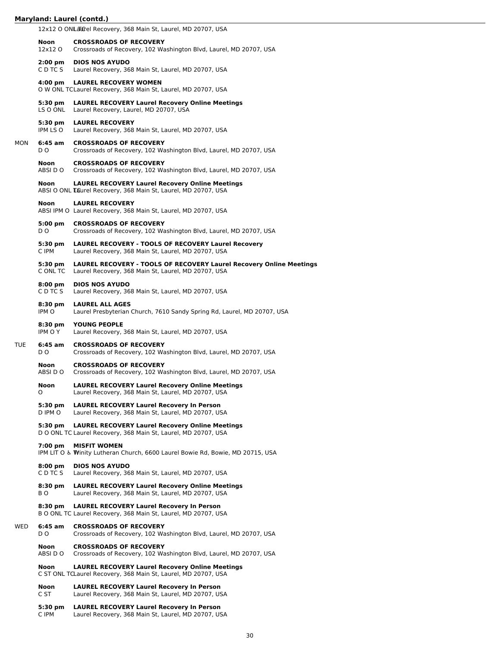# **Maryland: Laurel (contd.)**

12x12 O ONLarcel Recovery, 368 Main St, Laurel, MD 20707, USA

|     | Noon<br>12x12 O               | <b>CROSSROADS OF RECOVERY</b><br>Crossroads of Recovery, 102 Washington Blvd, Laurel, MD 20707, USA                               |
|-----|-------------------------------|-----------------------------------------------------------------------------------------------------------------------------------|
|     | $2:00 \text{ pm}$<br>C D TC S | <b>DIOS NOS AYUDO</b><br>Laurel Recovery, 368 Main St, Laurel, MD 20707, USA                                                      |
|     | $4:00 \text{ pm}$             | <b>LAUREL RECOVERY WOMEN</b><br>O W ONL TCLaurel Recovery, 368 Main St, Laurel, MD 20707, USA                                     |
|     | 5:30 pm<br>LS O ONL           | <b>LAUREL RECOVERY Laurel Recovery Online Meetings</b><br>Laurel Recovery, Laurel, MD 20707, USA                                  |
|     | 5:30 pm<br>IPM LS O           | <b>LAUREL RECOVERY</b><br>Laurel Recovery, 368 Main St, Laurel, MD 20707, USA                                                     |
| MON | 6:45 am<br>D O                | <b>CROSSROADS OF RECOVERY</b><br>Crossroads of Recovery, 102 Washington Blvd, Laurel, MD 20707, USA                               |
|     | Noon<br>ABSI D O              | <b>CROSSROADS OF RECOVERY</b><br>Crossroads of Recovery, 102 Washington Blvd, Laurel, MD 20707, USA                               |
|     | Noon                          | <b>LAUREL RECOVERY Laurel Recovery Online Meetings</b><br>ABSI O ONL Laurel Recovery, 368 Main St, Laurel, MD 20707, USA          |
|     | <b>Noon</b>                   | <b>LAUREL RECOVERY</b><br>ABSI IPM O Laurel Recovery, 368 Main St, Laurel, MD 20707, USA                                          |
|     | 5:00 pm<br>D O                | <b>CROSSROADS OF RECOVERY</b><br>Crossroads of Recovery, 102 Washington Blvd, Laurel, MD 20707, USA                               |
|     | 5:30 pm<br>C IPM              | <b>LAUREL RECOVERY - TOOLS OF RECOVERY Laurel Recovery</b><br>Laurel Recovery, 368 Main St, Laurel, MD 20707, USA                 |
|     | 5:30 pm<br>C ONL TC           | <b>LAUREL RECOVERY - TOOLS OF RECOVERY Laurel Recovery Online Meetings</b><br>Laurel Recovery, 368 Main St, Laurel, MD 20707, USA |
|     | 8:00 pm<br>C D TC S           | <b>DIOS NOS AYUDO</b><br>Laurel Recovery, 368 Main St, Laurel, MD 20707, USA                                                      |
|     | 8:30 pm<br>IPM O              | <b>LAUREL ALL AGES</b><br>Laurel Presbyterian Church, 7610 Sandy Spring Rd, Laurel, MD 20707, USA                                 |
|     | 8:30 pm<br>IPM O Y            | <b>YOUNG PEOPLE</b><br>Laurel Recovery, 368 Main St, Laurel, MD 20707, USA                                                        |
| TUE | 6:45 am<br>D O                | <b>CROSSROADS OF RECOVERY</b><br>Crossroads of Recovery, 102 Washington Blvd, Laurel, MD 20707, USA                               |
|     | Noon<br>ABSI D O              | <b>CROSSROADS OF RECOVERY</b><br>Crossroads of Recovery, 102 Washington Blvd, Laurel, MD 20707, USA                               |
|     | Noon<br>0                     | <b>LAUREL RECOVERY Laurel Recovery Online Meetings</b><br>Laurel Recovery, 368 Main St, Laurel, MD 20707, USA                     |
|     | 5:30 pm<br>D IPM O            | <b>LAUREL RECOVERY Laurel Recovery In Person</b><br>Laurel Recovery, 368 Main St, Laurel, MD 20707, USA                           |
|     | $5:30 \text{ pm}$             | <b>LAUREL RECOVERY Laurel Recovery Online Meetings</b><br>D O ONL TC Laurel Recovery, 368 Main St, Laurel, MD 20707, USA          |
|     | $7:00 \text{ pm}$             | <b>MISFIT WOMEN</b><br>IPM LIT O & Winity Lutheran Church, 6600 Laurel Bowie Rd, Bowie, MD 20715, USA                             |
|     | $8:00 \text{ pm}$<br>C D TC S | <b>DIOS NOS AYUDO</b><br>Laurel Recovery, 368 Main St, Laurel, MD 20707, USA                                                      |
|     | 8:30 pm<br>BO.                | <b>LAUREL RECOVERY Laurel Recovery Online Meetings</b><br>Laurel Recovery, 368 Main St, Laurel, MD 20707, USA                     |
|     | $8:30 \text{ pm}$             | <b>LAUREL RECOVERY Laurel Recovery In Person</b><br>B O ONL TC Laurel Recovery, 368 Main St, Laurel, MD 20707, USA                |
| WED | $6:45$ am<br>D O              | <b>CROSSROADS OF RECOVERY</b><br>Crossroads of Recovery, 102 Washington Blvd, Laurel, MD 20707, USA                               |
|     | Noon<br>ABSI D O              | <b>CROSSROADS OF RECOVERY</b><br>Crossroads of Recovery, 102 Washington Blvd, Laurel, MD 20707, USA                               |
|     | Noon                          | <b>LAUREL RECOVERY Laurel Recovery Online Meetings</b><br>C ST ONL TCLaurel Recovery, 368 Main St, Laurel, MD 20707, USA          |
|     | Noon<br>C ST                  | <b>LAUREL RECOVERY Laurel Recovery In Person</b><br>Laurel Recovery, 368 Main St, Laurel, MD 20707, USA                           |
|     | 5:30 pm<br>C IPM              | <b>LAUREL RECOVERY Laurel Recovery In Person</b><br>Laurel Recovery, 368 Main St, Laurel, MD 20707, USA                           |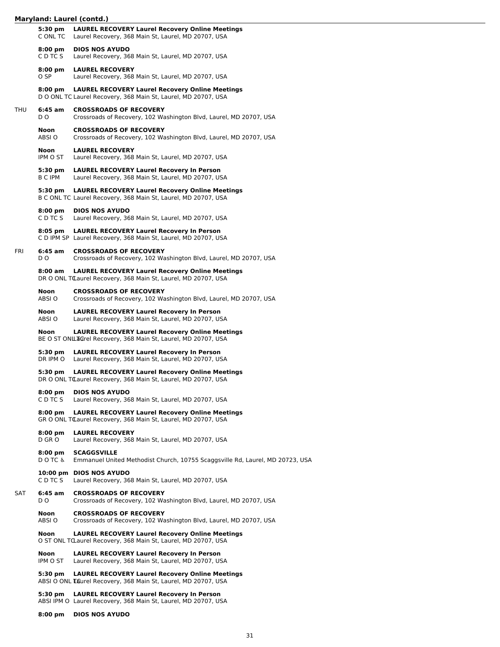# **Maryland: Laurel (contd.)**

|     | 5:30 pm<br>C ONL TC         | <b>LAUREL RECOVERY Laurel Recovery Online Meetings</b><br>Laurel Recovery, 368 Main St, Laurel, MD 20707, USA            |
|-----|-----------------------------|--------------------------------------------------------------------------------------------------------------------------|
|     | 8:00 pm<br>C D TC S         | <b>DIOS NOS AYUDO</b><br>Laurel Recovery, 368 Main St, Laurel, MD 20707, USA                                             |
|     | $8:00 \text{ pm}$<br>O SP   | <b>LAUREL RECOVERY</b><br>Laurel Recovery, 368 Main St, Laurel, MD 20707, USA                                            |
|     | $8:00 \text{ pm}$           | <b>LAUREL RECOVERY Laurel Recovery Online Meetings</b><br>D O ONL TC Laurel Recovery, 368 Main St, Laurel, MD 20707, USA |
| THU | 6:45 am<br>D O              | <b>CROSSROADS OF RECOVERY</b><br>Crossroads of Recovery, 102 Washington Blvd, Laurel, MD 20707, USA                      |
|     | Noon<br>ABSI O              | <b>CROSSROADS OF RECOVERY</b><br>Crossroads of Recovery, 102 Washington Blvd, Laurel, MD 20707, USA                      |
|     | Noon<br>IPM O ST            | <b>LAUREL RECOVERY</b><br>Laurel Recovery, 368 Main St, Laurel, MD 20707, USA                                            |
|     | 5:30 pm<br>B C IPM          | <b>LAUREL RECOVERY Laurel Recovery In Person</b><br>Laurel Recovery, 368 Main St, Laurel, MD 20707, USA                  |
|     | 5:30 pm                     | <b>LAUREL RECOVERY Laurel Recovery Online Meetings</b><br>B C ONL TC Laurel Recovery, 368 Main St, Laurel, MD 20707, USA |
|     | 8:00 pm<br>C D TC S         | <b>DIOS NOS AYUDO</b><br>Laurel Recovery, 368 Main St, Laurel, MD 20707, USA                                             |
|     | 8:05 pm                     | <b>LAUREL RECOVERY Laurel Recovery In Person</b><br>C D IPM SP Laurel Recovery, 368 Main St, Laurel, MD 20707, USA       |
| fri | 6:45 am<br>D O              | <b>CROSSROADS OF RECOVERY</b><br>Crossroads of Recovery, 102 Washington Blvd, Laurel, MD 20707, USA                      |
|     | 8:00 am                     | <b>LAUREL RECOVERY Laurel Recovery Online Meetings</b><br>DR O ONL TCaurel Recovery, 368 Main St, Laurel, MD 20707, USA  |
|     | Noon<br>ABSI O              | <b>CROSSROADS OF RECOVERY</b><br>Crossroads of Recovery, 102 Washington Blvd, Laurel, MD 20707, USA                      |
|     | Noon<br>ABSI O              | <b>LAUREL RECOVERY Laurel Recovery In Person</b><br>Laurel Recovery, 368 Main St, Laurel, MD 20707, USA                  |
|     | Noon                        | <b>LAUREL RECOVERY Laurel Recovery Online Meetings</b><br>BE O ST ONLLAGTEL Recovery, 368 Main St, Laurel, MD 20707, USA |
|     | 5:30 pm<br>DR IPM O         | <b>LAUREL RECOVERY Laurel Recovery In Person</b><br>Laurel Recovery, 368 Main St, Laurel, MD 20707, USA                  |
|     | 5:30 pm                     | <b>LAUREL RECOVERY Laurel Recovery Online Meetings</b><br>DR O ONL TCaurel Recovery, 368 Main St, Laurel, MD 20707, USA  |
|     | 8:00 pm<br>C D TC S         | <b>DIOS NOS AYUDO</b><br>Laurel Recovery, 368 Main St, Laurel, MD 20707, USA                                             |
|     | $8:00 \text{ pm}$           | <b>LAUREL RECOVERY Laurel Recovery Online Meetings</b><br>GR O ONL TCLaurel Recovery, 368 Main St, Laurel, MD 20707, USA |
|     | $8:00 \text{ pm}$<br>D GR O | <b>LAUREL RECOVERY</b><br>Laurel Recovery, 368 Main St, Laurel, MD 20707, USA                                            |
|     | 8:00 pm<br>DOTC &           | <b>SCAGGSVILLE</b><br>Emmanuel United Methodist Church, 10755 Scaggsville Rd, Laurel, MD 20723, USA                      |
|     | C D TC S                    | 10:00 pm DIOS NOS AYUDO<br>Laurel Recovery, 368 Main St, Laurel, MD 20707, USA                                           |
| SAT | 6:45 am<br>D O              | <b>CROSSROADS OF RECOVERY</b><br>Crossroads of Recovery, 102 Washington Blvd, Laurel, MD 20707, USA                      |
|     | Noon<br>ABSI O              | <b>CROSSROADS OF RECOVERY</b><br>Crossroads of Recovery, 102 Washington Blvd, Laurel, MD 20707, USA                      |
|     | Noon                        | <b>LAUREL RECOVERY Laurel Recovery Online Meetings</b><br>O ST ONL TCLaurel Recovery, 368 Main St, Laurel, MD 20707, USA |
|     | Noon<br>IPM O ST            | <b>LAUREL RECOVERY Laurel Recovery In Person</b><br>Laurel Recovery, 368 Main St, Laurel, MD 20707, USA                  |
|     | 5:30 pm                     | <b>LAUREL RECOVERY Laurel Recovery Online Meetings</b><br>ABSI O ONL Laurel Recovery, 368 Main St, Laurel, MD 20707, USA |
|     | 5:30 pm                     | <b>LAUREL RECOVERY Laurel Recovery In Person</b><br>ABSI IPM O Laurel Recovery, 368 Main St, Laurel, MD 20707, USA       |
|     | $8:00 \text{ pm}$           | <b>DIOS NOS AYUDO</b>                                                                                                    |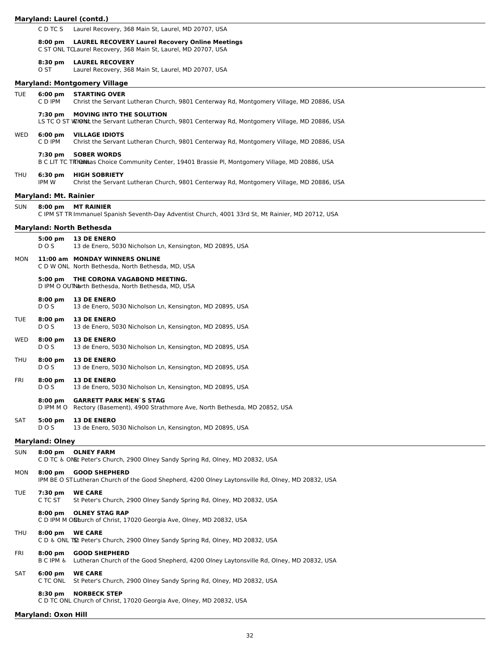|            |                                      | Maryland: Laurel (contd.)                                                                                                            |
|------------|--------------------------------------|--------------------------------------------------------------------------------------------------------------------------------------|
|            | C D TC S                             | Laurel Recovery, 368 Main St, Laurel, MD 20707, USA                                                                                  |
|            | $8:00 \text{ pm}$                    | <b>LAUREL RECOVERY Laurel Recovery Online Meetings</b><br>C ST ONL TCLaurel Recovery, 368 Main St, Laurel, MD 20707, USA             |
|            | $8:30$ pm<br>O ST                    | <b>LAUREL RECOVERY</b><br>Laurel Recovery, 368 Main St, Laurel, MD 20707, USA                                                        |
|            |                                      | <b>Maryland: Montgomery Village</b>                                                                                                  |
| <b>TUE</b> | $6:00 \text{ pm}$<br>C D IPM         | <b>STARTING OVER</b><br>Christ the Servant Lutheran Church, 9801 Centerway Rd, Montgomery Village, MD 20886, USA                     |
|            | 7:30 pm                              | <b>MOVING INTO THE SOLUTION</b><br>LS TC O ST WION the Servant Lutheran Church, 9801 Centerway Rd, Montgomery Village, MD 20886, USA |
| WED        | $6:00 \text{ pm}$<br>C D IPM         | <b>VILLAGE IDIOTS</b><br>Christ the Servant Lutheran Church, 9801 Centerway Rd, Montgomery Village, MD 20886, USA                    |
|            | 7:30 pm                              | <b>SOBER WORDS</b><br>B C LIT TC TRIOMias Choice Community Center, 19401 Brassie Pl, Montgomery Village, MD 20886, USA               |
| THU        | 6:30 pm<br>IPM W                     | <b>HIGH SOBRIETY</b><br>Christ the Servant Lutheran Church, 9801 Centerway Rd, Montgomery Village, MD 20886, USA                     |
|            | <b>Maryland: Mt. Rainier</b>         |                                                                                                                                      |
| <b>SUN</b> | $8:00 \text{ pm}$                    | <b>MT RAINIER</b><br>C IPM ST TR Immanuel Spanish Seventh-Day Adventist Church, 4001 33rd St, Mt Rainier, MD 20712, USA              |
|            |                                      | <b>Maryland: North Bethesda</b>                                                                                                      |
|            | $5:00 \text{ pm}$<br>DO <sub>S</sub> | <b>13 DE ENERO</b><br>13 de Enero, 5030 Nicholson Ln, Kensington, MD 20895, USA                                                      |
| MON        |                                      | 11:00 am MONDAY WINNERS ONLINE<br>C D W ONL North Bethesda, North Bethesda, MD, USA                                                  |
|            | 5:00 pm                              | THE CORONA VAGABOND MEETING.<br>D IPM O OUTNorth Bethesda, North Bethesda, MD, USA                                                   |
|            | $8:00 \text{ pm}$<br>DO <sub>S</sub> | <b>13 DE ENERO</b><br>13 de Enero, 5030 Nicholson Ln, Kensington, MD 20895, USA                                                      |
| TUE        | $8:00 \text{ pm}$<br>DO <sub>S</sub> | <b>13 DE ENERO</b><br>13 de Enero, 5030 Nicholson Ln, Kensington, MD 20895, USA                                                      |
| WED        | $8:00 \text{ pm}$<br>DO <sub>S</sub> | <b>13 DE ENERO</b><br>13 de Enero, 5030 Nicholson Ln, Kensington, MD 20895, USA                                                      |
| THU        | $8:00 \text{ pm}$<br>DO <sub>S</sub> | <b>13 DE ENERO</b><br>13 de Enero, 5030 Nicholson Ln, Kensington, MD 20895, USA                                                      |
| FRI        | $8:00$ pm<br>DOS                     | <b>13 DE ENERO</b><br>13 de Enero, 5030 Nicholson Ln, Kensington, MD 20895, USA                                                      |
|            | $8:00$ pm<br>D IPM M O               | <b>GARRETT PARK MEN'S STAG</b><br>Rectory (Basement), 4900 Strathmore Ave, North Bethesda, MD 20852, USA                             |
| SAT        | $5:00$ pm<br>DO <sub>S</sub>         | <b>13 DE ENERO</b><br>13 de Enero, 5030 Nicholson Ln, Kensington, MD 20895, USA                                                      |
|            | <b>Maryland: Olney</b>               |                                                                                                                                      |
| <b>SUN</b> |                                      | 8:00 pm OLNEY FARM<br>C D TC & ONSL Peter's Church, 2900 Olney Sandy Spring Rd, Olney, MD 20832, USA                                 |
| MON        | $8:00$ pm                            | <b>GOOD SHEPHERD</b><br>IPM BE O STLutheran Church of the Good Shepherd, 4200 Olney Laytonsville Rd, Olney, MD 20832, USA            |
| TUE        | 7:30 pm<br>C TC ST                   | <b>WE CARE</b><br>St Peter's Church, 2900 Olney Sandy Spring Rd, Olney, MD 20832, USA                                                |
|            | $8:00 \text{ pm}$                    | <b>OLNEY STAG RAP</b><br>C D IPM M ON burch of Christ, 17020 Georgia Ave, Olney, MD 20832, USA                                       |
| THU        |                                      | 8:00 pm WE CARE<br>C D & ONL TSt Peter's Church, 2900 Olney Sandy Spring Rd, Olney, MD 20832, USA                                    |
| FRI        | $8:00$ pm<br><b>BCIPM &amp;</b>      | <b>GOOD SHEPHERD</b><br>Lutheran Church of the Good Shepherd, 4200 Olney Laytonsville Rd, Olney, MD 20832, USA                       |
| SAT        | $6:00$ pm<br>C TC ONL                | <b>WE CARE</b><br>St Peter's Church, 2900 Olney Sandy Spring Rd, Olney, MD 20832, USA                                                |
|            | $8:30$ pm                            | <b>NORBECK STEP</b><br>C D TC ONL Church of Christ, 17020 Georgia Ave, Olney, MD 20832, USA                                          |
|            | <b>Maryland: Oxon Hill</b>           |                                                                                                                                      |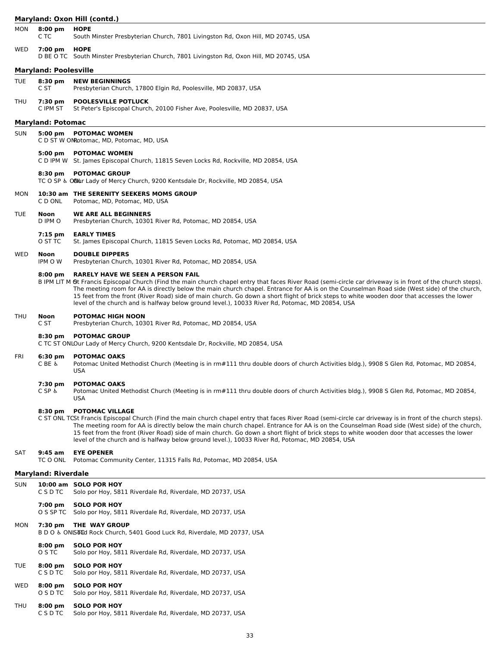# **Maryland: Oxon Hill (contd.)**

| MON        | $8:00 \text{ pm}$<br>C TC     | <b>HOPE</b><br>South Minster Presbyterian Church, 7801 Livingston Rd, Oxon Hill, MD 20745, USA                                                                                                                                                                                                                                                                                                                                                                                                                                                                                                            |
|------------|-------------------------------|-----------------------------------------------------------------------------------------------------------------------------------------------------------------------------------------------------------------------------------------------------------------------------------------------------------------------------------------------------------------------------------------------------------------------------------------------------------------------------------------------------------------------------------------------------------------------------------------------------------|
| WED        | 7:00 pm                       | <b>HOPE</b><br>D BE O TC South Minster Presbyterian Church, 7801 Livingston Rd, Oxon Hill, MD 20745, USA                                                                                                                                                                                                                                                                                                                                                                                                                                                                                                  |
|            | <b>Maryland: Poolesville</b>  |                                                                                                                                                                                                                                                                                                                                                                                                                                                                                                                                                                                                           |
| <b>TUE</b> | $8:30$ pm<br>C ST             | <b>NEW BEGINNINGS</b><br>Presbyterian Church, 17800 Elgin Rd, Poolesville, MD 20837, USA                                                                                                                                                                                                                                                                                                                                                                                                                                                                                                                  |
| THU        | 7:30 pm<br>C IPM ST           | <b>POOLESVILLE POTLUCK</b><br>St Peter's Episcopal Church, 20100 Fisher Ave, Poolesville, MD 20837, USA                                                                                                                                                                                                                                                                                                                                                                                                                                                                                                   |
|            | <b>Maryland: Potomac</b>      |                                                                                                                                                                                                                                                                                                                                                                                                                                                                                                                                                                                                           |
| <b>SUN</b> | $5:00 \text{ pm}$             | <b>POTOMAC WOMEN</b><br>C D ST W ON Otomac, MD, Potomac, MD, USA                                                                                                                                                                                                                                                                                                                                                                                                                                                                                                                                          |
|            | $5:00$ pm                     | <b>POTOMAC WOMEN</b><br>C D IPM W St. James Episcopal Church, 11815 Seven Locks Rd, Rockville, MD 20854, USA                                                                                                                                                                                                                                                                                                                                                                                                                                                                                              |
|            | 8:30 pm                       | <b>POTOMAC GROUP</b><br>TC O SP & ONUr Lady of Mercy Church, 9200 Kentsdale Dr, Rockville, MD 20854, USA                                                                                                                                                                                                                                                                                                                                                                                                                                                                                                  |
| MON        | C D ONL                       | 10:30 am THE SERENITY SEEKERS MOMS GROUP<br>Potomac, MD, Potomac, MD, USA                                                                                                                                                                                                                                                                                                                                                                                                                                                                                                                                 |
| <b>TUE</b> | Noon<br>D IPM O               | <b>WE ARE ALL BEGINNERS</b><br>Presbyterian Church, 10301 River Rd, Potomac, MD 20854, USA                                                                                                                                                                                                                                                                                                                                                                                                                                                                                                                |
|            | $7:15$ pm<br>O ST TC          | <b>EARLY TIMES</b><br>St. James Episcopal Church, 11815 Seven Locks Rd, Potomac, MD 20854, USA                                                                                                                                                                                                                                                                                                                                                                                                                                                                                                            |
| WED        | Noon<br>IPM O W               | <b>DOUBLE DIPPERS</b><br>Presbyterian Church, 10301 River Rd, Potomac, MD 20854, USA                                                                                                                                                                                                                                                                                                                                                                                                                                                                                                                      |
|            | $8:00 \text{ pm}$             | <b>RARELY HAVE WE SEEN A PERSON FAIL</b><br>B IPM LIT M Gt Francis Episcopal Church (Find the main church chapel entry that faces River Road (semi-circle car driveway is in front of the church steps).<br>The meeting room for AA is directly below the main church chapel. Entrance for AA is on the Counselman Road side (West side) of the church,<br>15 feet from the front (River Road) side of main church. Go down a short flight of brick steps to white wooden door that accesses the lower<br>level of the church and is halfway below ground level.), 10033 River Rd, Potomac, MD 20854, USA |
| <b>THU</b> | Noon<br>C ST                  | <b>POTOMAC HIGH NOON</b><br>Presbyterian Church, 10301 River Rd, Potomac, MD 20854, USA                                                                                                                                                                                                                                                                                                                                                                                                                                                                                                                   |
|            | 8:30 pm                       | <b>POTOMAC GROUP</b><br>C TC ST ONLOur Lady of Mercy Church, 9200 Kentsdale Dr, Rockville, MD 20854, USA                                                                                                                                                                                                                                                                                                                                                                                                                                                                                                  |
| FRI        | 6:30 pm<br>C BE &             | <b>POTOMAC OAKS</b><br>Potomac United Methodist Church (Meeting is in rm#111 thru double doors of church Activities bldg.), 9908 S Glen Rd, Potomac, MD 20854,<br><b>USA</b>                                                                                                                                                                                                                                                                                                                                                                                                                              |
|            | 7:30 pm<br>ር SP &             | <b>POTOMAC OAKS</b><br>Potomac United Methodist Church (Meeting is in rm#111 thru double doors of church Activities bldg.), 9908 S Glen Rd, Potomac, MD 20854,<br>USA                                                                                                                                                                                                                                                                                                                                                                                                                                     |
|            | 8:30 pm                       | <b>POTOMAC VILLAGE</b><br>C ST ONL TCSt Francis Episcopal Church (Find the main church chapel entry that faces River Road (semi-circle car driveway is in front of the church steps).<br>The meeting room for AA is directly below the main church chapel. Entrance for AA is on the Counselman Road side (West side) of the church,<br>15 feet from the front (River Road) side of main church. Go down a short flight of brick steps to white wooden door that accesses the lower<br>level of the church and is halfway below ground level.), 10033 River Rd, Potomac, MD 20854, USA                    |
| SAT        | $9:45$ am<br>TC O ONL         | <b>EYE OPENER</b><br>Potomac Community Center, 11315 Falls Rd, Potomac, MD 20854, USA                                                                                                                                                                                                                                                                                                                                                                                                                                                                                                                     |
|            | <b>Maryland: Riverdale</b>    |                                                                                                                                                                                                                                                                                                                                                                                                                                                                                                                                                                                                           |
| <b>SUN</b> | C S D TC                      | 10:00 am SOLO POR HOY<br>Solo por Hoy, 5811 Riverdale Rd, Riverdale, MD 20737, USA                                                                                                                                                                                                                                                                                                                                                                                                                                                                                                                        |
|            | 7:00 pm<br>O S SP TC          | <b>SOLO POR HOY</b><br>Solo por Hoy, 5811 Riverdale Rd, Riverdale, MD 20737, USA                                                                                                                                                                                                                                                                                                                                                                                                                                                                                                                          |
| MON        | 7:30 pm                       | THE WAY GROUP<br>B D O & ONISTID: Rock Church, 5401 Good Luck Rd, Riverdale, MD 20737, USA                                                                                                                                                                                                                                                                                                                                                                                                                                                                                                                |
|            | $8:00 \text{ pm}$<br>O S TC   | <b>SOLO POR HOY</b><br>Solo por Hoy, 5811 Riverdale Rd, Riverdale, MD 20737, USA                                                                                                                                                                                                                                                                                                                                                                                                                                                                                                                          |
| <b>TUE</b> | $8:00 \text{ pm}$<br>C S D TC | <b>SOLO POR HOY</b><br>Solo por Hoy, 5811 Riverdale Rd, Riverdale, MD 20737, USA                                                                                                                                                                                                                                                                                                                                                                                                                                                                                                                          |
| WED        | $8:00 \text{ pm}$<br>O S D TC | <b>SOLO POR HOY</b><br>Solo por Hoy, 5811 Riverdale Rd, Riverdale, MD 20737, USA                                                                                                                                                                                                                                                                                                                                                                                                                                                                                                                          |
| THU        | $8:00$ pm<br>C S D TC         | <b>SOLO POR HOY</b><br>Solo por Hoy, 5811 Riverdale Rd, Riverdale, MD 20737, USA                                                                                                                                                                                                                                                                                                                                                                                                                                                                                                                          |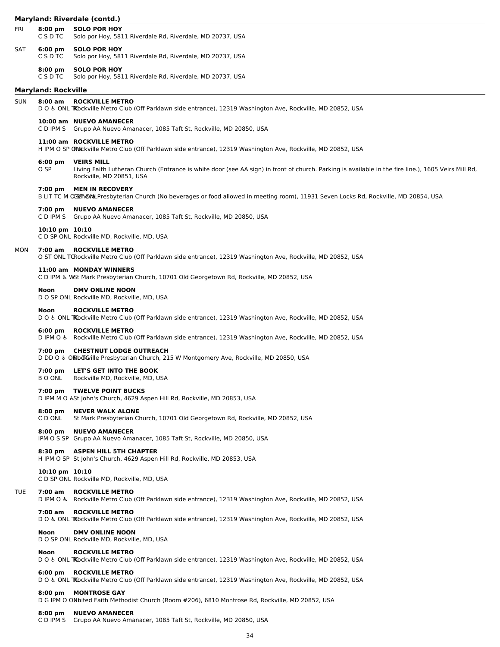| Maryland: Riverdale (contd.) |  |  |
|------------------------------|--|--|
|------------------------------|--|--|

|            |                               | <b>Plat yianu: Kiveruale (contu.)</b>                                                                                                                                                                |
|------------|-------------------------------|------------------------------------------------------------------------------------------------------------------------------------------------------------------------------------------------------|
| FRI        | $8:00 \text{ pm}$<br>C S D TC | <b>SOLO POR HOY</b><br>Solo por Hoy, 5811 Riverdale Rd, Riverdale, MD 20737, USA                                                                                                                     |
| SAT        | $6:00 \text{ pm}$<br>C S D TC | <b>SOLO POR HOY</b><br>Solo por Hoy, 5811 Riverdale Rd, Riverdale, MD 20737, USA                                                                                                                     |
|            | $8:00$ pm<br>C S D TC         | <b>SOLO POR HOY</b><br>Solo por Hoy, 5811 Riverdale Rd, Riverdale, MD 20737, USA                                                                                                                     |
|            | <b>Maryland: Rockville</b>    |                                                                                                                                                                                                      |
| <b>SUN</b> | 8:00 am                       | <b>ROCKVILLE METRO</b><br>DO & ONL TRockville Metro Club (Off Parklawn side entrance), 12319 Washington Ave, Rockville, MD 20852, USA                                                                |
|            |                               | 10:00 am NUEVO AMANECER<br>C D IPM S Grupo AA Nuevo Amanacer, 1085 Taft St, Rockville, MD 20850, USA                                                                                                 |
|            |                               | 11:00 am ROCKVILLE METRO<br>H IPM O SP ON DECKVille Metro Club (Off Parklawn side entrance), 12319 Washington Ave, Rockville, MD 20852, USA                                                          |
|            | $6:00 \text{ pm}$<br>O SP     | <b>VEIRS MILL</b><br>Living Faith Lutheran Church (Entrance is white door (see AA sign) in front of church. Parking is available in the fire line.), 1605 Veirs Mill Rd,<br>Rockville, MD 20851, USA |
|            | 7:00 pm                       | <b>MEN IN RECOVERY</b><br>B LIT TC M OGENONLPresbyterian Church (No beverages or food allowed in meeting room), 11931 Seven Locks Rd, Rockville, MD 20854, USA                                       |
|            | 7:00 pm<br>C D IPM S          | <b>NUEVO AMANECER</b><br>Grupo AA Nuevo Amanacer, 1085 Taft St, Rockville, MD 20850, USA                                                                                                             |
|            | 10:10 pm 10:10                | C D SP ONL Rockville MD, Rockville, MD, USA                                                                                                                                                          |
| MON        |                               | 7:00 am ROCKVILLE METRO<br>O ST ONL TORockville Metro Club (Off Parklawn side entrance), 12319 Washington Ave, Rockville, MD 20852, USA                                                              |
|            |                               | 11:00 am MONDAY WINNERS<br>C D IPM & WSt Mark Presbyterian Church, 10701 Old Georgetown Rd, Rockville, MD 20852, USA                                                                                 |
|            | Noon                          | <b>DMV ONLINE NOON</b><br>D O SP ONL Rockville MD, Rockville, MD, USA                                                                                                                                |
|            | Noon                          | ROCKVILLE METRO<br>DO & ONL TRockville Metro Club (Off Parklawn side entrance), 12319 Washington Ave, Rockville, MD 20852, USA                                                                       |
|            | $6:00 \text{ pm}$             | <b>ROCKVILLE METRO</b><br>D IPM O & Rockville Metro Club (Off Parklawn side entrance), 12319 Washington Ave, Rockville, MD 20852, USA                                                                |
|            | 7:00 pm                       | <b>CHESTNUT LODGE OUTREACH</b><br>D DD O & ORbd Gille Presbyterian Church, 215 W Montgomery Ave, Rockville, MD 20850, USA                                                                            |
|            | 7:00 pm<br>B O ONL            | LET'S GET INTO THE BOOK<br>Rockville MD, Rockville, MD, USA                                                                                                                                          |
|            |                               | 7:00 pm TWELVE POINT BUCKS<br>D IPM M O & St John's Church, 4629 Aspen Hill Rd, Rockville, MD 20853, USA                                                                                             |
|            | $8:00 \text{ pm}$<br>C D ONL  | <b>NEVER WALK ALONE</b><br>St Mark Presbyterian Church, 10701 Old Georgetown Rd, Rockville, MD 20852, USA                                                                                            |
|            | $8:00 \text{ pm}$             | <b>NUEVO AMANECER</b><br>IPM O S SP Grupo AA Nuevo Amanacer, 1085 Taft St, Rockville, MD 20850, USA                                                                                                  |
|            |                               | 8:30 pm ASPEN HILL 5TH CHAPTER<br>H IPM O SP St John's Church, 4629 Aspen Hill Rd, Rockville, MD 20853, USA                                                                                          |
|            | $10:10 \text{ pm } 10:10$     | C D SP ONL Rockville MD, Rockville, MD, USA                                                                                                                                                          |
| TUE        | 7:00 am                       | <b>ROCKVILLE METRO</b><br>D IPM O & Rockville Metro Club (Off Parklawn side entrance), 12319 Washington Ave, Rockville, MD 20852, USA                                                                |
|            | 7:00 am                       | <b>ROCKVILLE METRO</b><br>DO & ONL TRockville Metro Club (Off Parklawn side entrance), 12319 Washington Ave, Rockville, MD 20852, USA                                                                |
|            | Noon                          | <b>DMV ONLINE NOON</b><br>D O SP ONL Rockville MD, Rockville, MD, USA                                                                                                                                |
|            | Noon                          | ROCKVILLE METRO<br>DO & ONL TRockville Metro Club (Off Parklawn side entrance), 12319 Washington Ave, Rockville, MD 20852, USA                                                                       |
|            | $6:00 \text{ pm}$             | <b>ROCKVILLE METRO</b><br>DO & ONL TRockville Metro Club (Off Parklawn side entrance), 12319 Washington Ave, Rockville, MD 20852, USA                                                                |
|            | $8:00 \text{ pm}$             | <b>MONTROSE GAY</b><br>D G IPM O ONbited Faith Methodist Church (Room #206), 6810 Montrose Rd, Rockville, MD 20852, USA                                                                              |
|            | $8:00 \text{ pm}$             | <b>NUEVO AMANECER</b><br>C D IPM S Grupo AA Nuevo Amanacer, 1085 Taft St, Rockville, MD 20850, USA                                                                                                   |

34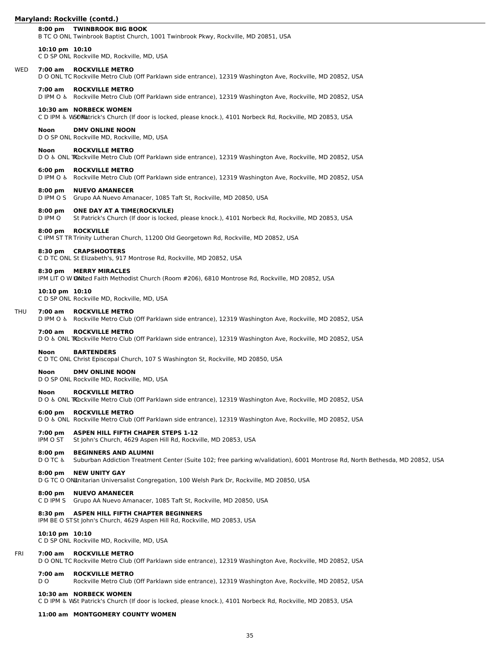# **Maryland: Rockville (contd.)**

#### **8:00 pm TWINBROOK BIG BOOK**

B TC O ONL Twinbrook Baptist Church, 1001 Twinbrook Pkwy, Rockville, MD 20851, USA

#### **10:10 pm 10:10**

C D SP ONL Rockville MD, Rockville, MD, USA

#### WED **7:00 am ROCKVILLE METRO**

D O ONL TC Rockville Metro Club (Off Parklawn side entrance), 12319 Washington Ave, Rockville, MD 20852, USA

#### **7:00 am ROCKVILLE METRO**

D IPM O ♿︎ Rockville Metro Club (Off Parklawn side entrance), 12319 Washington Ave, Rockville, MD 20852, USA

#### **10:30 am NORBECK WOMEN**

C D IPM & WSONatrick's Church (If door is locked, please knock.), 4101 Norbeck Rd, Rockville, MD 20853, USA

#### **Noon DMV ONLINE NOON**

D O SP ONL Rockville MD, Rockville, MD, USA

#### **Noon ROCKVILLE METRO**

D O & ONL TRockville Metro Club (Off Parklawn side entrance), 12319 Washington Ave, Rockville, MD 20852, USA

#### **6:00 pm ROCKVILLE METRO**

D IPM O ♿︎ Rockville Metro Club (Off Parklawn side entrance), 12319 Washington Ave, Rockville, MD 20852, USA

#### **8:00 pm NUEVO AMANECER**

D IPM O S Grupo AA Nuevo Amanacer, 1085 Taft St, Rockville, MD 20850, USA

# **8:00 pm ONE DAY AT A TIME(ROCKVILE)**

St Patrick's Church (If door is locked, please knock.), 4101 Norbeck Rd, Rockville, MD 20853, USA

#### **8:00 pm ROCKVILLE**

C IPM ST TR Trinity Lutheran Church, 11200 Old Georgetown Rd, Rockville, MD 20852, USA

#### **8:30 pm CRAPSHOOTERS**

C D TC ONL St Elizabeth's, 917 Montrose Rd, Rockville, MD 20852, USA

#### **8:30 pm MERRY MIRACLES**

IPM LIT O W OMIted Faith Methodist Church (Room #206), 6810 Montrose Rd, Rockville, MD 20852, USA

#### **10:10 pm 10:10**

C D SP ONL Rockville MD, Rockville, MD, USA

#### THU **7:00 am ROCKVILLE METRO**

D IPM O ♿︎ Rockville Metro Club (Off Parklawn side entrance), 12319 Washington Ave, Rockville, MD 20852, USA

#### **7:00 am ROCKVILLE METRO**

D O & ONL TRockville Metro Club (Off Parklawn side entrance), 12319 Washington Ave, Rockville, MD 20852, USA

#### **Noon BARTENDERS**

C D TC ONL Christ Episcopal Church, 107 S Washington St, Rockville, MD 20850, USA

# **Noon DMV ONLINE NOON**

D O SP ONL Rockville MD, Rockville, MD, USA

### **Noon ROCKVILLE METRO**

D O & ONL TRockville Metro Club (Off Parklawn side entrance), 12319 Washington Ave, Rockville, MD 20852, USA

#### **6:00 pm ROCKVILLE METRO**

D O ♿︎ ONL Rockville Metro Club (Off Parklawn side entrance), 12319 Washington Ave, Rockville, MD 20852, USA

#### **7:00 pm ASPEN HILL FIFTH CHAPER STEPS 1-12**

IPM O ST St John's Church, 4629 Aspen Hill Rd, Rockville, MD 20853, USA

#### **8:00 pm BEGINNERS AND ALUMNI**

D O TC ♿︎ Suburban Addiction Treatment Center (Suite 102; free parking w/validation), 6001 Montrose Rd, North Bethesda, MD 20852, USA

#### **8:00 pm NEW UNITY GAY**

D G TC O ONLInitarian Universalist Congregation, 100 Welsh Park Dr, Rockville, MD 20850, USA

# **8:00 pm NUEVO AMANECER**

C D IPM S Grupo AA Nuevo Amanacer, 1085 Taft St, Rockville, MD 20850, USA

#### **8:30 pm ASPEN HILL FIFTH CHAPTER BEGINNERS**

IPM BE O STSt John's Church, 4629 Aspen Hill Rd, Rockville, MD 20853, USA

#### **10:10 pm 10:10**

C D SP ONL Rockville MD, Rockville, MD, USA

#### FRI **7:00 am ROCKVILLE METRO**

D O ONL TC Rockville Metro Club (Off Parklawn side entrance), 12319 Washington Ave, Rockville, MD 20852, USA

# **7:00 am ROCKVILLE METRO**

D O Rockville Metro Club (Off Parklawn side entrance), 12319 Washington Ave, Rockville, MD 20852, USA

#### **10:30 am NORBECK WOMEN**

C D IPM ♿︎ WSt Patrick's Church (If door is locked, please knock.), 4101 Norbeck Rd, Rockville, MD 20853, USA

# **11:00 am MONTGOMERY COUNTY WOMEN**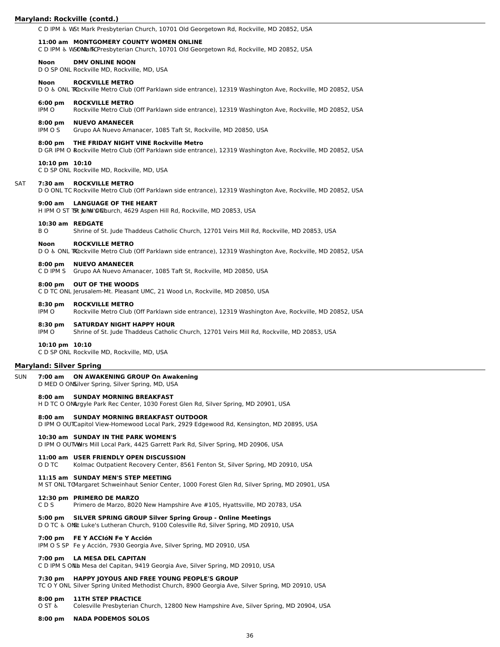#### **Maryland: Rockville (contd.)**

C D IPM ♿︎ WSt Mark Presbyterian Church, 10701 Old Georgetown Rd, Rockville, MD 20852, USA

#### **11:00 am MONTGOMERY COUNTY WOMEN ONLINE**

C D IPM & WSON LanKCPresbyterian Church, 10701 Old Georgetown Rd, Rockville, MD 20852, USA

### **Noon DMV ONLINE NOON**

D O SP ONL Rockville MD, Rockville, MD, USA

#### **Noon ROCKVILLE METRO**

D O & ONL TRockville Metro Club (Off Parklawn side entrance), 12319 Washington Ave, Rockville, MD 20852, USA

#### **6:00 pm ROCKVILLE METRO**

IPM O Rockville Metro Club (Off Parklawn side entrance), 12319 Washington Ave, Rockville, MD 20852, USA

#### **8:00 pm NUEVO AMANECER**

IPM O S Grupo AA Nuevo Amanacer, 1085 Taft St, Rockville, MD 20850, USA

#### **8:00 pm THE FRIDAY NIGHT VINE Rockville Metro**

D GR IPM O Rockville Metro Club (Off Parklawn side entrance), 12319 Washington Ave, Rockville, MD 20852, USA

#### **10:10 pm 10:10**

C D SP ONL Rockville MD, Rockville, MD, USA

# SAT **7:30 am ROCKVILLE METRO**

D O ONL TC Rockville Metro Club (Off Parklawn side entrance), 12319 Washington Ave, Rockville, MD 20852, USA

#### **9:00 am LANGUAGE OF THE HEART**

H IPM O ST TSR John 'ONL burch, 4629 Aspen Hill Rd, Rockville, MD 20853, USA

#### **10:30 am REDGATE**

B O Shrine of St. Jude Thaddeus Catholic Church, 12701 Veirs Mill Rd, Rockville, MD 20853, USA

#### **Noon ROCKVILLE METRO**

D O & ONL TRockville Metro Club (Off Parklawn side entrance), 12319 Washington Ave, Rockville, MD 20852, USA

# **8:00 pm NUEVO AMANECER**

C D IPM S Grupo AA Nuevo Amanacer, 1085 Taft St, Rockville, MD 20850, USA

#### **8:00 pm OUT OF THE WOODS**

C D TC ONL Jerusalem-Mt. Pleasant UMC, 21 Wood Ln, Rockville, MD 20850, USA

# **8:30 pm ROCKVILLE METRO**

IPM O Rockville Metro Club (Off Parklawn side entrance), 12319 Washington Ave, Rockville, MD 20852, USA

#### **8:30 pm SATURDAY NIGHT HAPPY HOUR**

IPM O Shrine of St. Jude Thaddeus Catholic Church, 12701 Veirs Mill Rd, Rockville, MD 20853, USA

#### **10:10 pm 10:10**

C D SP ONL Rockville MD, Rockville, MD, USA

#### **Maryland: Silver Spring**

# SUN **7:00 am ON AWAKENING GROUP On Awakening**

D MED O ONSilver Spring, Silver Spring, MD, USA

#### **8:00 am SUNDAY MORNING BREAKFAST**

H D TC O ONArgyle Park Rec Center, 1030 Forest Glen Rd, Silver Spring, MD 20901, USA

#### **8:00 am SUNDAY MORNING BREAKFAST OUTDOOR**

D IPM O OUTCapitol View-Homewood Local Park, 2929 Edgewood Rd, Kensington, MD 20895, USA

#### **10:30 am SUNDAY IN THE PARK WOMEN'S**

D IPM O OUTVAIrs Mill Local Park, 4425 Garrett Park Rd, Silver Spring, MD 20906, USA

#### **11:00 am USER FRIENDLY OPEN DISCUSSION**

O D TC Kolmac Outpatient Recovery Center, 8561 Fenton St, Silver Spring, MD 20910, USA

# **11:15 am SUNDAY MEN'S STEP MEETING**

M ST ONL TCMargaret Schweinhaut Senior Center, 1000 Forest Glen Rd, Silver Spring, MD 20901, USA

#### **12:30 pm PRIMERO DE MARZO**

C D S Primero de Marzo, 8020 New Hampshire Ave #105, Hyattsville, MD 20783, USA

# **5:00 pm SILVER SPRING GROUP Silver Spring Group - Online Meetings**

D O TC & ONL Luke's Lutheran Church, 9100 Colesville Rd, Silver Spring, MD 20910, USA

# **7:00 pm FE Y ACCIóN Fe Y Acción**

IPM O S SP Fe y Acción, 7930 Georgia Ave, Silver Spring, MD 20910, USA

#### **7:00 pm LA MESA DEL CAPITAN**

C D IPM S ONL Mesa del Capitan, 9419 Georgia Ave, Silver Spring, MD 20910, USA

# **7:30 pm HAPPY JOYOUS AND FREE YOUNG PEOPLE'S GROUP**

TC O Y ONL Silver Spring United Methodist Church, 8900 Georgia Ave, Silver Spring, MD 20910, USA

#### **8:00 pm 11TH STEP PRACTICE**

O ST ♿︎ Colesville Presbyterian Church, 12800 New Hampshire Ave, Silver Spring, MD 20904, USA

**8:00 pm NADA PODEMOS SOLOS**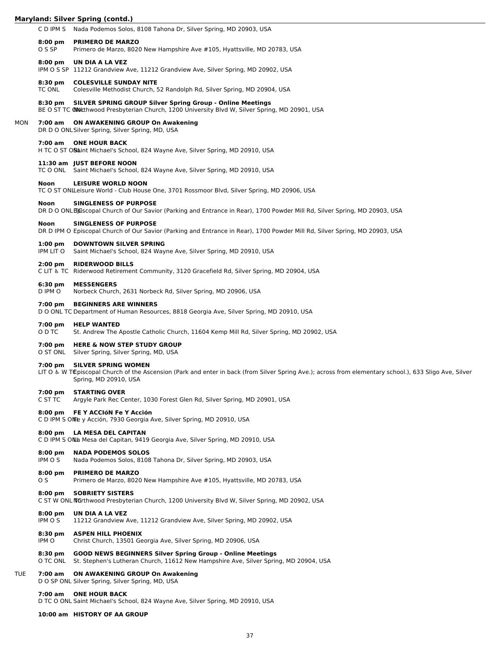C D IPM S Nada Podemos Solos, 8108 Tahona Dr, Silver Spring, MD 20903, USA

#### **8:00 pm PRIMERO DE MARZO**

O S SP Primero de Marzo, 8020 New Hampshire Ave #105, Hyattsville, MD 20783, USA

#### **8:00 pm UN DIA A LA VEZ**

IPM O S SP 11212 Grandview Ave, 11212 Grandview Ave, Silver Spring, MD 20902, USA

#### **8:30 pm COLESVILLE SUNDAY NITE**

TC ONL Colesville Methodist Church, 52 Randolph Rd, Silver Spring, MD 20904, USA

#### **8:30 pm SILVER SPRING GROUP Silver Spring Group - Online Meetings**

BE O ST TC @Notthwood Presbyterian Church, 1200 University Blvd W, Silver Spring, MD 20901, USA

### MON **7:00 am ON AWAKENING GROUP On Awakening**

DR D O ONLSilver Spring, Silver Spring, MD, USA

#### **7:00 am ONE HOUR BACK**

H TC O ST ON aint Michael's School, 824 Wayne Ave, Silver Spring, MD 20910, USA

#### **11:30 am JUST BEFORE NOON**

TC O ONL Saint Michael's School, 824 Wayne Ave, Silver Spring, MD 20910, USA

#### **Noon LEISURE WORLD NOON**

TC O ST ONLLeisure World - Club House One, 3701 Rossmoor Blvd, Silver Spring, MD 20906, USA

#### **Noon SINGLENESS OF PURPOSE**

DR D O ONL Ejuscopal Church of Our Savior (Parking and Entrance in Rear), 1700 Powder Mill Rd, Silver Spring, MD 20903, USA

#### **Noon SINGLENESS OF PURPOSE**

DR D IPM O Episcopal Church of Our Savior (Parking and Entrance in Rear), 1700 Powder Mill Rd, Silver Spring, MD 20903, USA

#### **1:00 pm DOWNTOWN SILVER SPRING**

IPM LIT O Saint Michael's School, 824 Wayne Ave, Silver Spring, MD 20910, USA

#### **2:00 pm RIDERWOOD BILLS**

C LIT ♿︎ TC Riderwood Retirement Community, 3120 Gracefield Rd, Silver Spring, MD 20904, USA

#### **6:30 pm MESSENGERS**

D IPM O Norbeck Church, 2631 Norbeck Rd, Silver Spring, MD 20906, USA

### **7:00 pm BEGINNERS ARE WINNERS**

D O ONL TC Department of Human Resources, 8818 Georgia Ave, Silver Spring, MD 20910, USA

#### **7:00 pm HELP WANTED**

O D TC St. Andrew The Apostle Catholic Church, 11604 Kemp Mill Rd, Silver Spring, MD 20902, USA

# **7:00 pm HERE & NOW STEP STUDY GROUP**

O ST ONL Silver Spring, Silver Spring, MD, USA

### **7:00 pm SILVER SPRING WOMEN**

LIT O & W TEpiscopal Church of the Ascension (Park and enter in back (from Silver Spring Ave.); across from elementary school.), 633 Sligo Ave, Silver Spring, MD 20910, USA

### **7:00 pm STARTING OVER**

C ST TC Argyle Park Rec Center, 1030 Forest Glen Rd, Silver Spring, MD 20901, USA

#### **8:00 pm FE Y ACCIóN Fe Y Acción**

C D IPM S ONE y Acción, 7930 Georgia Ave, Silver Spring, MD 20910, USA

#### **8:00 pm LA MESA DEL CAPITAN**

C D IPM S ONL Mesa del Capitan, 9419 Georgia Ave, Silver Spring, MD 20910, USA

#### **8:00 pm NADA PODEMOS SOLOS**

IPM O S Nada Podemos Solos, 8108 Tahona Dr, Silver Spring, MD 20903, USA

#### **8:00 pm PRIMERO DE MARZO**

O S Primero de Marzo, 8020 New Hampshire Ave #105, Hyattsville, MD 20783, USA

#### **8:00 pm SOBRIETY SISTERS**

C ST W ONL NOrthwood Presbyterian Church, 1200 University Blvd W, Silver Spring, MD 20902, USA

#### **8:00 pm UN DIA A LA VEZ**

IPM O S 11212 Grandview Ave, 11212 Grandview Ave, Silver Spring, MD 20902, USA

#### **8:30 pm ASPEN HILL PHOENIX**

IPM O Christ Church, 13501 Georgia Ave, Silver Spring, MD 20906, USA

# **8:30 pm GOOD NEWS BEGINNERS Silver Spring Group - Online Meetings**

O TC ONL St. Stephen's Lutheran Church, 11612 New Hampshire Ave, Silver Spring, MD 20904, USA

# TUE **7:00 am ON AWAKENING GROUP On Awakening**

D O SP ONL Silver Spring, Silver Spring, MD, USA

#### **7:00 am ONE HOUR BACK**

D TC O ONL Saint Michael's School, 824 Wayne Ave, Silver Spring, MD 20910, USA

# **10:00 am HISTORY OF AA GROUP**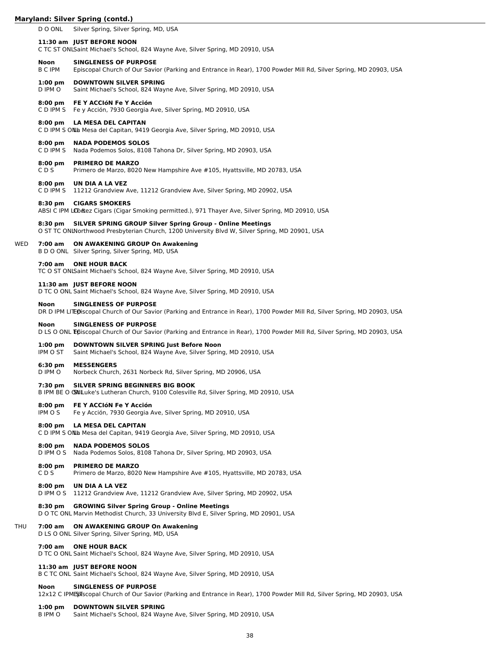D O ONL Silver Spring, Silver Spring, MD, USA

# **11:30 am JUST BEFORE NOON**

C TC ST ONLSaint Michael's School, 824 Wayne Ave, Silver Spring, MD 20910, USA

#### **Noon SINGLENESS OF PURPOSE**

B C IPM Episcopal Church of Our Savior (Parking and Entrance in Rear), 1700 Powder Mill Rd, Silver Spring, MD 20903, USA

# **1:00 pm DOWNTOWN SILVER SPRING**

D IPM O Saint Michael's School, 824 Wayne Ave, Silver Spring, MD 20910, USA

#### **8:00 pm FE Y ACCIóN Fe Y Acción**

C D IPM S Fe y Acción, 7930 Georgia Ave, Silver Spring, MD 20910, USA

#### **8:00 pm LA MESA DEL CAPITAN**

C D IPM S ONLa Mesa del Capitan, 9419 Georgia Ave, Silver Spring, MD 20910, USA

# **8:00 pm NADA PODEMOS SOLOS**

C D IPM S Nada Podemos Solos, 8108 Tahona Dr, Silver Spring, MD 20903, USA

#### **8:00 pm PRIMERO DE MARZO**

C D S Primero de Marzo, 8020 New Hampshire Ave #105, Hyattsville, MD 20783, USA

### **8:00 pm UN DIA A LA VEZ**

C D IPM S 11212 Grandview Ave, 11212 Grandview Ave, Silver Spring, MD 20902, USA

#### **8:30 pm CIGARS SMOKERS**

ABSI C IPM LCO&ez Cigars (Cigar Smoking permitted.), 971 Thayer Ave, Silver Spring, MD 20910, USA

# **8:30 pm SILVER SPRING GROUP Silver Spring Group - Online Meetings**

O ST TC ONLNorthwood Presbyterian Church, 1200 University Blvd W, Silver Spring, MD 20901, USA

# WED **7:00 am ON AWAKENING GROUP On Awakening**

B D O ONL Silver Spring, Silver Spring, MD, USA

# **7:00 am ONE HOUR BACK**

TC O ST ONLSaint Michael's School, 824 Wayne Ave, Silver Spring, MD 20910, USA

#### **11:30 am JUST BEFORE NOON**

D TC O ONL Saint Michael's School, 824 Wayne Ave, Silver Spring, MD 20910, USA

# **Noon SINGLENESS OF PURPOSE**

DR D IPM LITEOiscopal Church of Our Savior (Parking and Entrance in Rear), 1700 Powder Mill Rd, Silver Spring, MD 20903, USA

#### **Noon SINGLENESS OF PURPOSE**

D LS O ONL Episcopal Church of Our Savior (Parking and Entrance in Rear), 1700 Powder Mill Rd, Silver Spring, MD 20903, USA

# **1:00 pm DOWNTOWN SILVER SPRING Just Before Noon**

IPM O ST Saint Michael's School, 824 Wayne Ave, Silver Spring, MD 20910, USA

#### **6:30 pm MESSENGERS**

D IPM O Norbeck Church, 2631 Norbeck Rd, Silver Spring, MD 20906, USA

#### **7:30 pm SILVER SPRING BEGINNERS BIG BOOK**

B IPM BE O GNILuke's Lutheran Church, 9100 Colesville Rd, Silver Spring, MD 20910, USA

#### **8:00 pm FE Y ACCIóN Fe Y Acción**

IPM O S Fe y Acción, 7930 Georgia Ave, Silver Spring, MD 20910, USA

### **8:00 pm LA MESA DEL CAPITAN**

C D IPM S ONLA Mesa del Capitan, 9419 Georgia Ave, Silver Spring, MD 20910, USA

#### **8:00 pm NADA PODEMOS SOLOS**

D IPM O S Nada Podemos Solos, 8108 Tahona Dr, Silver Spring, MD 20903, USA

#### **8:00 pm PRIMERO DE MARZO**

C D S Primero de Marzo, 8020 New Hampshire Ave #105, Hyattsville, MD 20783, USA

#### **8:00 pm UN DIA A LA VEZ**

D IPM O S 11212 Grandview Ave, 11212 Grandview Ave, Silver Spring, MD 20902, USA

# **8:30 pm GROWING Silver Spring Group - Online Meetings**

D O TC ONL Marvin Methodist Church, 33 University Blvd E, Silver Spring, MD 20901, USA

### THU **7:00 am ON AWAKENING GROUP On Awakening**

D LS O ONL Silver Spring, Silver Spring, MD, USA

#### **7:00 am ONE HOUR BACK**

D TC O ONL Saint Michael's School, 824 Wayne Ave, Silver Spring, MD 20910, USA

#### **11:30 am JUST BEFORE NOON**

B C TC ONL Saint Michael's School, 824 Wayne Ave, Silver Spring, MD 20910, USA

# **Noon SINGLENESS OF PURPOSE**

12x12 C IPMEDIscopal Church of Our Savior (Parking and Entrance in Rear), 1700 Powder Mill Rd, Silver Spring, MD 20903, USA

#### **1:00 pm DOWNTOWN SILVER SPRING**

B IPM O Saint Michael's School, 824 Wayne Ave, Silver Spring, MD 20910, USA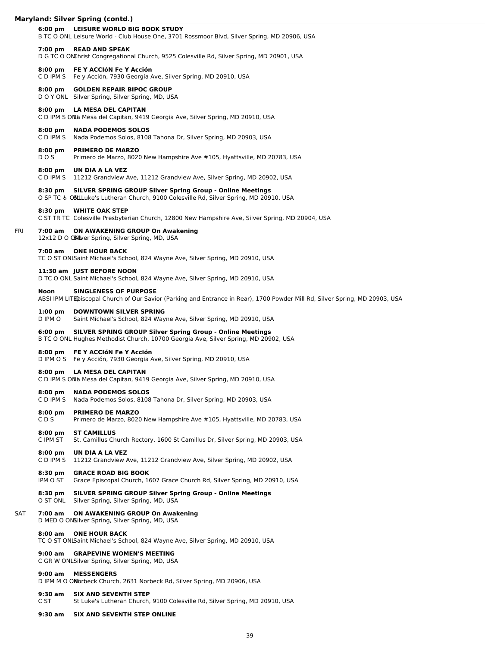#### **6:00 pm LEISURE WORLD BIG BOOK STUDY**

B TC O ONL Leisure World - Club House One, 3701 Rossmoor Blvd, Silver Spring, MD 20906, USA

#### **7:00 pm READ AND SPEAK**

D G TC O ONLhrist Congregational Church, 9525 Colesville Rd, Silver Spring, MD 20901, USA

#### **8:00 pm FE Y ACCIóN Fe Y Acción**

C D IPM S Fe y Acción, 7930 Georgia Ave, Silver Spring, MD 20910, USA

# **8:00 pm GOLDEN REPAIR BIPOC GROUP**

D O Y ONL Silver Spring, Silver Spring, MD, USA

#### **8:00 pm LA MESA DEL CAPITAN**

C D IPM S ONLA Mesa del Capitan, 9419 Georgia Ave, Silver Spring, MD 20910, USA

#### **8:00 pm NADA PODEMOS SOLOS**

C D IPM S Nada Podemos Solos, 8108 Tahona Dr, Silver Spring, MD 20903, USA

#### **8:00 pm PRIMERO DE MARZO**

D O S Primero de Marzo, 8020 New Hampshire Ave #105, Hyattsville, MD 20783, USA

#### **8:00 pm UN DIA A LA VEZ**

C D IPM S 11212 Grandview Ave, 11212 Grandview Ave, Silver Spring, MD 20902, USA

#### **8:30 pm SILVER SPRING GROUP Silver Spring Group - Online Meetings**

O SP TC & OSLLuke's Lutheran Church, 9100 Colesville Rd, Silver Spring, MD 20910, USA

# **8:30 pm WHITE OAK STEP**

C ST TR TC Colesville Presbyterian Church, 12800 New Hampshire Ave, Silver Spring, MD 20904, USA

#### FRI **7:00 am ON AWAKENING GROUP On Awakening**

12x12 D O ONIVer Spring, Silver Spring, MD, USA

#### **7:00 am ONE HOUR BACK**

TC O ST ONLSaint Michael's School, 824 Wayne Ave, Silver Spring, MD 20910, USA

#### **11:30 am JUST BEFORE NOON**

D TC O ONL Saint Michael's School, 824 Wayne Ave, Silver Spring, MD 20910, USA

# **Noon SINGLENESS OF PURPOSE**

ABSI IPM LITEDiscopal Church of Our Savior (Parking and Entrance in Rear), 1700 Powder Mill Rd, Silver Spring, MD 20903, USA

#### **1:00 pm DOWNTOWN SILVER SPRING**

D IPM O Saint Michael's School, 824 Wayne Ave, Silver Spring, MD 20910, USA

# **6:00 pm SILVER SPRING GROUP Silver Spring Group - Online Meetings**

B TC O ONL Hughes Methodist Church, 10700 Georgia Ave, Silver Spring, MD 20902, USA

#### **8:00 pm FE Y ACCIóN Fe Y Acción**

D IPM O S Fe y Acción, 7930 Georgia Ave, Silver Spring, MD 20910, USA

#### **8:00 pm LA MESA DEL CAPITAN**

C D IPM S ONLA Mesa del Capitan, 9419 Georgia Ave, Silver Spring, MD 20910, USA

#### **8:00 pm NADA PODEMOS SOLOS**

C D IPM S Nada Podemos Solos, 8108 Tahona Dr, Silver Spring, MD 20903, USA

# **8:00 pm PRIMERO DE MARZO**

C D S Primero de Marzo, 8020 New Hampshire Ave #105, Hyattsville, MD 20783, USA

# **8:00 pm ST CAMILLUS**

C IPM ST St. Camillus Church Rectory, 1600 St Camillus Dr, Silver Spring, MD 20903, USA

#### **8:00 pm UN DIA A LA VEZ**

C D IPM S 11212 Grandview Ave, 11212 Grandview Ave, Silver Spring, MD 20902, USA

#### **8:30 pm GRACE ROAD BIG BOOK**

- IPM O ST Grace Episcopal Church, 1607 Grace Church Rd, Silver Spring, MD 20910, USA
- **8:30 pm SILVER SPRING GROUP Silver Spring Group Online Meetings** Silver Spring, Silver Spring, MD, USA

#### SAT **7:00 am ON AWAKENING GROUP On Awakening**

D MED O ON Silver Spring, Silver Spring, MD, USA

#### **8:00 am ONE HOUR BACK**

TC O ST ONLSaint Michael's School, 824 Wayne Ave, Silver Spring, MD 20910, USA

#### **9:00 am GRAPEVINE WOMEN'S MEETING**

C GR W ONLSilver Spring, Silver Spring, MD, USA

#### **9:00 am MESSENGERS**

D IPM M O ON arbeck Church, 2631 Norbeck Rd, Silver Spring, MD 20906, USA

#### **9:30 am SIX AND SEVENTH STEP**

C ST St Luke's Lutheran Church, 9100 Colesville Rd, Silver Spring, MD 20910, USA

# **9:30 am SIX AND SEVENTH STEP ONLINE**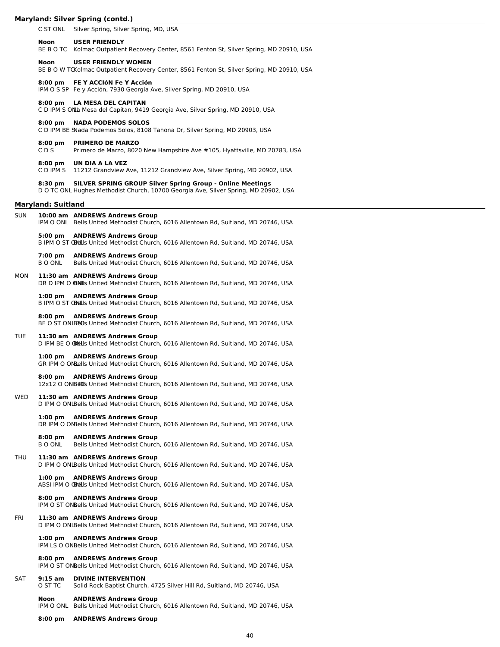C ST ONL Silver Spring, Silver Spring, MD, USA **Noon USER FRIENDLY** BE B O TC Kolmac Outpatient Recovery Center, 8561 Fenton St, Silver Spring, MD 20910, USA **Noon USER FRIENDLY WOMEN** BE B O W TCKolmac Outpatient Recovery Center, 8561 Fenton St, Silver Spring, MD 20910, USA **8:00 pm FE Y ACCIóN Fe Y Acción** IPM O S SP Fe y Acción, 7930 Georgia Ave, Silver Spring, MD 20910, USA **8:00 pm LA MESA DEL CAPITAN** C D IPM S ONLa Mesa del Capitan, 9419 Georgia Ave, Silver Spring, MD 20910, USA **8:00 pm NADA PODEMOS SOLOS** C D IPM BE SNada Podemos Solos, 8108 Tahona Dr, Silver Spring, MD 20903, USA **8:00 pm PRIMERO DE MARZO** C D S Primero de Marzo, 8020 New Hampshire Ave #105, Hyattsville, MD 20783, USA **8:00 pm UN DIA A LA VEZ** C D IPM S 11212 Grandview Ave, 11212 Grandview Ave, Silver Spring, MD 20902, USA **8:30 pm SILVER SPRING GROUP Silver Spring Group - Online Meetings** D O TC ONL Hughes Methodist Church, 10700 Georgia Ave, Silver Spring, MD 20902, USA **Maryland: Suitland** SUN **10:00 am ANDREWS Andrews Group** IPM O ONL Bells United Methodist Church, 6016 Allentown Rd, Suitland, MD 20746, USA **5:00 pm ANDREWS Andrews Group** B IPM O ST OBNLIs United Methodist Church, 6016 Allentown Rd, Suitland, MD 20746, USA **7:00 pm ANDREWS Andrews Group** B O ONL Bells United Methodist Church, 6016 Allentown Rd, Suitland, MD 20746, USA MON **11:30 am ANDREWS Andrews Group** DR D IPM O @NLs United Methodist Church, 6016 Allentown Rd, Suitland, MD 20746, USA **1:00 pm ANDREWS Andrews Group** B IPM O ST OBNLIs United Methodist Church, 6016 Allentown Rd, Suitland, MD 20746, USA **8:00 pm ANDREWS Andrews Group** BE O ST ONLBELIS United Methodist Church, 6016 Allentown Rd, Suitland, MD 20746, USA TUE **11:30 am ANDREWS Andrews Group** D IPM BE O **BNU**s United Methodist Church, 6016 Allentown Rd, Suitland, MD 20746, USA **1:00 pm ANDREWS Andrews Group** GR IPM O ONLells United Methodist Church, 6016 Allentown Rd, Suitland, MD 20746, USA **8:00 pm ANDREWS Andrews Group** 12x12 O ONBEICs United Methodist Church, 6016 Allentown Rd, Suitland, MD 20746, USA WED **11:30 am ANDREWS Andrews Group** D IPM O ONLBells United Methodist Church, 6016 Allentown Rd, Suitland, MD 20746, USA **1:00 pm ANDREWS Andrews Group** DR IPM O ONLells United Methodist Church, 6016 Allentown Rd, Suitland, MD 20746, USA **8:00 pm ANDREWS Andrews Group** B O ONL Bells United Methodist Church, 6016 Allentown Rd, Suitland, MD 20746, USA THU **11:30 am ANDREWS Andrews Group** D IPM O ONLBells United Methodist Church, 6016 Allentown Rd, Suitland, MD 20746, USA **1:00 pm ANDREWS Andrews Group** ABSI IPM O CRULS United Methodist Church, 6016 Allentown Rd, Suitland, MD 20746, USA **8:00 pm ANDREWS Andrews Group** IPM O ST ONBells United Methodist Church, 6016 Allentown Rd, Suitland, MD 20746, USA FRI **11:30 am ANDREWS Andrews Group** D IPM O ONLBells United Methodist Church, 6016 Allentown Rd, Suitland, MD 20746, USA **1:00 pm ANDREWS Andrews Group** IPM LS O ONBells United Methodist Church, 6016 Allentown Rd, Suitland, MD 20746, USA **8:00 pm ANDREWS Andrews Group** IPM O ST ONBells United Methodist Church, 6016 Allentown Rd, Suitland, MD 20746, USA

#### SAT **9:15 am DIVINE INTERVENTION** O ST TC Solid Rock Baptist Church, 4725 Silver Hill Rd, Suitland, MD 20746, USA

**Noon ANDREWS Andrews Group** IPM O ONL Bells United Methodist Church, 6016 Allentown Rd, Suitland, MD 20746, USA

**8:00 pm ANDREWS Andrews Group**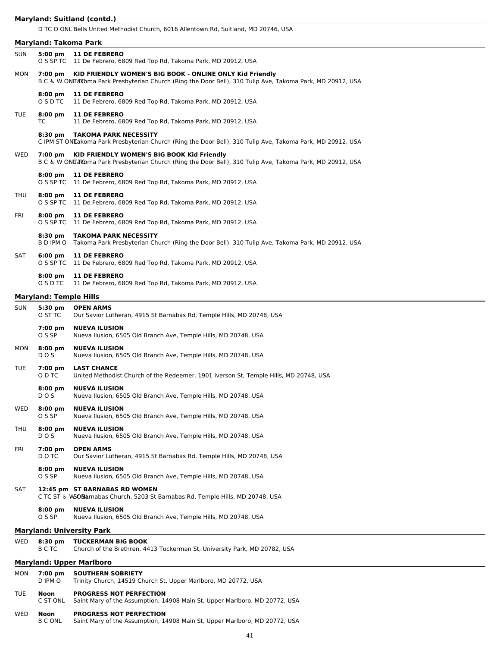# **Maryland: Suitland (contd.)**

D TC O ONL Bells United Methodist Church, 6016 Allentown Rd, Suitland, MD 20746, USA

| <b>Maryland: Upper Marlboro</b> |  |  |
|---------------------------------|--|--|
|                                 |  |  |
|                                 |  |  |

# TUE **Noon PROGRESS NOT PERFECTION**

| C ST ONL | . Saint Mary of the Assumption, 14908 Main St, Upper Marlboro, MD 20772, USA |  |  |  |  |
|----------|------------------------------------------------------------------------------|--|--|--|--|
|----------|------------------------------------------------------------------------------|--|--|--|--|

# WED **Noon PROGRESS NOT PERFECTION**<br>B C ONL Saint Mary of the Assumption, 14

Saint Mary of the Assumption, 14908 Main St, Upper Marlboro, MD 20772, USA